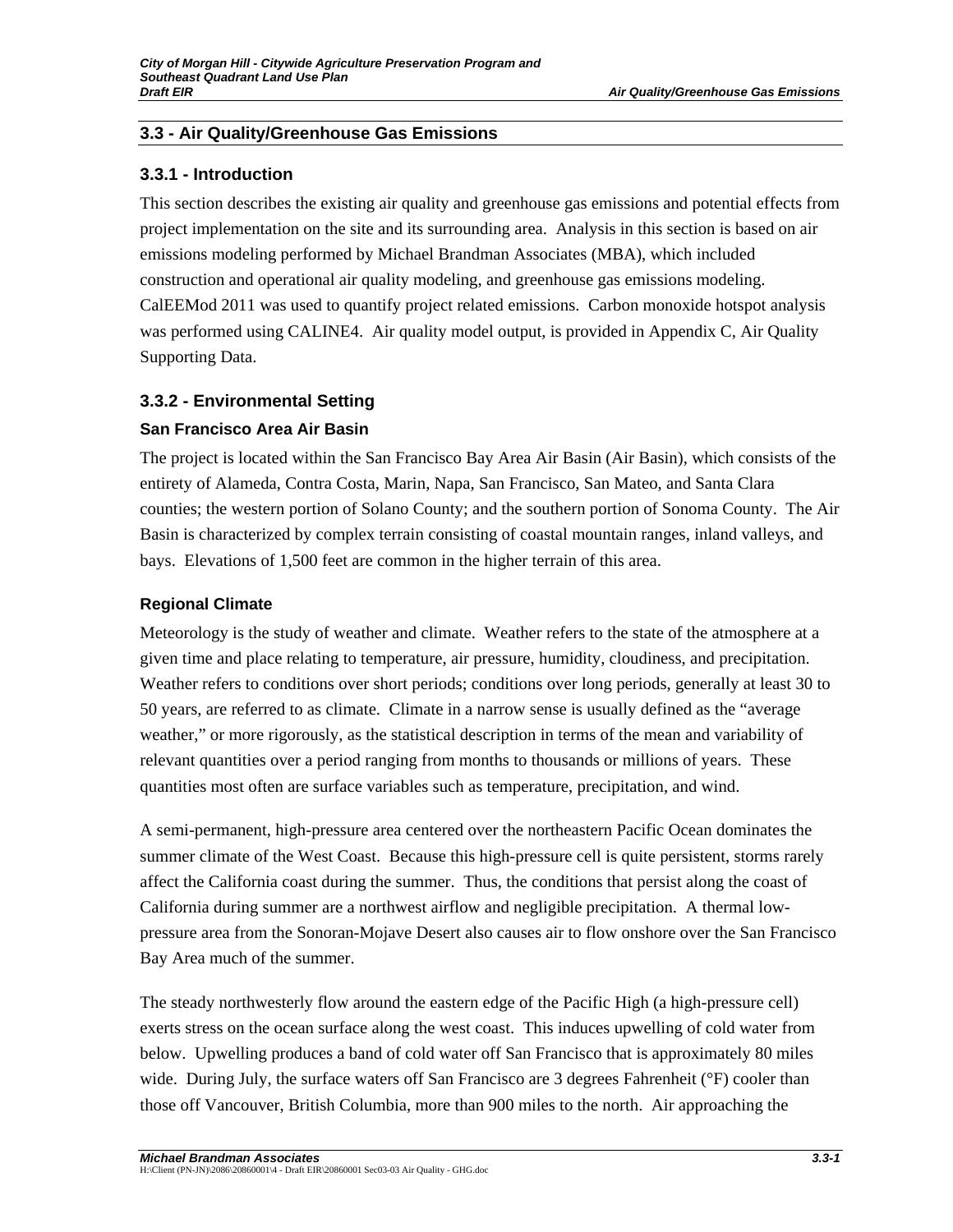# **3.3 - Air Quality/Greenhouse Gas Emissions**

## **3.3.1 - Introduction**

This section describes the existing air quality and greenhouse gas emissions and potential effects from project implementation on the site and its surrounding area. Analysis in this section is based on air emissions modeling performed by Michael Brandman Associates (MBA), which included construction and operational air quality modeling, and greenhouse gas emissions modeling. CalEEMod 2011 was used to quantify project related emissions. Carbon monoxide hotspot analysis was performed using CALINE4. Air quality model output, is provided in Appendix C, Air Quality Supporting Data.

# **3.3.2 - Environmental Setting**

# **San Francisco Area Air Basin**

The project is located within the San Francisco Bay Area Air Basin (Air Basin), which consists of the entirety of Alameda, Contra Costa, Marin, Napa, San Francisco, San Mateo, and Santa Clara counties; the western portion of Solano County; and the southern portion of Sonoma County. The Air Basin is characterized by complex terrain consisting of coastal mountain ranges, inland valleys, and bays. Elevations of 1,500 feet are common in the higher terrain of this area.

# **Regional Climate**

Meteorology is the study of weather and climate. Weather refers to the state of the atmosphere at a given time and place relating to temperature, air pressure, humidity, cloudiness, and precipitation. Weather refers to conditions over short periods; conditions over long periods, generally at least 30 to 50 years, are referred to as climate. Climate in a narrow sense is usually defined as the "average weather," or more rigorously, as the statistical description in terms of the mean and variability of relevant quantities over a period ranging from months to thousands or millions of years. These quantities most often are surface variables such as temperature, precipitation, and wind.

A semi-permanent, high-pressure area centered over the northeastern Pacific Ocean dominates the summer climate of the West Coast. Because this high-pressure cell is quite persistent, storms rarely affect the California coast during the summer. Thus, the conditions that persist along the coast of California during summer are a northwest airflow and negligible precipitation. A thermal lowpressure area from the Sonoran-Mojave Desert also causes air to flow onshore over the San Francisco Bay Area much of the summer.

The steady northwesterly flow around the eastern edge of the Pacific High (a high-pressure cell) exerts stress on the ocean surface along the west coast. This induces upwelling of cold water from below. Upwelling produces a band of cold water off San Francisco that is approximately 80 miles wide. During July, the surface waters off San Francisco are 3 degrees Fahrenheit (°F) cooler than those off Vancouver, British Columbia, more than 900 miles to the north. Air approaching the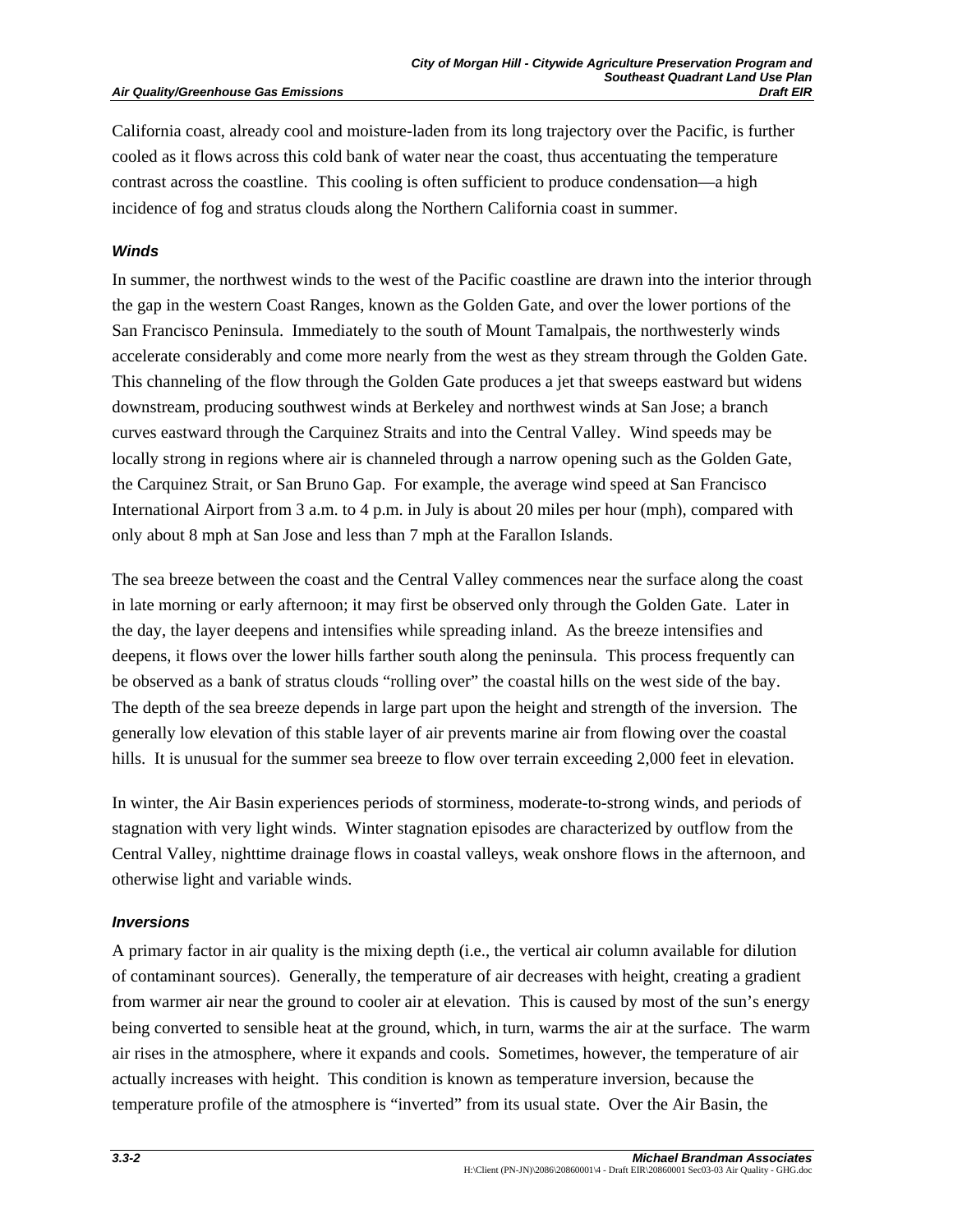#### **Air Quality/Greenhouse Gas Emissions**

California coast, already cool and moisture-laden from its long trajectory over the Pacific, is further cooled as it flows across this cold bank of water near the coast, thus accentuating the temperature contrast across the coastline. This cooling is often sufficient to produce condensation—a high incidence of fog and stratus clouds along the Northern California coast in summer.

#### *Winds*

In summer, the northwest winds to the west of the Pacific coastline are drawn into the interior through the gap in the western Coast Ranges, known as the Golden Gate, and over the lower portions of the San Francisco Peninsula. Immediately to the south of Mount Tamalpais, the northwesterly winds accelerate considerably and come more nearly from the west as they stream through the Golden Gate. This channeling of the flow through the Golden Gate produces a jet that sweeps eastward but widens downstream, producing southwest winds at Berkeley and northwest winds at San Jose; a branch curves eastward through the Carquinez Straits and into the Central Valley. Wind speeds may be locally strong in regions where air is channeled through a narrow opening such as the Golden Gate, the Carquinez Strait, or San Bruno Gap. For example, the average wind speed at San Francisco International Airport from 3 a.m. to 4 p.m. in July is about 20 miles per hour (mph), compared with only about 8 mph at San Jose and less than 7 mph at the Farallon Islands.

The sea breeze between the coast and the Central Valley commences near the surface along the coast in late morning or early afternoon; it may first be observed only through the Golden Gate. Later in the day, the layer deepens and intensifies while spreading inland. As the breeze intensifies and deepens, it flows over the lower hills farther south along the peninsula. This process frequently can be observed as a bank of stratus clouds "rolling over" the coastal hills on the west side of the bay. The depth of the sea breeze depends in large part upon the height and strength of the inversion. The generally low elevation of this stable layer of air prevents marine air from flowing over the coastal hills. It is unusual for the summer sea breeze to flow over terrain exceeding 2,000 feet in elevation.

In winter, the Air Basin experiences periods of storminess, moderate-to-strong winds, and periods of stagnation with very light winds. Winter stagnation episodes are characterized by outflow from the Central Valley, nighttime drainage flows in coastal valleys, weak onshore flows in the afternoon, and otherwise light and variable winds.

#### *Inversions*

A primary factor in air quality is the mixing depth (i.e., the vertical air column available for dilution of contaminant sources). Generally, the temperature of air decreases with height, creating a gradient from warmer air near the ground to cooler air at elevation. This is caused by most of the sun's energy being converted to sensible heat at the ground, which, in turn, warms the air at the surface. The warm air rises in the atmosphere, where it expands and cools. Sometimes, however, the temperature of air actually increases with height. This condition is known as temperature inversion, because the temperature profile of the atmosphere is "inverted" from its usual state. Over the Air Basin, the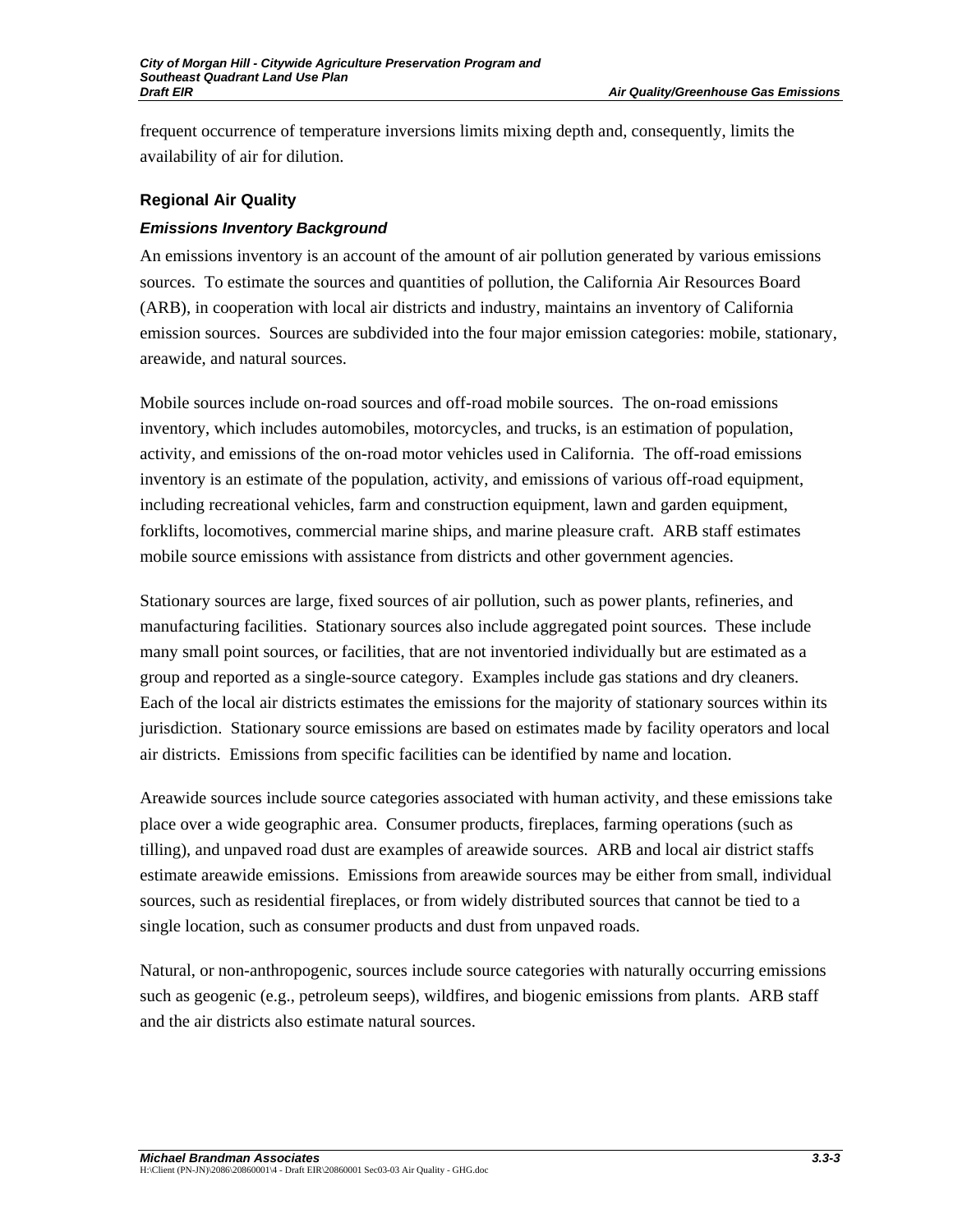frequent occurrence of temperature inversions limits mixing depth and, consequently, limits the availability of air for dilution.

## **Regional Air Quality**

## *Emissions Inventory Background*

An emissions inventory is an account of the amount of air pollution generated by various emissions sources. To estimate the sources and quantities of pollution, the California Air Resources Board (ARB), in cooperation with local air districts and industry, maintains an inventory of California emission sources. Sources are subdivided into the four major emission categories: mobile, stationary, areawide, and natural sources.

Mobile sources include on-road sources and off-road mobile sources. The on-road emissions inventory, which includes automobiles, motorcycles, and trucks, is an estimation of population, activity, and emissions of the on-road motor vehicles used in California. The off-road emissions inventory is an estimate of the population, activity, and emissions of various off-road equipment, including recreational vehicles, farm and construction equipment, lawn and garden equipment, forklifts, locomotives, commercial marine ships, and marine pleasure craft. ARB staff estimates mobile source emissions with assistance from districts and other government agencies.

Stationary sources are large, fixed sources of air pollution, such as power plants, refineries, and manufacturing facilities. Stationary sources also include aggregated point sources. These include many small point sources, or facilities, that are not inventoried individually but are estimated as a group and reported as a single-source category. Examples include gas stations and dry cleaners. Each of the local air districts estimates the emissions for the majority of stationary sources within its jurisdiction. Stationary source emissions are based on estimates made by facility operators and local air districts. Emissions from specific facilities can be identified by name and location.

Areawide sources include source categories associated with human activity, and these emissions take place over a wide geographic area. Consumer products, fireplaces, farming operations (such as tilling), and unpaved road dust are examples of areawide sources. ARB and local air district staffs estimate areawide emissions. Emissions from areawide sources may be either from small, individual sources, such as residential fireplaces, or from widely distributed sources that cannot be tied to a single location, such as consumer products and dust from unpaved roads.

Natural, or non-anthropogenic, sources include source categories with naturally occurring emissions such as geogenic (e.g., petroleum seeps), wildfires, and biogenic emissions from plants. ARB staff and the air districts also estimate natural sources.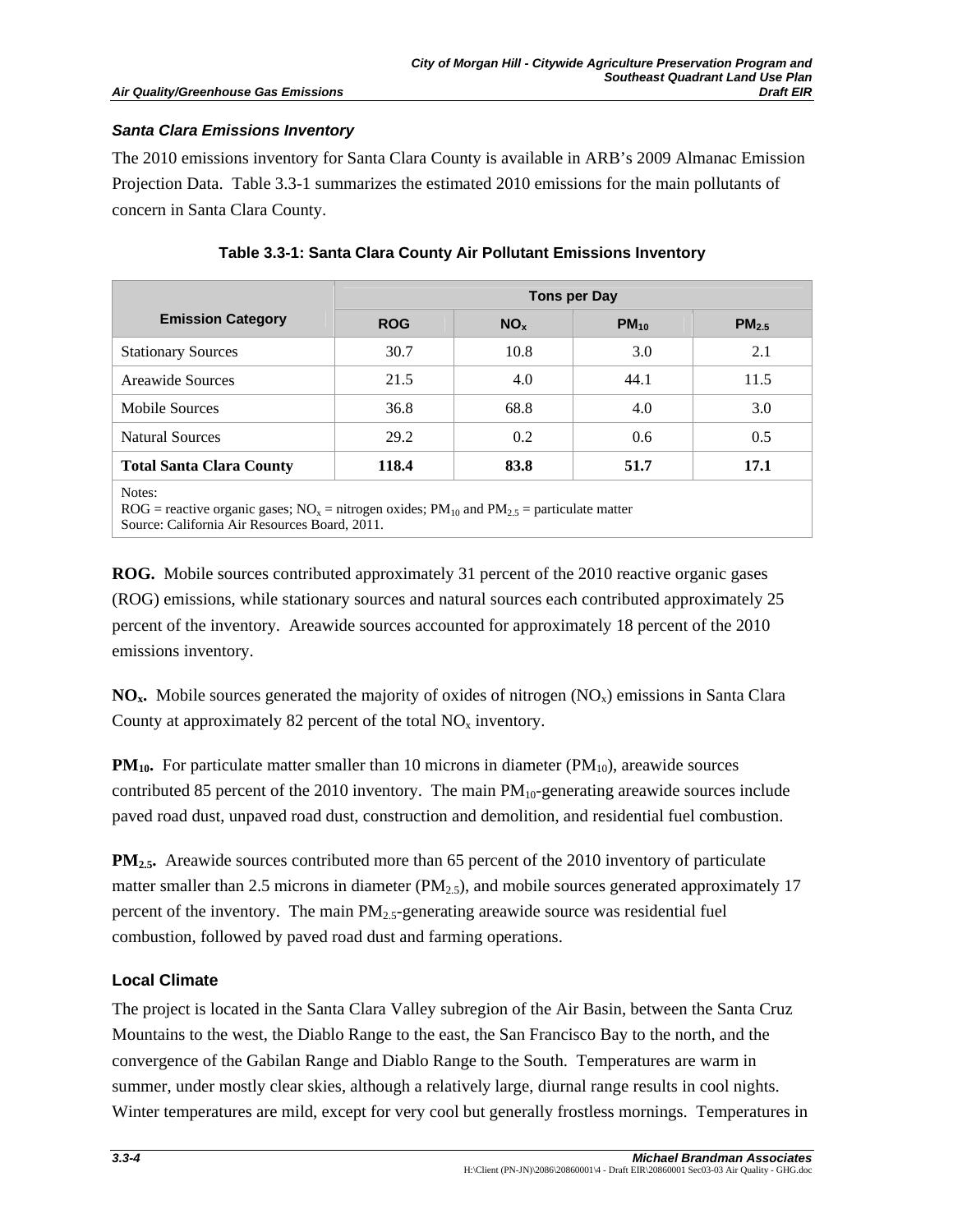## *Santa Clara Emissions Inventory*

The 2010 emissions inventory for Santa Clara County is available in ARB's 2009 Almanac Emission Projection Data. Table 3.3-1 summarizes the estimated 2010 emissions for the main pollutants of concern in Santa Clara County.

|                                 | Tons per Day |                 |           |                   |
|---------------------------------|--------------|-----------------|-----------|-------------------|
| <b>Emission Category</b>        | <b>ROG</b>   | NO <sub>x</sub> | $PM_{10}$ | PM <sub>2.5</sub> |
| <b>Stationary Sources</b>       | 30.7         | 10.8            | 3.0       | 2.1               |
| Areawide Sources                | 21.5         | 4.0             | 44.1      | 11.5              |
| Mobile Sources                  | 36.8         | 68.8            | 4.0       | 3.0               |
| <b>Natural Sources</b>          | 29.2         | 0.2             | 0.6       | 0.5               |
| <b>Total Santa Clara County</b> | 118.4        | 83.8            | 51.7      | 17.1              |

## **Table 3.3-1: Santa Clara County Air Pollutant Emissions Inventory**

ROG = reactive organic gases;  $NO<sub>x</sub>$  = nitrogen oxides;  $PM<sub>10</sub>$  and  $PM<sub>2.5</sub>$  = particulate matter Source: California Air Resources Board, 2011.

**ROG.** Mobile sources contributed approximately 31 percent of the 2010 reactive organic gases (ROG) emissions, while stationary sources and natural sources each contributed approximately 25 percent of the inventory. Areawide sources accounted for approximately 18 percent of the 2010 emissions inventory.

 $NO<sub>x</sub>$ . Mobile sources generated the majority of oxides of nitrogen  $(NO<sub>x</sub>)$  emissions in Santa Clara County at approximately 82 percent of the total  $NO<sub>x</sub>$  inventory.

**PM<sub>10</sub>.** For particulate matter smaller than 10 microns in diameter (PM<sub>10</sub>), areawide sources contributed 85 percent of the 2010 inventory. The main  $PM_{10}$ -generating areawide sources include paved road dust, unpaved road dust, construction and demolition, and residential fuel combustion.

**PM<sub>2.5</sub>.** Areawide sources contributed more than 65 percent of the 2010 inventory of particulate matter smaller than 2.5 microns in diameter  $(PM_{2,5})$ , and mobile sources generated approximately 17 percent of the inventory. The main  $PM_{2.5}$ -generating areawide source was residential fuel combustion, followed by paved road dust and farming operations.

# **Local Climate**

The project is located in the Santa Clara Valley subregion of the Air Basin, between the Santa Cruz Mountains to the west, the Diablo Range to the east, the San Francisco Bay to the north, and the convergence of the Gabilan Range and Diablo Range to the South. Temperatures are warm in summer, under mostly clear skies, although a relatively large, diurnal range results in cool nights. Winter temperatures are mild, except for very cool but generally frostless mornings. Temperatures in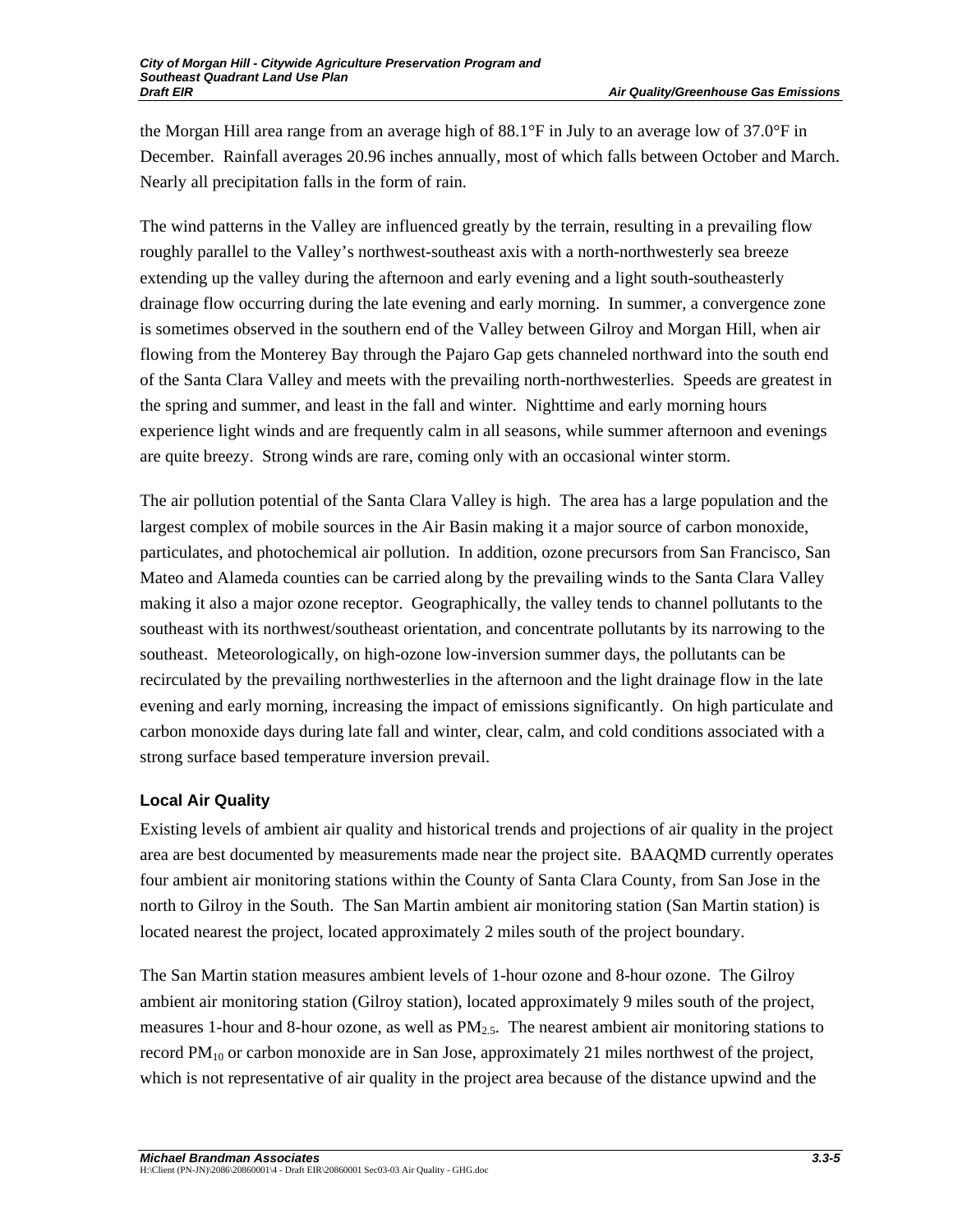the Morgan Hill area range from an average high of 88.1°F in July to an average low of 37.0°F in December. Rainfall averages 20.96 inches annually, most of which falls between October and March. Nearly all precipitation falls in the form of rain.

The wind patterns in the Valley are influenced greatly by the terrain, resulting in a prevailing flow roughly parallel to the Valley's northwest-southeast axis with a north-northwesterly sea breeze extending up the valley during the afternoon and early evening and a light south-southeasterly drainage flow occurring during the late evening and early morning. In summer, a convergence zone is sometimes observed in the southern end of the Valley between Gilroy and Morgan Hill, when air flowing from the Monterey Bay through the Pajaro Gap gets channeled northward into the south end of the Santa Clara Valley and meets with the prevailing north-northwesterlies. Speeds are greatest in the spring and summer, and least in the fall and winter. Nighttime and early morning hours experience light winds and are frequently calm in all seasons, while summer afternoon and evenings are quite breezy. Strong winds are rare, coming only with an occasional winter storm.

The air pollution potential of the Santa Clara Valley is high. The area has a large population and the largest complex of mobile sources in the Air Basin making it a major source of carbon monoxide, particulates, and photochemical air pollution. In addition, ozone precursors from San Francisco, San Mateo and Alameda counties can be carried along by the prevailing winds to the Santa Clara Valley making it also a major ozone receptor. Geographically, the valley tends to channel pollutants to the southeast with its northwest/southeast orientation, and concentrate pollutants by its narrowing to the southeast. Meteorologically, on high-ozone low-inversion summer days, the pollutants can be recirculated by the prevailing northwesterlies in the afternoon and the light drainage flow in the late evening and early morning, increasing the impact of emissions significantly. On high particulate and carbon monoxide days during late fall and winter, clear, calm, and cold conditions associated with a strong surface based temperature inversion prevail.

# **Local Air Quality**

Existing levels of ambient air quality and historical trends and projections of air quality in the project area are best documented by measurements made near the project site. BAAQMD currently operates four ambient air monitoring stations within the County of Santa Clara County, from San Jose in the north to Gilroy in the South. The San Martin ambient air monitoring station (San Martin station) is located nearest the project, located approximately 2 miles south of the project boundary.

The San Martin station measures ambient levels of 1-hour ozone and 8-hour ozone. The Gilroy ambient air monitoring station (Gilroy station), located approximately 9 miles south of the project, measures 1-hour and 8-hour ozone, as well as  $PM_{2.5}$ . The nearest ambient air monitoring stations to record  $PM_{10}$  or carbon monoxide are in San Jose, approximately 21 miles northwest of the project, which is not representative of air quality in the project area because of the distance upwind and the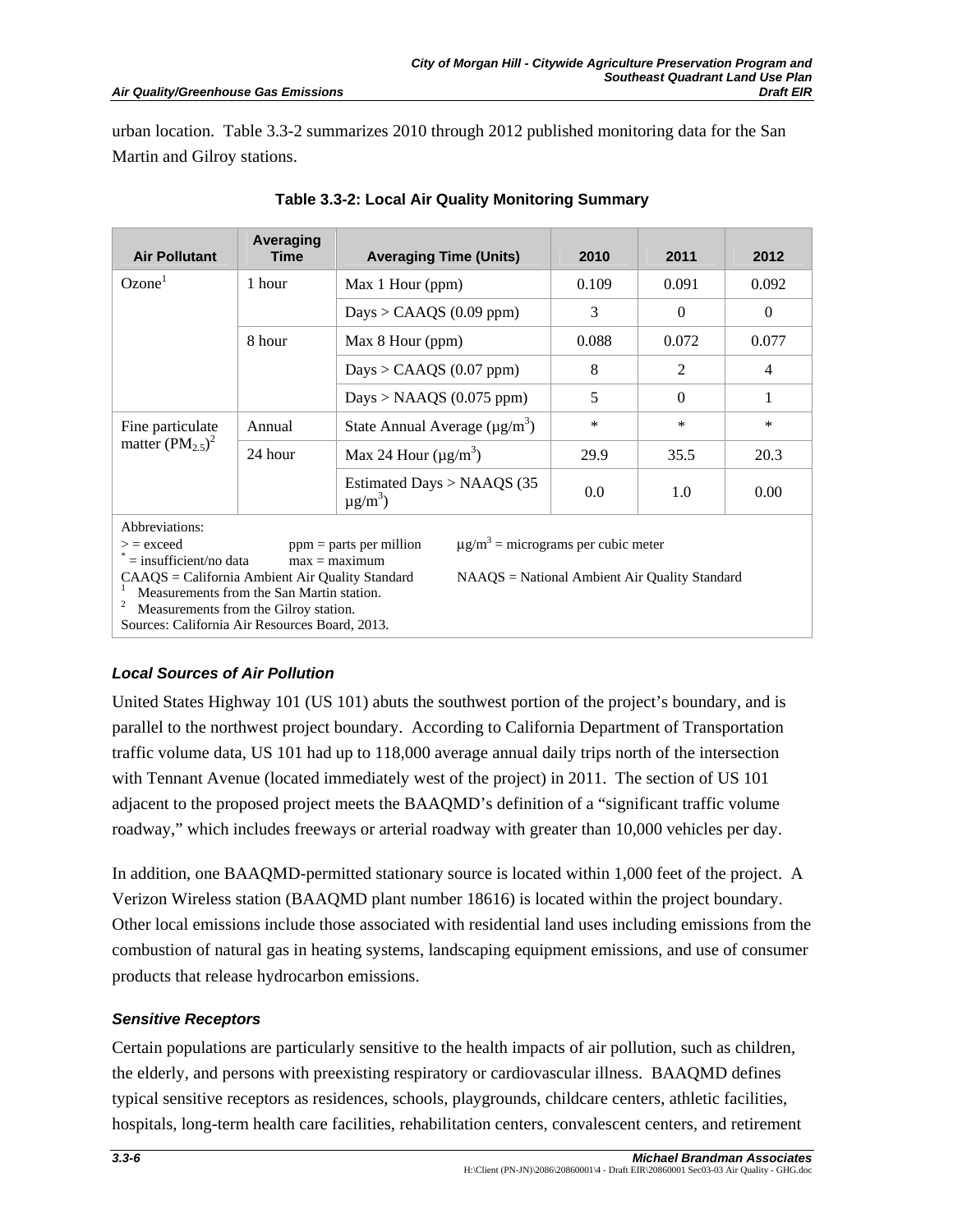urban location. Table 3.3-2 summarizes 2010 through 2012 published monitoring data for the San Martin and Gilroy stations.

| <b>Air Pollutant</b>                                                                         | Averaging<br>Time | <b>Averaging Time (Units)</b>                                                                       | 2010   | 2011     | 2012           |
|----------------------------------------------------------------------------------------------|-------------------|-----------------------------------------------------------------------------------------------------|--------|----------|----------------|
| Ozone <sup>1</sup>                                                                           | 1 hour            | Max 1 Hour (ppm)                                                                                    | 0.109  | 0.091    | 0.092          |
|                                                                                              |                   | Days > CAAQS $(0.09$ ppm)                                                                           | 3      | $\Omega$ | $\Omega$       |
|                                                                                              | 8 hour            | Max 8 Hour (ppm)                                                                                    | 0.088  | 0.072    | 0.077          |
|                                                                                              |                   | Days > CAAQS $(0.07$ ppm)                                                                           | 8      | 2        | $\overline{4}$ |
|                                                                                              |                   | Days > NAAQS $(0.075$ ppm)                                                                          | 5      | $\Omega$ | 1              |
| Fine particulate                                                                             | Annual            | State Annual Average $(\mu g/m^3)$                                                                  | $\ast$ | $\ast$   | $\ast$         |
| matter $(PM2.5)2$                                                                            | 24 hour           | Max 24 Hour $(\mu g/m^3)$                                                                           | 29.9   | 35.5     | 20.3           |
|                                                                                              |                   | Estimated Days $> NAAGS$ (35<br>$\mu$ g/m <sup>3</sup> )                                            | 0.0    | 1.0      | 0.00           |
| Abbreviations:                                                                               |                   |                                                                                                     |        |          |                |
| $\geq$ = exceed<br>$=$ insufficient/no data                                                  |                   | $\mu$ g/m <sup>3</sup> = micrograms per cubic meter<br>$ppm =$ parts per million<br>$max = maximum$ |        |          |                |
| CAAQS = California Ambient Air Quality Standard<br>Measurements from the San Martin station. |                   | NAAQS = National Ambient Air Quality Standard                                                       |        |          |                |

#### **Table 3.3-2: Local Air Quality Monitoring Summary**

2 Measurements from the Gilroy station.

Sources: California Air Resources Board, 2013.

# *Local Sources of Air Pollution*

United States Highway 101 (US 101) abuts the southwest portion of the project's boundary, and is parallel to the northwest project boundary. According to California Department of Transportation traffic volume data, US 101 had up to 118,000 average annual daily trips north of the intersection with Tennant Avenue (located immediately west of the project) in 2011. The section of US 101 adjacent to the proposed project meets the BAAQMD's definition of a "significant traffic volume roadway," which includes freeways or arterial roadway with greater than 10,000 vehicles per day.

In addition, one BAAQMD-permitted stationary source is located within 1,000 feet of the project. A Verizon Wireless station (BAAQMD plant number 18616) is located within the project boundary. Other local emissions include those associated with residential land uses including emissions from the combustion of natural gas in heating systems, landscaping equipment emissions, and use of consumer products that release hydrocarbon emissions.

# *Sensitive Receptors*

Certain populations are particularly sensitive to the health impacts of air pollution, such as children, the elderly, and persons with preexisting respiratory or cardiovascular illness. BAAQMD defines typical sensitive receptors as residences, schools, playgrounds, childcare centers, athletic facilities, hospitals, long-term health care facilities, rehabilitation centers, convalescent centers, and retirement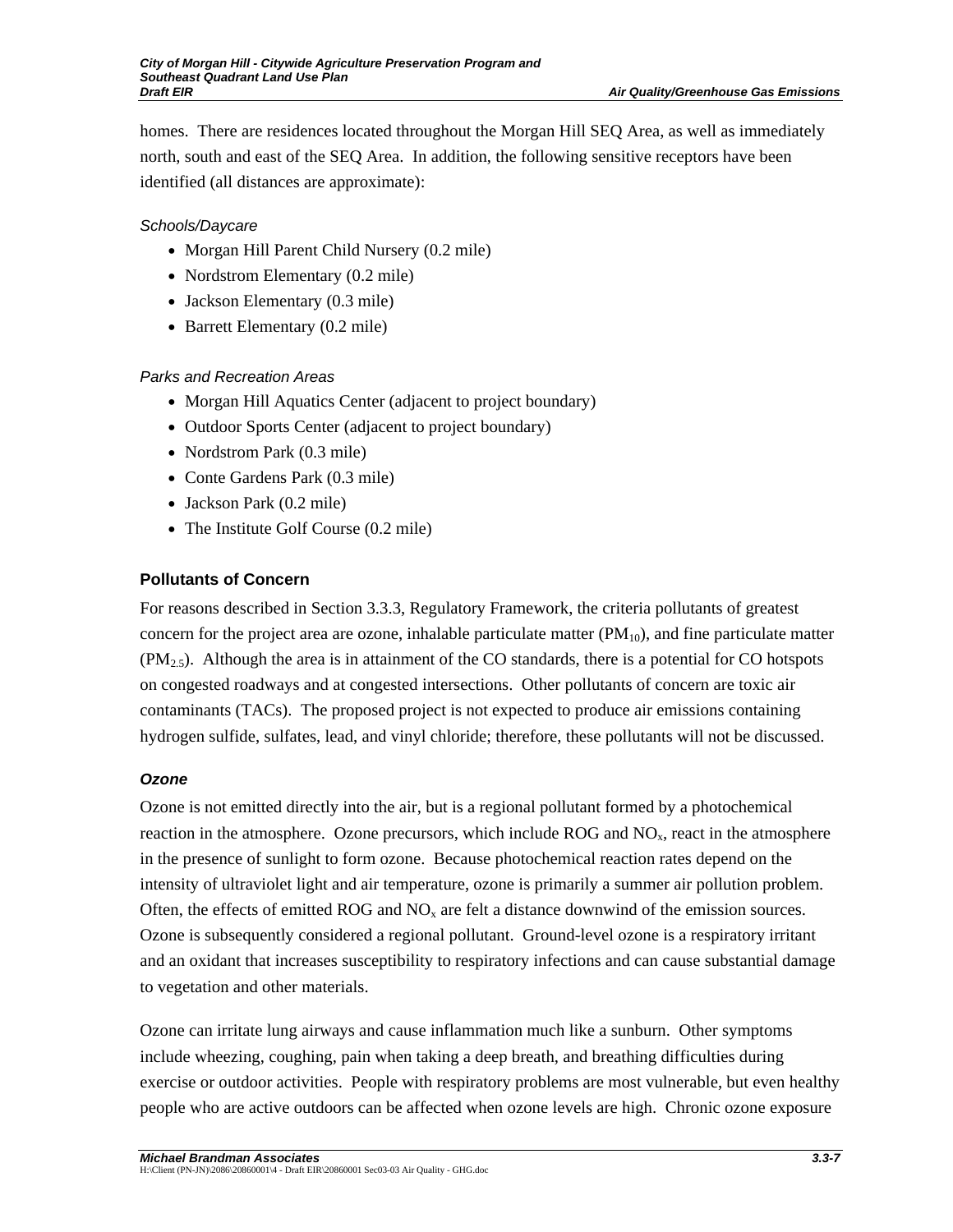homes. There are residences located throughout the Morgan Hill SEQ Area, as well as immediately north, south and east of the SEQ Area. In addition, the following sensitive receptors have been identified (all distances are approximate):

## *Schools/Daycare*

- Morgan Hill Parent Child Nursery (0.2 mile)
- Nordstrom Elementary (0.2 mile)
- Jackson Elementary (0.3 mile)
- Barrett Elementary (0.2 mile)

## *Parks and Recreation Areas*

- Morgan Hill Aquatics Center (adjacent to project boundary)
- Outdoor Sports Center (adjacent to project boundary)
- Nordstrom Park (0.3 mile)
- Conte Gardens Park (0.3 mile)
- Jackson Park (0.2 mile)
- The Institute Golf Course (0.2 mile)

## **Pollutants of Concern**

For reasons described in Section 3.3.3, Regulatory Framework, the criteria pollutants of greatest concern for the project area are ozone, inhalable particulate matter  $(PM_{10})$ , and fine particulate matter  $(PM_{2.5})$ . Although the area is in attainment of the CO standards, there is a potential for CO hotspots on congested roadways and at congested intersections. Other pollutants of concern are toxic air contaminants (TACs). The proposed project is not expected to produce air emissions containing hydrogen sulfide, sulfates, lead, and vinyl chloride; therefore, these pollutants will not be discussed.

## *Ozone*

Ozone is not emitted directly into the air, but is a regional pollutant formed by a photochemical reaction in the atmosphere. Ozone precursors, which include ROG and  $NO<sub>x</sub>$ , react in the atmosphere in the presence of sunlight to form ozone. Because photochemical reaction rates depend on the intensity of ultraviolet light and air temperature, ozone is primarily a summer air pollution problem. Often, the effects of emitted ROG and  $NO<sub>x</sub>$  are felt a distance downwind of the emission sources. Ozone is subsequently considered a regional pollutant. Ground-level ozone is a respiratory irritant and an oxidant that increases susceptibility to respiratory infections and can cause substantial damage to vegetation and other materials.

Ozone can irritate lung airways and cause inflammation much like a sunburn. Other symptoms include wheezing, coughing, pain when taking a deep breath, and breathing difficulties during exercise or outdoor activities. People with respiratory problems are most vulnerable, but even healthy people who are active outdoors can be affected when ozone levels are high. Chronic ozone exposure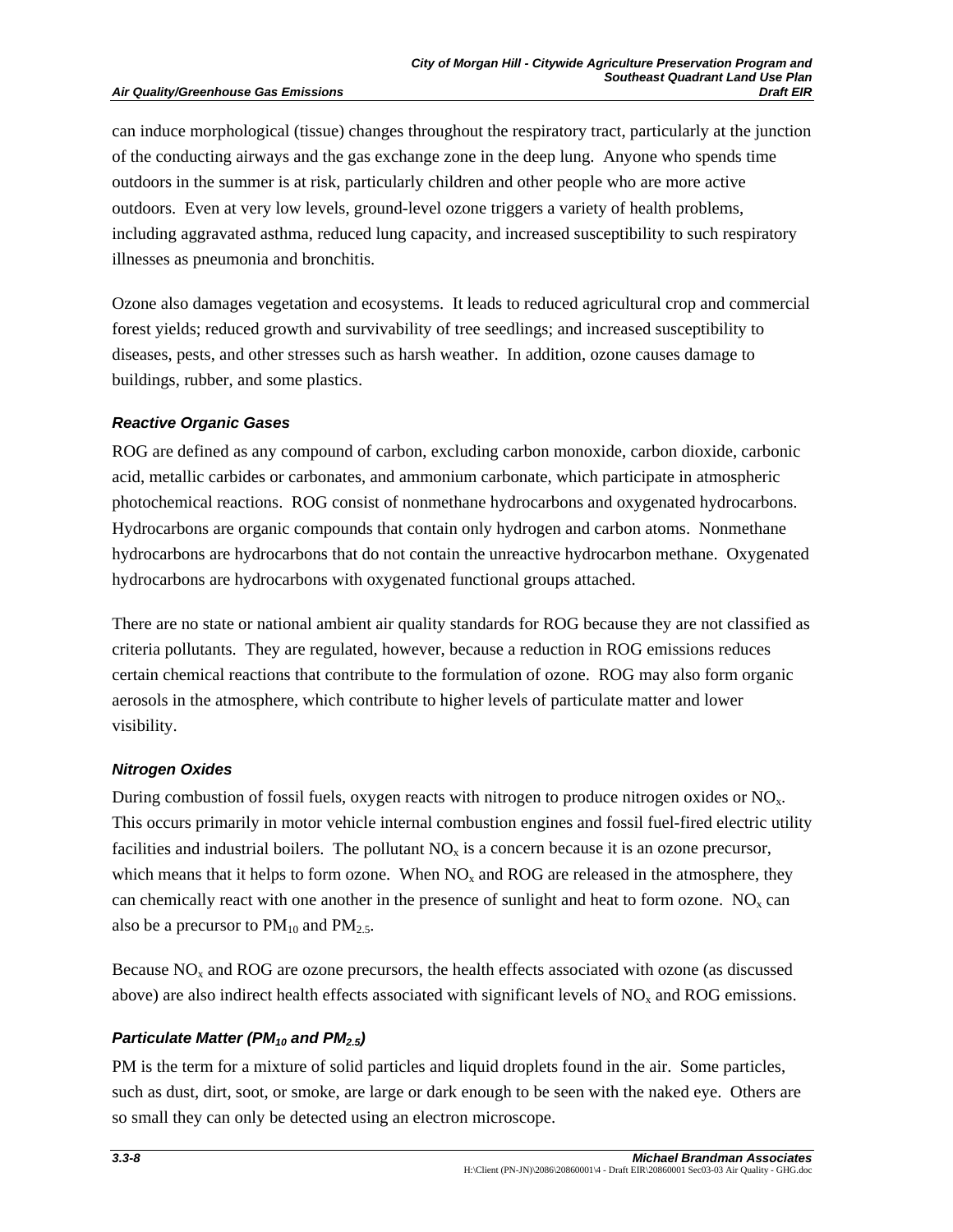#### **Air Quality/Greenhouse Gas Emissions**

can induce morphological (tissue) changes throughout the respiratory tract, particularly at the junction of the conducting airways and the gas exchange zone in the deep lung. Anyone who spends time outdoors in the summer is at risk, particularly children and other people who are more active outdoors. Even at very low levels, ground-level ozone triggers a variety of health problems, including aggravated asthma, reduced lung capacity, and increased susceptibility to such respiratory illnesses as pneumonia and bronchitis.

Ozone also damages vegetation and ecosystems. It leads to reduced agricultural crop and commercial forest yields; reduced growth and survivability of tree seedlings; and increased susceptibility to diseases, pests, and other stresses such as harsh weather. In addition, ozone causes damage to buildings, rubber, and some plastics.

#### *Reactive Organic Gases*

ROG are defined as any compound of carbon, excluding carbon monoxide, carbon dioxide, carbonic acid, metallic carbides or carbonates, and ammonium carbonate, which participate in atmospheric photochemical reactions. ROG consist of nonmethane hydrocarbons and oxygenated hydrocarbons. Hydrocarbons are organic compounds that contain only hydrogen and carbon atoms. Nonmethane hydrocarbons are hydrocarbons that do not contain the unreactive hydrocarbon methane. Oxygenated hydrocarbons are hydrocarbons with oxygenated functional groups attached.

There are no state or national ambient air quality standards for ROG because they are not classified as criteria pollutants. They are regulated, however, because a reduction in ROG emissions reduces certain chemical reactions that contribute to the formulation of ozone. ROG may also form organic aerosols in the atmosphere, which contribute to higher levels of particulate matter and lower visibility.

#### *Nitrogen Oxides*

During combustion of fossil fuels, oxygen reacts with nitrogen to produce nitrogen oxides or NO<sub>x</sub>. This occurs primarily in motor vehicle internal combustion engines and fossil fuel-fired electric utility facilities and industrial boilers. The pollutant  $NO<sub>x</sub>$  is a concern because it is an ozone precursor, which means that it helps to form ozone. When  $NO<sub>x</sub>$  and  $ROG$  are released in the atmosphere, they can chemically react with one another in the presence of sunlight and heat to form ozone.  $NO<sub>x</sub>$  can also be a precursor to  $PM_{10}$  and  $PM_{2.5}$ .

Because  $NO<sub>x</sub>$  and ROG are ozone precursors, the health effects associated with ozone (as discussed above) are also indirect health effects associated with significant levels of  $NO<sub>x</sub>$  and ROG emissions.

#### *Particulate Matter (PM<sub>10</sub> and PM<sub>2.5</sub>)*

PM is the term for a mixture of solid particles and liquid droplets found in the air. Some particles, such as dust, dirt, soot, or smoke, are large or dark enough to be seen with the naked eye. Others are so small they can only be detected using an electron microscope.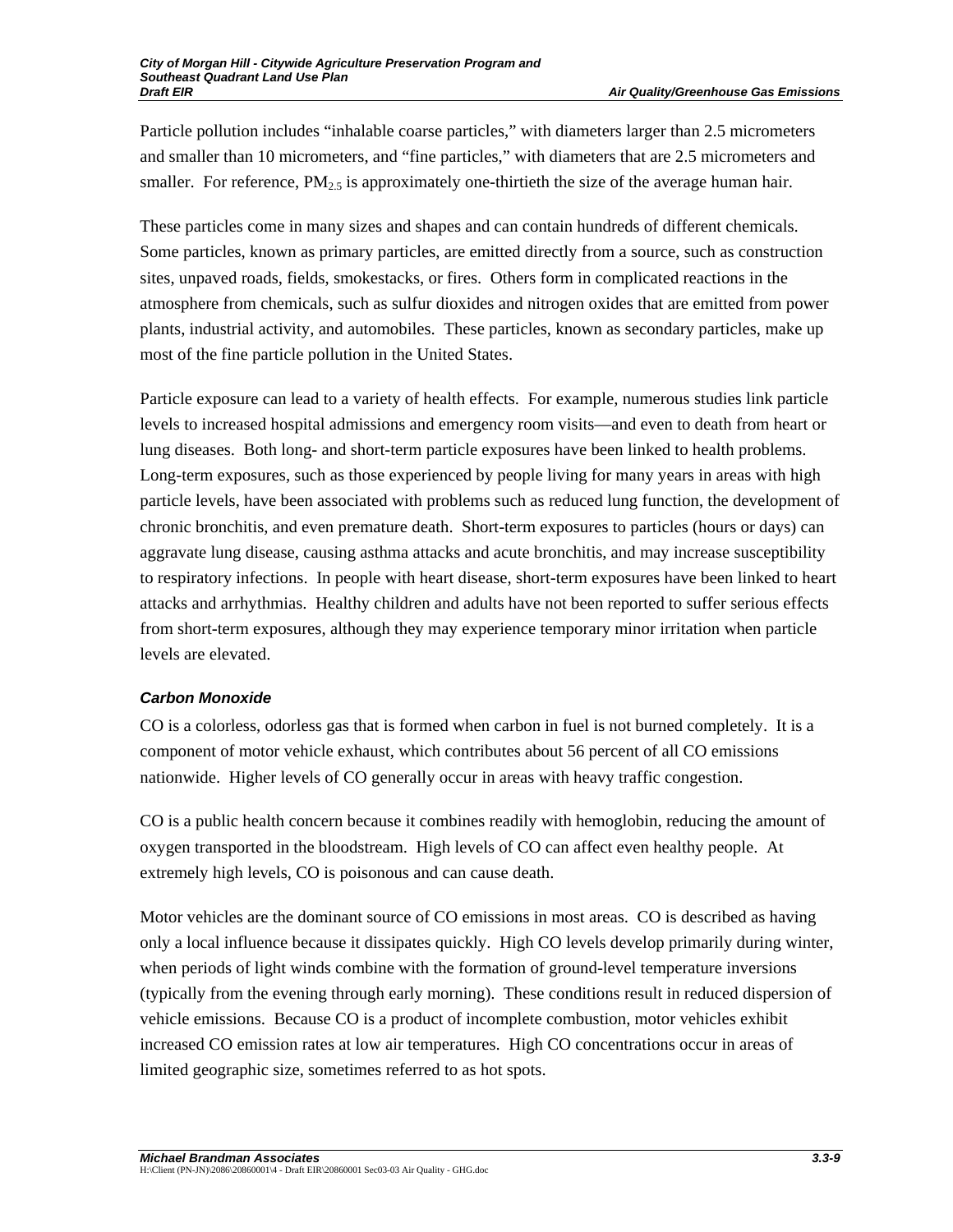Particle pollution includes "inhalable coarse particles," with diameters larger than 2.5 micrometers and smaller than 10 micrometers, and "fine particles," with diameters that are 2.5 micrometers and smaller. For reference,  $PM_2$ <sub>5</sub> is approximately one-thirtieth the size of the average human hair.

These particles come in many sizes and shapes and can contain hundreds of different chemicals. Some particles, known as primary particles, are emitted directly from a source, such as construction sites, unpaved roads, fields, smokestacks, or fires. Others form in complicated reactions in the atmosphere from chemicals, such as sulfur dioxides and nitrogen oxides that are emitted from power plants, industrial activity, and automobiles. These particles, known as secondary particles, make up most of the fine particle pollution in the United States.

Particle exposure can lead to a variety of health effects. For example, numerous studies link particle levels to increased hospital admissions and emergency room visits—and even to death from heart or lung diseases. Both long- and short-term particle exposures have been linked to health problems. Long-term exposures, such as those experienced by people living for many years in areas with high particle levels, have been associated with problems such as reduced lung function, the development of chronic bronchitis, and even premature death. Short-term exposures to particles (hours or days) can aggravate lung disease, causing asthma attacks and acute bronchitis, and may increase susceptibility to respiratory infections. In people with heart disease, short-term exposures have been linked to heart attacks and arrhythmias. Healthy children and adults have not been reported to suffer serious effects from short-term exposures, although they may experience temporary minor irritation when particle levels are elevated.

## *Carbon Monoxide*

CO is a colorless, odorless gas that is formed when carbon in fuel is not burned completely. It is a component of motor vehicle exhaust, which contributes about 56 percent of all CO emissions nationwide. Higher levels of CO generally occur in areas with heavy traffic congestion.

CO is a public health concern because it combines readily with hemoglobin, reducing the amount of oxygen transported in the bloodstream. High levels of CO can affect even healthy people. At extremely high levels, CO is poisonous and can cause death.

Motor vehicles are the dominant source of CO emissions in most areas. CO is described as having only a local influence because it dissipates quickly. High CO levels develop primarily during winter, when periods of light winds combine with the formation of ground-level temperature inversions (typically from the evening through early morning). These conditions result in reduced dispersion of vehicle emissions. Because CO is a product of incomplete combustion, motor vehicles exhibit increased CO emission rates at low air temperatures. High CO concentrations occur in areas of limited geographic size, sometimes referred to as hot spots.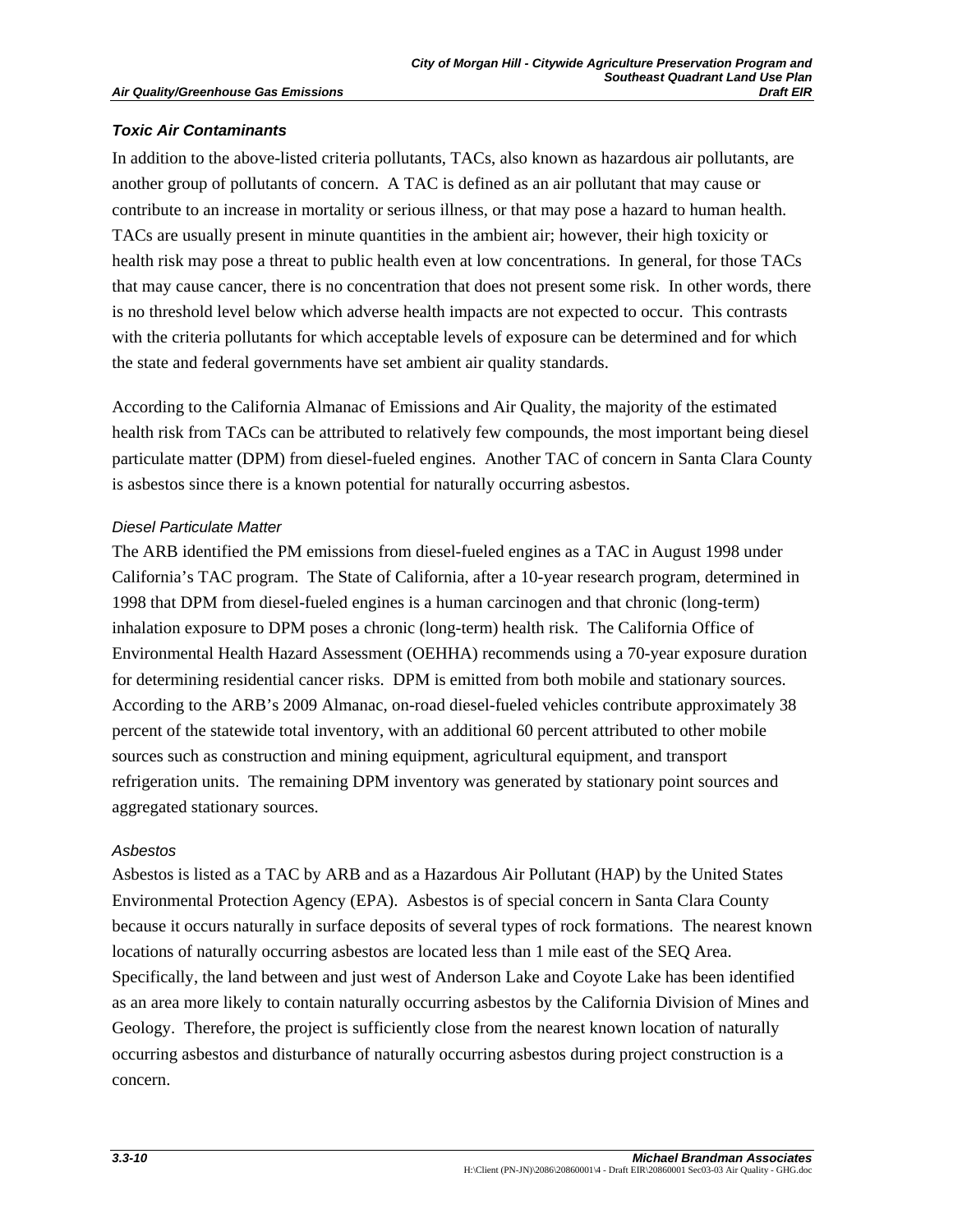## *Toxic Air Contaminants*

In addition to the above-listed criteria pollutants, TACs, also known as hazardous air pollutants, are another group of pollutants of concern. A TAC is defined as an air pollutant that may cause or contribute to an increase in mortality or serious illness, or that may pose a hazard to human health. TACs are usually present in minute quantities in the ambient air; however, their high toxicity or health risk may pose a threat to public health even at low concentrations. In general, for those TACs that may cause cancer, there is no concentration that does not present some risk. In other words, there is no threshold level below which adverse health impacts are not expected to occur. This contrasts with the criteria pollutants for which acceptable levels of exposure can be determined and for which the state and federal governments have set ambient air quality standards.

According to the California Almanac of Emissions and Air Quality, the majority of the estimated health risk from TACs can be attributed to relatively few compounds, the most important being diesel particulate matter (DPM) from diesel-fueled engines. Another TAC of concern in Santa Clara County is asbestos since there is a known potential for naturally occurring asbestos.

## *Diesel Particulate Matter*

The ARB identified the PM emissions from diesel-fueled engines as a TAC in August 1998 under California's TAC program. The State of California, after a 10-year research program, determined in 1998 that DPM from diesel-fueled engines is a human carcinogen and that chronic (long-term) inhalation exposure to DPM poses a chronic (long-term) health risk. The California Office of Environmental Health Hazard Assessment (OEHHA) recommends using a 70-year exposure duration for determining residential cancer risks. DPM is emitted from both mobile and stationary sources. According to the ARB's 2009 Almanac, on-road diesel-fueled vehicles contribute approximately 38 percent of the statewide total inventory, with an additional 60 percent attributed to other mobile sources such as construction and mining equipment, agricultural equipment, and transport refrigeration units. The remaining DPM inventory was generated by stationary point sources and aggregated stationary sources.

#### *Asbestos*

Asbestos is listed as a TAC by ARB and as a Hazardous Air Pollutant (HAP) by the United States Environmental Protection Agency (EPA). Asbestos is of special concern in Santa Clara County because it occurs naturally in surface deposits of several types of rock formations. The nearest known locations of naturally occurring asbestos are located less than 1 mile east of the SEQ Area. Specifically, the land between and just west of Anderson Lake and Coyote Lake has been identified as an area more likely to contain naturally occurring asbestos by the California Division of Mines and Geology. Therefore, the project is sufficiently close from the nearest known location of naturally occurring asbestos and disturbance of naturally occurring asbestos during project construction is a concern.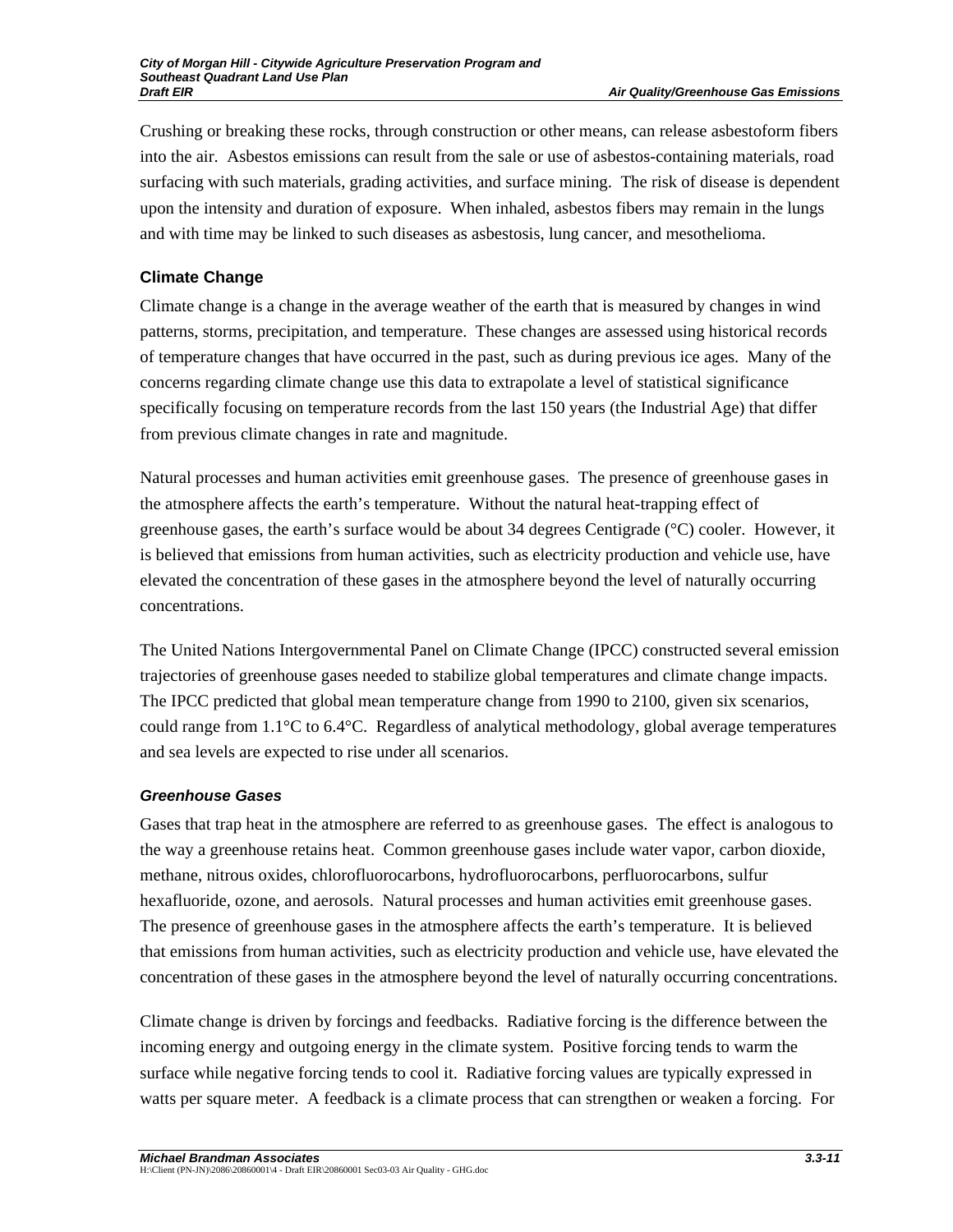Crushing or breaking these rocks, through construction or other means, can release asbestoform fibers into the air. Asbestos emissions can result from the sale or use of asbestos-containing materials, road surfacing with such materials, grading activities, and surface mining. The risk of disease is dependent upon the intensity and duration of exposure. When inhaled, asbestos fibers may remain in the lungs and with time may be linked to such diseases as asbestosis, lung cancer, and mesothelioma.

## **Climate Change**

Climate change is a change in the average weather of the earth that is measured by changes in wind patterns, storms, precipitation, and temperature. These changes are assessed using historical records of temperature changes that have occurred in the past, such as during previous ice ages. Many of the concerns regarding climate change use this data to extrapolate a level of statistical significance specifically focusing on temperature records from the last 150 years (the Industrial Age) that differ from previous climate changes in rate and magnitude.

Natural processes and human activities emit greenhouse gases. The presence of greenhouse gases in the atmosphere affects the earth's temperature. Without the natural heat-trapping effect of greenhouse gases, the earth's surface would be about 34 degrees Centigrade (°C) cooler. However, it is believed that emissions from human activities, such as electricity production and vehicle use, have elevated the concentration of these gases in the atmosphere beyond the level of naturally occurring concentrations.

The United Nations Intergovernmental Panel on Climate Change (IPCC) constructed several emission trajectories of greenhouse gases needed to stabilize global temperatures and climate change impacts. The IPCC predicted that global mean temperature change from 1990 to 2100, given six scenarios, could range from 1.1°C to 6.4°C. Regardless of analytical methodology, global average temperatures and sea levels are expected to rise under all scenarios.

## *Greenhouse Gases*

Gases that trap heat in the atmosphere are referred to as greenhouse gases. The effect is analogous to the way a greenhouse retains heat. Common greenhouse gases include water vapor, carbon dioxide, methane, nitrous oxides, chlorofluorocarbons, hydrofluorocarbons, perfluorocarbons, sulfur hexafluoride, ozone, and aerosols. Natural processes and human activities emit greenhouse gases. The presence of greenhouse gases in the atmosphere affects the earth's temperature. It is believed that emissions from human activities, such as electricity production and vehicle use, have elevated the concentration of these gases in the atmosphere beyond the level of naturally occurring concentrations.

Climate change is driven by forcings and feedbacks. Radiative forcing is the difference between the incoming energy and outgoing energy in the climate system. Positive forcing tends to warm the surface while negative forcing tends to cool it. Radiative forcing values are typically expressed in watts per square meter. A feedback is a climate process that can strengthen or weaken a forcing. For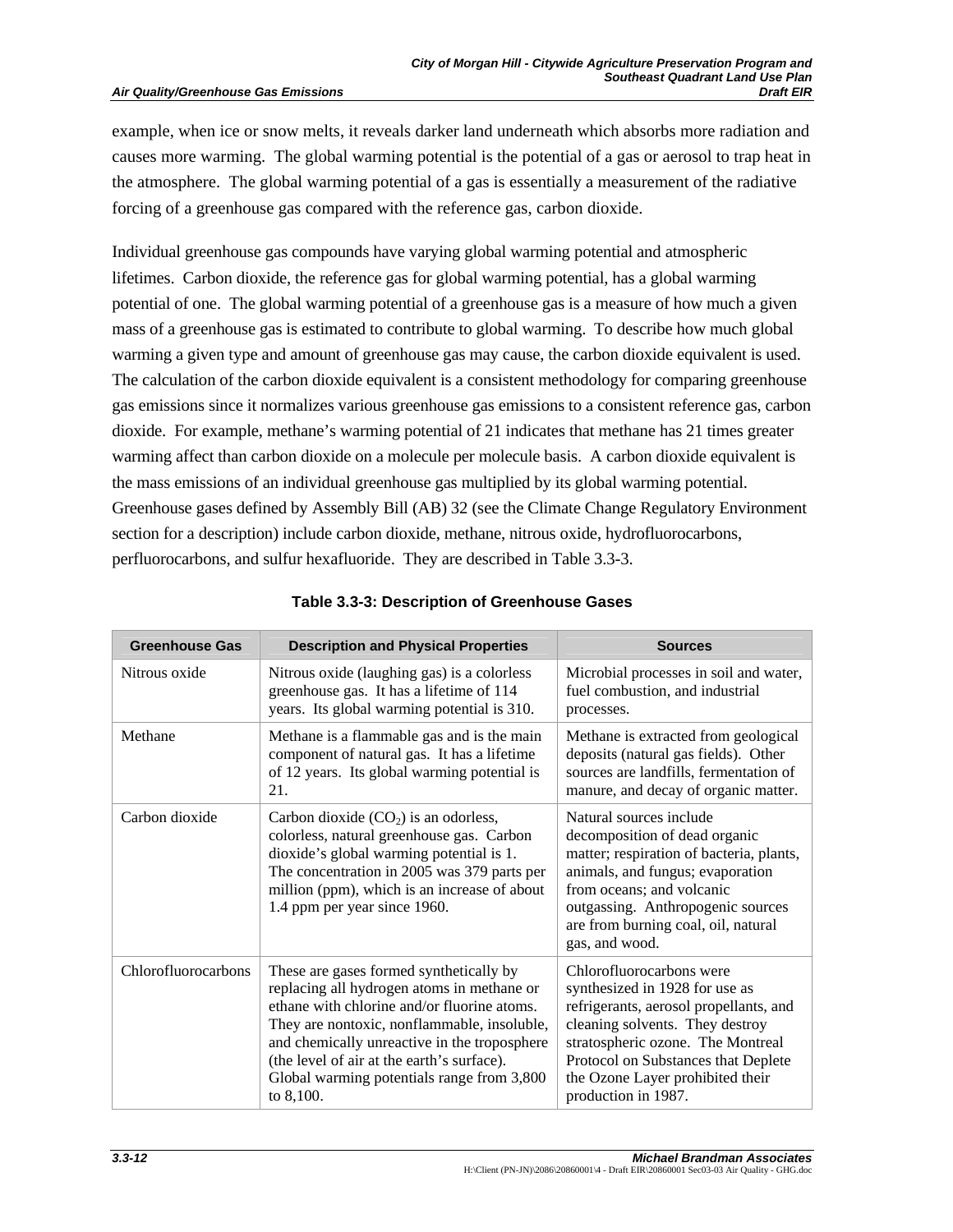#### **Air Quality/Greenhouse Gas Emissions**

example, when ice or snow melts, it reveals darker land underneath which absorbs more radiation and causes more warming. The global warming potential is the potential of a gas or aerosol to trap heat in the atmosphere. The global warming potential of a gas is essentially a measurement of the radiative forcing of a greenhouse gas compared with the reference gas, carbon dioxide.

Individual greenhouse gas compounds have varying global warming potential and atmospheric lifetimes. Carbon dioxide, the reference gas for global warming potential, has a global warming potential of one. The global warming potential of a greenhouse gas is a measure of how much a given mass of a greenhouse gas is estimated to contribute to global warming. To describe how much global warming a given type and amount of greenhouse gas may cause, the carbon dioxide equivalent is used. The calculation of the carbon dioxide equivalent is a consistent methodology for comparing greenhouse gas emissions since it normalizes various greenhouse gas emissions to a consistent reference gas, carbon dioxide. For example, methane's warming potential of 21 indicates that methane has 21 times greater warming affect than carbon dioxide on a molecule per molecule basis. A carbon dioxide equivalent is the mass emissions of an individual greenhouse gas multiplied by its global warming potential. Greenhouse gases defined by Assembly Bill (AB) 32 (see the Climate Change Regulatory Environment section for a description) include carbon dioxide, methane, nitrous oxide, hydrofluorocarbons, perfluorocarbons, and sulfur hexafluoride. They are described in Table 3.3-3.

| <b>Greenhouse Gas</b> | <b>Description and Physical Properties</b>                                                                                                                                                                                                                                                                                                   | <b>Sources</b>                                                                                                                                                                                                                                                                 |
|-----------------------|----------------------------------------------------------------------------------------------------------------------------------------------------------------------------------------------------------------------------------------------------------------------------------------------------------------------------------------------|--------------------------------------------------------------------------------------------------------------------------------------------------------------------------------------------------------------------------------------------------------------------------------|
| Nitrous oxide         | Nitrous oxide (laughing gas) is a colorless<br>greenhouse gas. It has a lifetime of 114<br>years. Its global warming potential is 310.                                                                                                                                                                                                       | Microbial processes in soil and water,<br>fuel combustion, and industrial<br>processes.                                                                                                                                                                                        |
| Methane               | Methane is a flammable gas and is the main<br>component of natural gas. It has a lifetime<br>of 12 years. Its global warming potential is<br>21.                                                                                                                                                                                             | Methane is extracted from geological<br>deposits (natural gas fields). Other<br>sources are landfills, fermentation of<br>manure, and decay of organic matter.                                                                                                                 |
| Carbon dioxide        | Carbon dioxide $(CO2)$ is an odorless,<br>colorless, natural greenhouse gas. Carbon<br>dioxide's global warming potential is 1.<br>The concentration in 2005 was 379 parts per<br>million (ppm), which is an increase of about<br>1.4 ppm per year since 1960.                                                                               | Natural sources include<br>decomposition of dead organic<br>matter; respiration of bacteria, plants,<br>animals, and fungus; evaporation<br>from oceans; and volcanic<br>outgassing. Anthropogenic sources<br>are from burning coal, oil, natural<br>gas, and wood.            |
| Chlorofluorocarbons   | These are gases formed synthetically by<br>replacing all hydrogen atoms in methane or<br>ethane with chlorine and/or fluorine atoms.<br>They are nontoxic, nonflammable, insoluble,<br>and chemically unreactive in the troposphere<br>(the level of air at the earth's surface).<br>Global warming potentials range from 3,800<br>to 8,100. | Chlorofluorocarbons were<br>synthesized in 1928 for use as<br>refrigerants, aerosol propellants, and<br>cleaning solvents. They destroy<br>stratospheric ozone. The Montreal<br>Protocol on Substances that Deplete<br>the Ozone Layer prohibited their<br>production in 1987. |

## **Table 3.3-3: Description of Greenhouse Gases**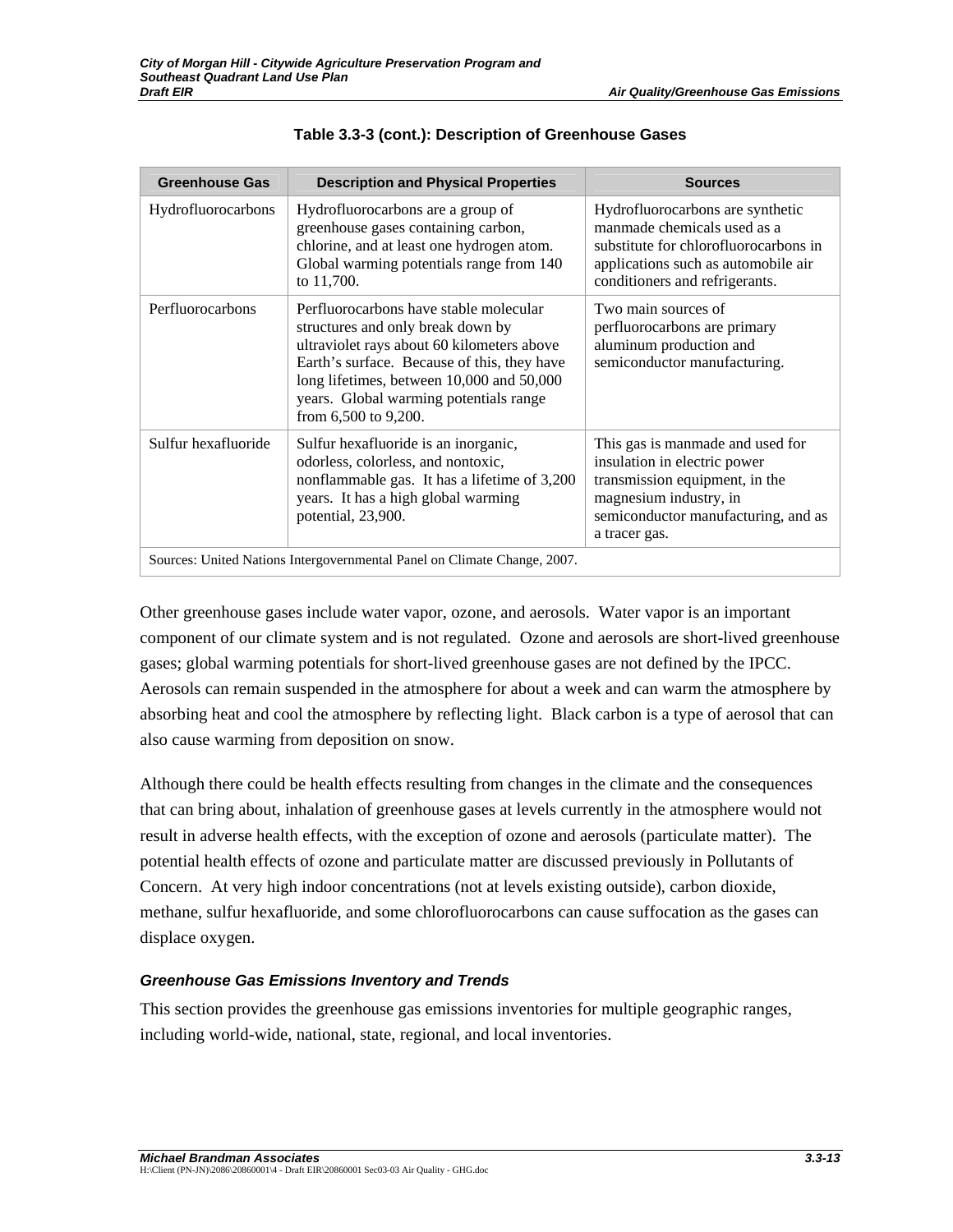| <b>Greenhouse Gas</b> | <b>Description and Physical Properties</b>                                                                                                                                                                                                                                              | <b>Sources</b>                                                                                                                                                                       |
|-----------------------|-----------------------------------------------------------------------------------------------------------------------------------------------------------------------------------------------------------------------------------------------------------------------------------------|--------------------------------------------------------------------------------------------------------------------------------------------------------------------------------------|
| Hydrofluorocarbons    | Hydrofluorocarbons are a group of<br>greenhouse gases containing carbon,<br>chlorine, and at least one hydrogen atom.<br>Global warming potentials range from 140<br>to 11,700.                                                                                                         | Hydrofluorocarbons are synthetic<br>manmade chemicals used as a<br>substitute for chlorofluorocarbons in<br>applications such as automobile air<br>conditioners and refrigerants.    |
| Perfluorocarbons      | Perfluorocarbons have stable molecular<br>structures and only break down by<br>ultraviolet rays about 60 kilometers above<br>Earth's surface. Because of this, they have<br>long lifetimes, between 10,000 and 50,000<br>years. Global warming potentials range<br>from 6,500 to 9,200. | Two main sources of<br>perfluorocarbons are primary<br>aluminum production and<br>semiconductor manufacturing.                                                                       |
| Sulfur hexafluoride   | Sulfur hexafluoride is an inorganic,<br>odorless, colorless, and nontoxic,<br>nonflammable gas. It has a lifetime of 3,200<br>years. It has a high global warming<br>potential, 23,900.                                                                                                 | This gas is manmade and used for<br>insulation in electric power<br>transmission equipment, in the<br>magnesium industry, in<br>semiconductor manufacturing, and as<br>a tracer gas. |
|                       | Sources: United Nations Intergovernmental Panel on Climate Change, 2007.                                                                                                                                                                                                                |                                                                                                                                                                                      |

## **Table 3.3-3 (cont.): Description of Greenhouse Gases**

Other greenhouse gases include water vapor, ozone, and aerosols. Water vapor is an important component of our climate system and is not regulated. Ozone and aerosols are short-lived greenhouse gases; global warming potentials for short-lived greenhouse gases are not defined by the IPCC. Aerosols can remain suspended in the atmosphere for about a week and can warm the atmosphere by absorbing heat and cool the atmosphere by reflecting light. Black carbon is a type of aerosol that can also cause warming from deposition on snow.

Although there could be health effects resulting from changes in the climate and the consequences that can bring about, inhalation of greenhouse gases at levels currently in the atmosphere would not result in adverse health effects, with the exception of ozone and aerosols (particulate matter). The potential health effects of ozone and particulate matter are discussed previously in Pollutants of Concern. At very high indoor concentrations (not at levels existing outside), carbon dioxide, methane, sulfur hexafluoride, and some chlorofluorocarbons can cause suffocation as the gases can displace oxygen.

# *Greenhouse Gas Emissions Inventory and Trends*

This section provides the greenhouse gas emissions inventories for multiple geographic ranges, including world-wide, national, state, regional, and local inventories.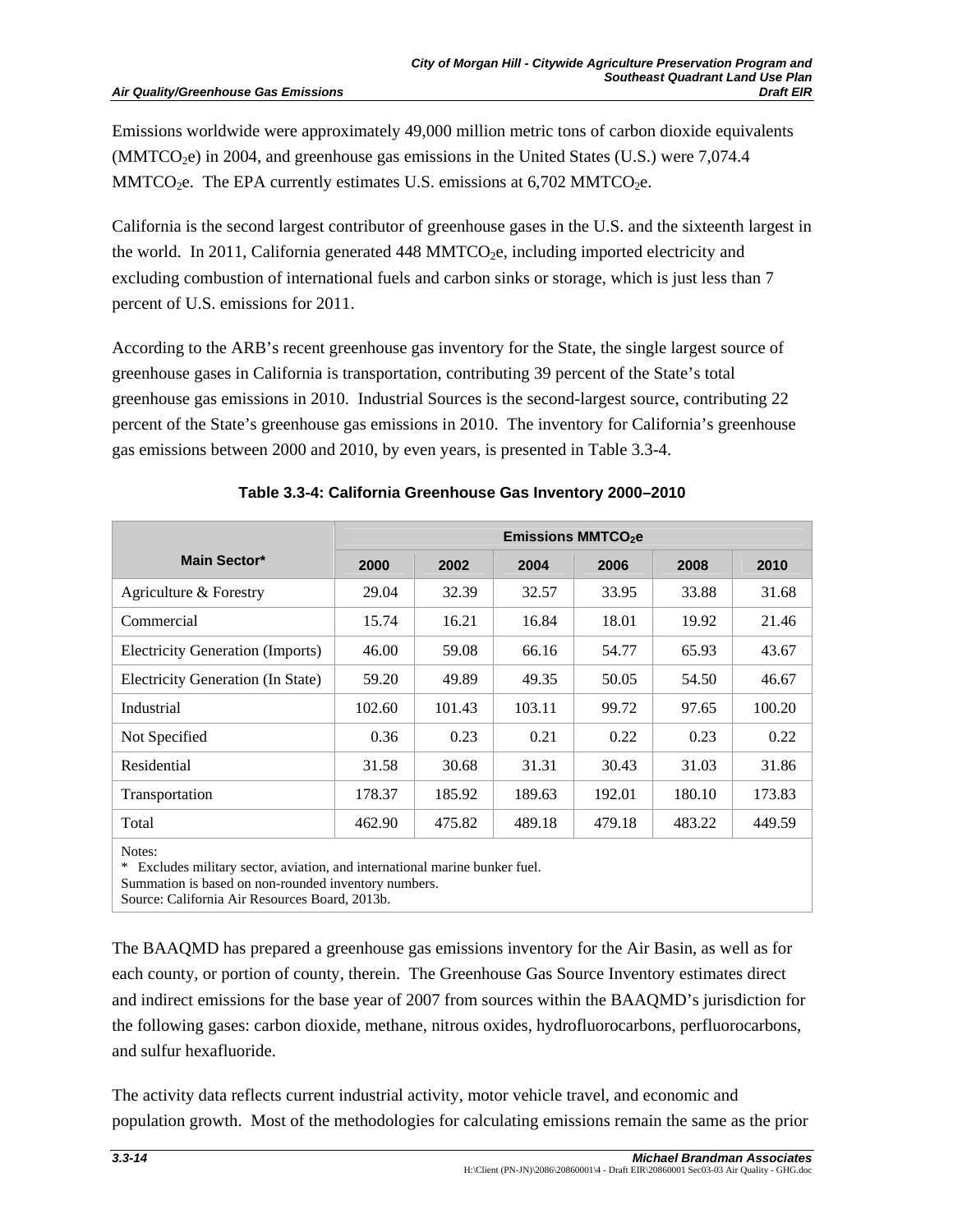Emissions worldwide were approximately 49,000 million metric tons of carbon dioxide equivalents  $(MMTCO<sub>2</sub>e)$  in 2004, and greenhouse gas emissions in the United States (U.S.) were 7,074.4 MMTCO<sub>2</sub>e. The EPA currently estimates U.S. emissions at  $6,702$  MMTCO<sub>2</sub>e.

California is the second largest contributor of greenhouse gases in the U.S. and the sixteenth largest in the world. In 2011, California generated 448 MMTCO<sub>2</sub>e, including imported electricity and excluding combustion of international fuels and carbon sinks or storage, which is just less than 7 percent of U.S. emissions for 2011.

According to the ARB's recent greenhouse gas inventory for the State, the single largest source of greenhouse gases in California is transportation, contributing 39 percent of the State's total greenhouse gas emissions in 2010. Industrial Sources is the second-largest source, contributing 22 percent of the State's greenhouse gas emissions in 2010. The inventory for California's greenhouse gas emissions between 2000 and 2010, by even years, is presented in Table 3.3-4.

|                                         | <b>Emissions MMTCO2e</b> |        |        |        |        |        |
|-----------------------------------------|--------------------------|--------|--------|--------|--------|--------|
| Main Sector*                            | 2000                     | 2002   | 2004   | 2006   | 2008   | 2010   |
| Agriculture & Forestry                  | 29.04                    | 32.39  | 32.57  | 33.95  | 33.88  | 31.68  |
| Commercial                              | 15.74                    | 16.21  | 16.84  | 18.01  | 19.92  | 21.46  |
| <b>Electricity Generation (Imports)</b> | 46.00                    | 59.08  | 66.16  | 54.77  | 65.93  | 43.67  |
| Electricity Generation (In State)       | 59.20                    | 49.89  | 49.35  | 50.05  | 54.50  | 46.67  |
| Industrial                              | 102.60                   | 101.43 | 103.11 | 99.72  | 97.65  | 100.20 |
| Not Specified                           | 0.36                     | 0.23   | 0.21   | 0.22   | 0.23   | 0.22   |
| Residential                             | 31.58                    | 30.68  | 31.31  | 30.43  | 31.03  | 31.86  |
| Transportation                          | 178.37                   | 185.92 | 189.63 | 192.01 | 180.10 | 173.83 |
| Total                                   | 462.90                   | 475.82 | 489.18 | 479.18 | 483.22 | 449.59 |

|  | Table 3.3-4: California Greenhouse Gas Inventory 2000-2010 |  |  |
|--|------------------------------------------------------------|--|--|
|  |                                                            |  |  |

Notes:

\* Excludes military sector, aviation, and international marine bunker fuel.

Summation is based on non-rounded inventory numbers.

Source: California Air Resources Board, 2013b.

The BAAQMD has prepared a greenhouse gas emissions inventory for the Air Basin, as well as for each county, or portion of county, therein. The Greenhouse Gas Source Inventory estimates direct and indirect emissions for the base year of 2007 from sources within the BAAQMD's jurisdiction for the following gases: carbon dioxide, methane, nitrous oxides, hydrofluorocarbons, perfluorocarbons, and sulfur hexafluoride.

The activity data reflects current industrial activity, motor vehicle travel, and economic and population growth. Most of the methodologies for calculating emissions remain the same as the prior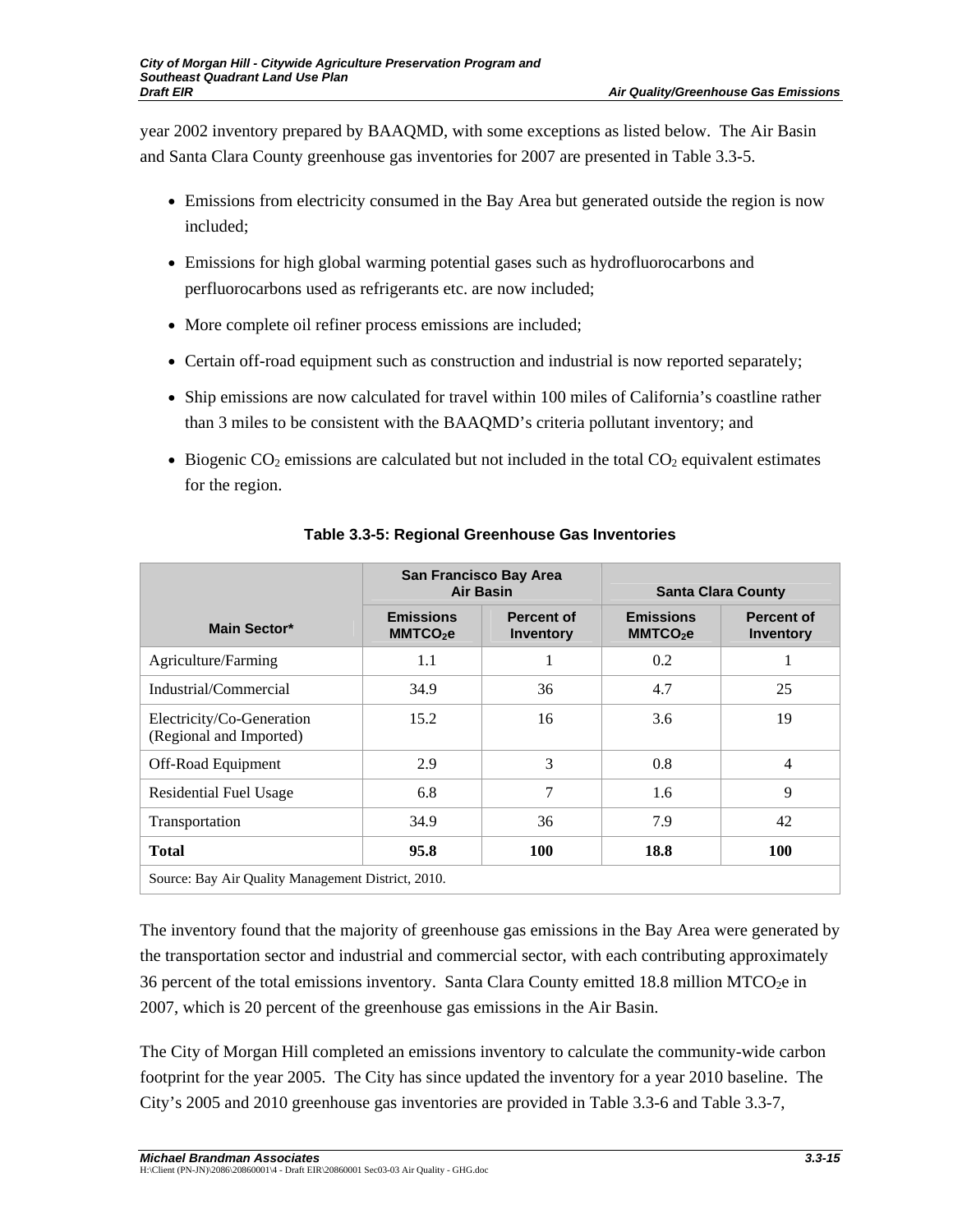year 2002 inventory prepared by BAAQMD, with some exceptions as listed below. The Air Basin and Santa Clara County greenhouse gas inventories for 2007 are presented in Table 3.3-5.

- Emissions from electricity consumed in the Bay Area but generated outside the region is now included;
- Emissions for high global warming potential gases such as hydrofluorocarbons and perfluorocarbons used as refrigerants etc. are now included;
- More complete oil refiner process emissions are included;
- Certain off-road equipment such as construction and industrial is now reported separately;
- Ship emissions are now calculated for travel within 100 miles of California's coastline rather than 3 miles to be consistent with the BAAQMD's criteria pollutant inventory; and
- Biogenic  $CO<sub>2</sub>$  emissions are calculated but not included in the total  $CO<sub>2</sub>$  equivalent estimates for the region.

|                                                      | San Francisco Bay Area<br><b>Air Basin</b> |                                       | <b>Santa Clara County</b>                |                                       |
|------------------------------------------------------|--------------------------------------------|---------------------------------------|------------------------------------------|---------------------------------------|
| Main Sector*                                         | <b>Emissions</b><br>MMTCO <sub>2</sub> e   | <b>Percent of</b><br><b>Inventory</b> | <b>Emissions</b><br>MMTCO <sub>2</sub> e | <b>Percent of</b><br><b>Inventory</b> |
| Agriculture/Farming                                  | 1.1                                        |                                       | 0.2                                      |                                       |
| Industrial/Commercial                                | 34.9                                       | 36                                    | 4.7                                      | 25                                    |
| Electricity/Co-Generation<br>(Regional and Imported) | 15.2                                       | 16                                    | 3.6                                      | 19                                    |
| Off-Road Equipment                                   | 2.9                                        | 3                                     | 0.8                                      | 4                                     |
| <b>Residential Fuel Usage</b>                        | 6.8                                        | 7                                     | 1.6                                      | 9                                     |
| Transportation                                       | 34.9                                       | 36                                    | 7.9                                      | 42                                    |
| <b>Total</b>                                         | 95.8                                       | 100                                   | 18.8                                     | 100                                   |
| Source: Bay Air Quality Management District, 2010.   |                                            |                                       |                                          |                                       |

# **Table 3.3-5: Regional Greenhouse Gas Inventories**

The inventory found that the majority of greenhouse gas emissions in the Bay Area were generated by the transportation sector and industrial and commercial sector, with each contributing approximately 36 percent of the total emissions inventory. Santa Clara County emitted 18.8 million  $MTCO<sub>2</sub>e$  in 2007, which is 20 percent of the greenhouse gas emissions in the Air Basin.

The City of Morgan Hill completed an emissions inventory to calculate the community-wide carbon footprint for the year 2005. The City has since updated the inventory for a year 2010 baseline. The City's 2005 and 2010 greenhouse gas inventories are provided in Table 3.3-6 and Table 3.3-7,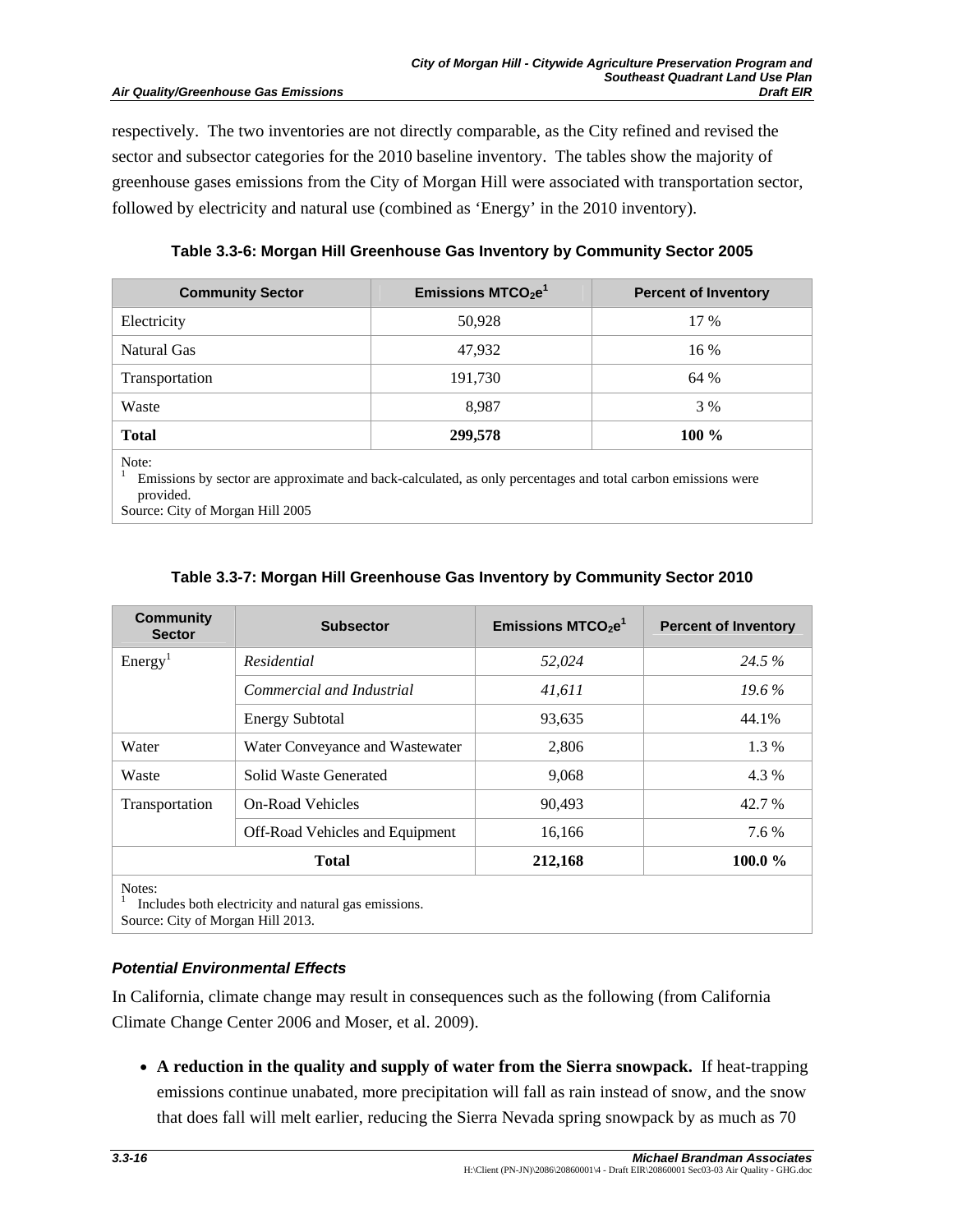respectively. The two inventories are not directly comparable, as the City refined and revised the sector and subsector categories for the 2010 baseline inventory. The tables show the majority of greenhouse gases emissions from the City of Morgan Hill were associated with transportation sector, followed by electricity and natural use (combined as 'Energy' in the 2010 inventory).

**Table 3.3-6: Morgan Hill Greenhouse Gas Inventory by Community Sector 2005** 

| <b>Community Sector</b> | Emissions $MTCO2e1$                                                                                          | <b>Percent of Inventory</b> |
|-------------------------|--------------------------------------------------------------------------------------------------------------|-----------------------------|
| Electricity             | 50,928                                                                                                       | 17 %                        |
| Natural Gas             | 47.932                                                                                                       | 16 %                        |
| Transportation          | 191,730                                                                                                      | 64 %                        |
| Waste                   | 8.987                                                                                                        | 3 %                         |
| <b>Total</b>            | 299,578                                                                                                      | $100\%$                     |
| Note:                   | Emissions by sector are approximate and back-calculated, as only percentages and total carbon emissions were |                             |

provided.

Source: City of Morgan Hill 2005

## **Table 3.3-7: Morgan Hill Greenhouse Gas Inventory by Community Sector 2010**

| <b>Community</b><br><b>Sector</b> | <b>Subsector</b>                                  | Emissions $MTCO2e1$ | <b>Percent of Inventory</b> |
|-----------------------------------|---------------------------------------------------|---------------------|-----------------------------|
| Energy <sup>1</sup>               | Residential                                       | 52,024              | 24.5 %                      |
|                                   | Commercial and Industrial                         | 41,611              | $19.6\%$                    |
|                                   | <b>Energy Subtotal</b>                            | 93,635              | 44.1%                       |
| Water                             | Water Conveyance and Wastewater                   | 2,806               | 1.3 %                       |
| Waste                             | Solid Waste Generated                             | 9,068               | 4.3 %                       |
| Transportation                    | <b>On-Road Vehicles</b>                           | 90,493              | 42.7 %                      |
|                                   | <b>Off-Road Vehicles and Equipment</b>            | 16,166              | 7.6 %                       |
|                                   | <b>Total</b>                                      | 212,168             | 100.0 $\%$                  |
| Notes:                            | Included hoth electricity and notural accompanies |                     |                             |

 Includes both electricity and natural gas emissions. Source: City of Morgan Hill 2013.

## *Potential Environmental Effects*

In California, climate change may result in consequences such as the following (from California Climate Change Center 2006 and Moser, et al. 2009).

• **A reduction in the quality and supply of water from the Sierra snowpack.** If heat-trapping emissions continue unabated, more precipitation will fall as rain instead of snow, and the snow that does fall will melt earlier, reducing the Sierra Nevada spring snowpack by as much as 70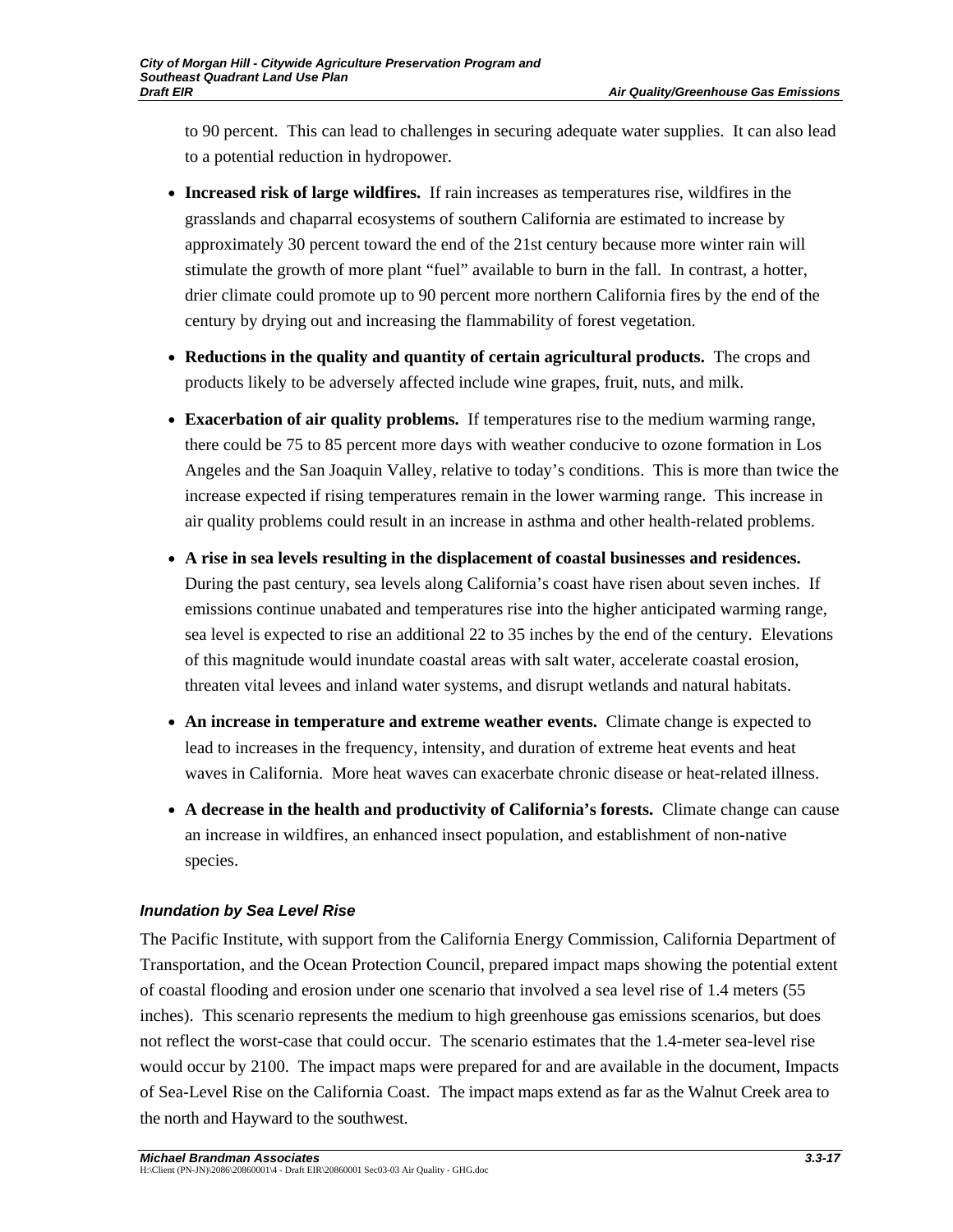to 90 percent. This can lead to challenges in securing adequate water supplies. It can also lead to a potential reduction in hydropower.

- **Increased risk of large wildfires.** If rain increases as temperatures rise, wildfires in the grasslands and chaparral ecosystems of southern California are estimated to increase by approximately 30 percent toward the end of the 21st century because more winter rain will stimulate the growth of more plant "fuel" available to burn in the fall. In contrast, a hotter, drier climate could promote up to 90 percent more northern California fires by the end of the century by drying out and increasing the flammability of forest vegetation.
- **Reductions in the quality and quantity of certain agricultural products.** The crops and products likely to be adversely affected include wine grapes, fruit, nuts, and milk.
- **Exacerbation of air quality problems.** If temperatures rise to the medium warming range, there could be 75 to 85 percent more days with weather conducive to ozone formation in Los Angeles and the San Joaquin Valley, relative to today's conditions. This is more than twice the increase expected if rising temperatures remain in the lower warming range. This increase in air quality problems could result in an increase in asthma and other health-related problems.
- **A rise in sea levels resulting in the displacement of coastal businesses and residences.** During the past century, sea levels along California's coast have risen about seven inches. If emissions continue unabated and temperatures rise into the higher anticipated warming range, sea level is expected to rise an additional 22 to 35 inches by the end of the century. Elevations of this magnitude would inundate coastal areas with salt water, accelerate coastal erosion, threaten vital levees and inland water systems, and disrupt wetlands and natural habitats.
- **An increase in temperature and extreme weather events.** Climate change is expected to lead to increases in the frequency, intensity, and duration of extreme heat events and heat waves in California. More heat waves can exacerbate chronic disease or heat-related illness.
- **A decrease in the health and productivity of California's forests.** Climate change can cause an increase in wildfires, an enhanced insect population, and establishment of non-native species.

## *Inundation by Sea Level Rise*

The Pacific Institute, with support from the California Energy Commission, California Department of Transportation, and the Ocean Protection Council, prepared impact maps showing the potential extent of coastal flooding and erosion under one scenario that involved a sea level rise of 1.4 meters (55 inches). This scenario represents the medium to high greenhouse gas emissions scenarios, but does not reflect the worst-case that could occur. The scenario estimates that the 1.4-meter sea-level rise would occur by 2100. The impact maps were prepared for and are available in the document, Impacts of Sea-Level Rise on the California Coast. The impact maps extend as far as the Walnut Creek area to the north and Hayward to the southwest.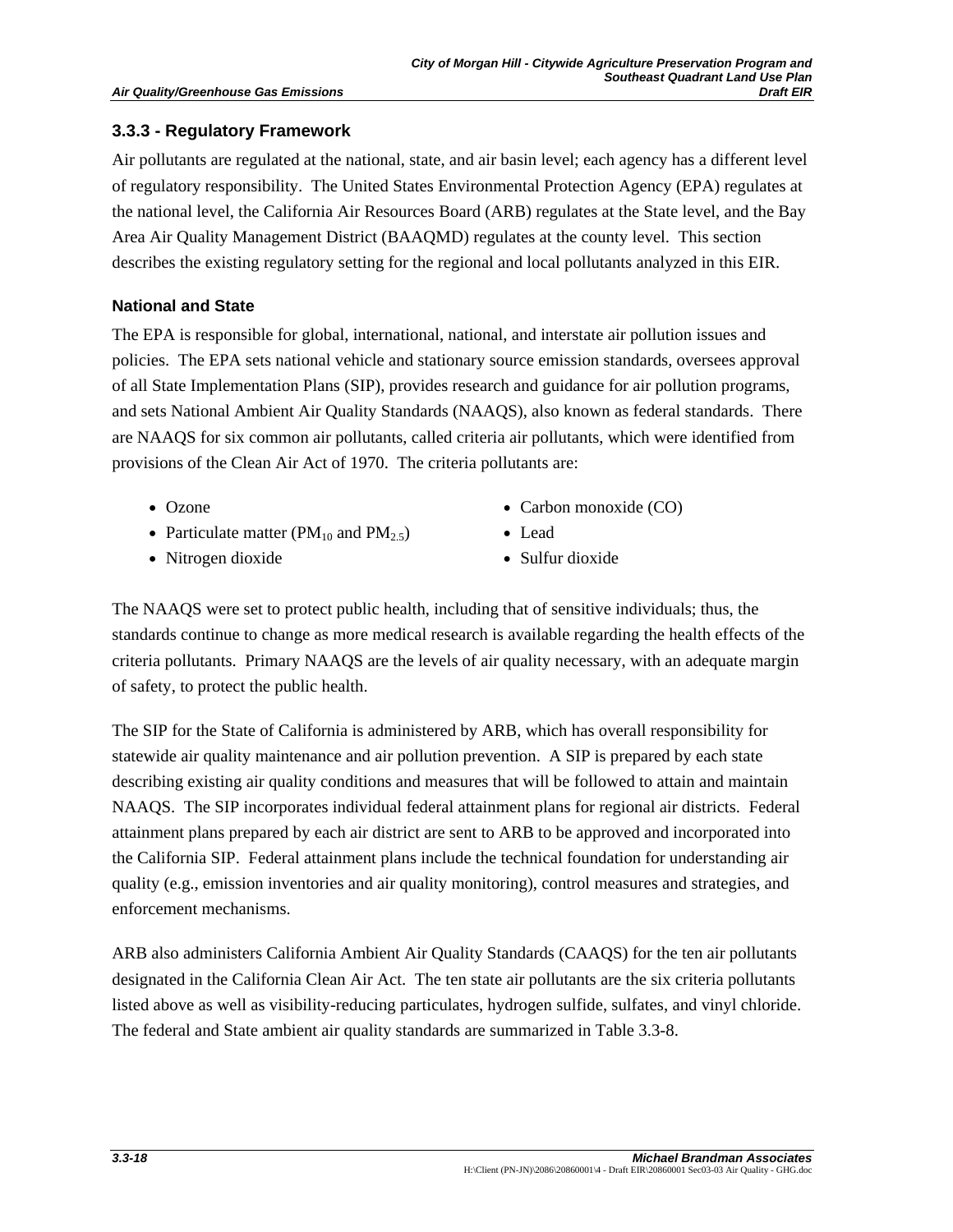## **3.3.3 - Regulatory Framework**

Air pollutants are regulated at the national, state, and air basin level; each agency has a different level of regulatory responsibility. The United States Environmental Protection Agency (EPA) regulates at the national level, the California Air Resources Board (ARB) regulates at the State level, and the Bay Area Air Quality Management District (BAAQMD) regulates at the county level. This section describes the existing regulatory setting for the regional and local pollutants analyzed in this EIR.

## **National and State**

The EPA is responsible for global, international, national, and interstate air pollution issues and policies. The EPA sets national vehicle and stationary source emission standards, oversees approval of all State Implementation Plans (SIP), provides research and guidance for air pollution programs, and sets National Ambient Air Quality Standards (NAAQS), also known as federal standards. There are NAAQS for six common air pollutants, called criteria air pollutants, which were identified from provisions of the Clean Air Act of 1970. The criteria pollutants are:

- Ozone Carbon monoxide (CO)
- Particulate matter (PM<sub>10</sub> and PM<sub>2.5</sub>) Lead
- 
- Nitrogen dioxide Sulfur dioxide
	-

The NAAQS were set to protect public health, including that of sensitive individuals; thus, the standards continue to change as more medical research is available regarding the health effects of the criteria pollutants. Primary NAAQS are the levels of air quality necessary, with an adequate margin of safety, to protect the public health.

The SIP for the State of California is administered by ARB, which has overall responsibility for statewide air quality maintenance and air pollution prevention. A SIP is prepared by each state describing existing air quality conditions and measures that will be followed to attain and maintain NAAQS. The SIP incorporates individual federal attainment plans for regional air districts. Federal attainment plans prepared by each air district are sent to ARB to be approved and incorporated into the California SIP. Federal attainment plans include the technical foundation for understanding air quality (e.g., emission inventories and air quality monitoring), control measures and strategies, and enforcement mechanisms.

ARB also administers California Ambient Air Quality Standards (CAAQS) for the ten air pollutants designated in the California Clean Air Act. The ten state air pollutants are the six criteria pollutants listed above as well as visibility-reducing particulates, hydrogen sulfide, sulfates, and vinyl chloride. The federal and State ambient air quality standards are summarized in Table 3.3-8.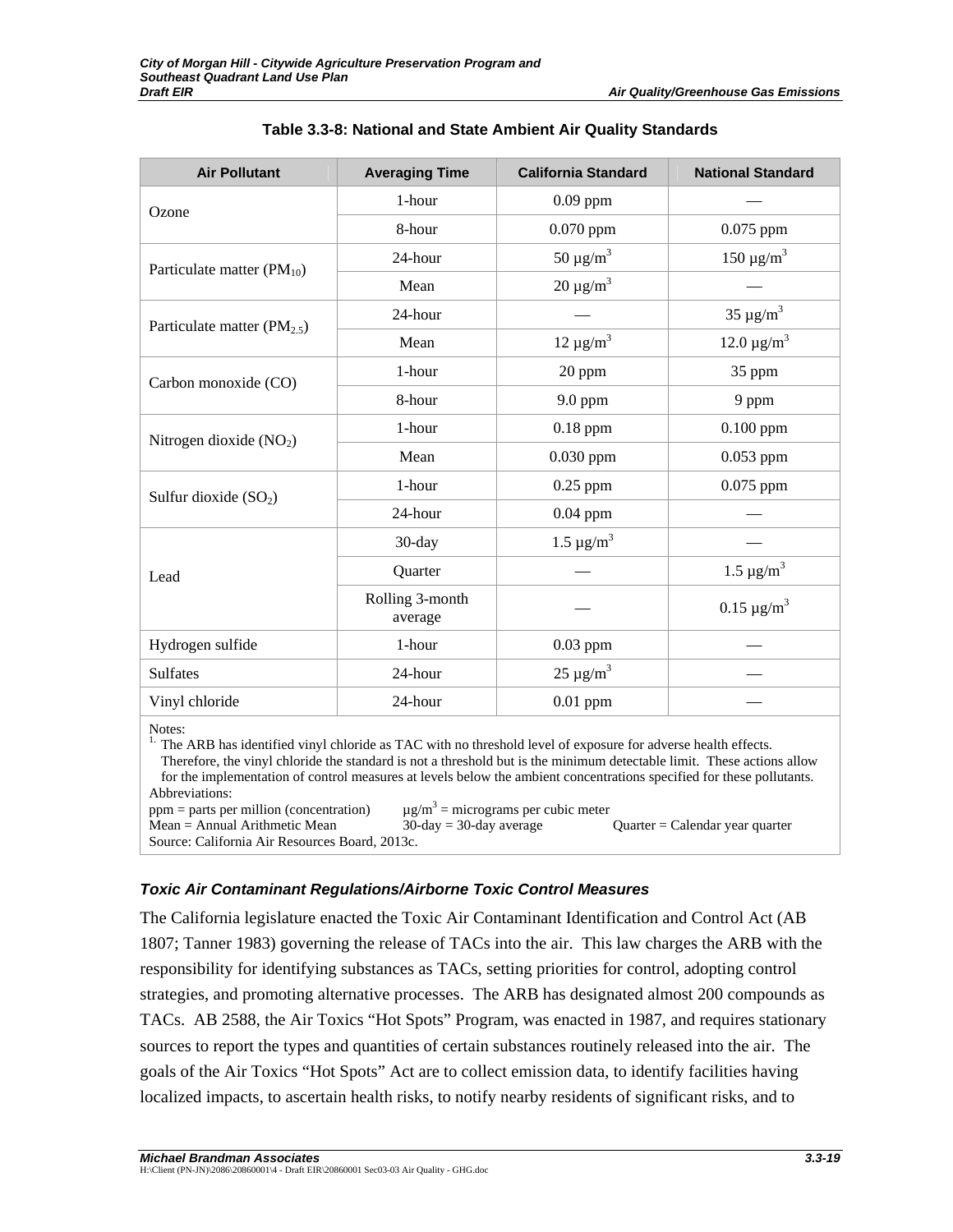| <b>Air Pollutant</b>                    | <b>Averaging Time</b>      | <b>California Standard</b> | <b>National Standard</b>    |
|-----------------------------------------|----------------------------|----------------------------|-----------------------------|
| Ozone                                   | 1-hour                     | $0.09$ ppm                 |                             |
|                                         | 8-hour                     | $0.070$ ppm                | 0.075 ppm                   |
| Particulate matter $(PM_{10})$          | 24-hour                    | $50 \mu g/m^3$             | $150 \mu g/m^3$             |
|                                         | Mean                       | $20 \mu g/m^3$             |                             |
| Particulate matter (PM <sub>2.5</sub> ) | 24-hour                    |                            | $35 \mu g/m^3$              |
|                                         | Mean                       | $12 \mu g/m^3$             | $12.0 \,\mu g/m^3$          |
| Carbon monoxide (CO)                    | 1-hour                     | 20 ppm                     | 35 ppm                      |
|                                         | 8-hour                     | 9.0 ppm                    | 9 ppm                       |
| Nitrogen dioxide $(NO2)$                | 1-hour                     | $0.18$ ppm                 | $0.100$ ppm                 |
|                                         | Mean                       | $0.030$ ppm                | 0.053 ppm                   |
| Sulfur dioxide $(SO2)$                  | 1-hour                     | $0.25$ ppm                 | $0.075$ ppm                 |
|                                         | 24-hour                    | $0.04$ ppm                 |                             |
|                                         | 30-day                     | $1.5 \,\mu g/m^3$          |                             |
| Lead                                    | Quarter                    |                            | $1.5 \,\mu g/m^3$           |
|                                         | Rolling 3-month<br>average |                            | $0.15 \,\mathrm{\mu g/m^3}$ |
| Hydrogen sulfide                        | 1-hour                     | $0.03$ ppm                 |                             |
| <b>Sulfates</b>                         | 24-hour                    | $25 \mu g/m^3$             |                             |
| Vinyl chloride                          | 24-hour                    | $0.01$ ppm                 |                             |
| $\mathbf{r}$ .                          |                            |                            |                             |

#### **Table 3.3-8: National and State Ambient Air Quality Standards**

Notes:

 $<sup>1</sup>$ . The ARB has identified vinyl chloride as TAC with no threshold level of exposure for adverse health effects.</sup> Therefore, the vinyl chloride the standard is not a threshold but is the minimum detectable limit. These actions allow for the implementation of control measures at levels below the ambient concentrations specified for these pollutants. Abbreviations:  $ppm =$  parts per million (concentration)  $\mu$ g/m<sup>3</sup> = micrograms per cubic meter Mean = Annual Arithmetic Mean 30-day = 30-day average Quarter = Calendar year quarter Source: California Air Resources Board, 2013c.

## *Toxic Air Contaminant Regulations/Airborne Toxic Control Measures*

The California legislature enacted the Toxic Air Contaminant Identification and Control Act (AB 1807; Tanner 1983) governing the release of TACs into the air. This law charges the ARB with the responsibility for identifying substances as TACs, setting priorities for control, adopting control strategies, and promoting alternative processes. The ARB has designated almost 200 compounds as TACs. AB 2588, the Air Toxics "Hot Spots" Program, was enacted in 1987, and requires stationary sources to report the types and quantities of certain substances routinely released into the air. The goals of the Air Toxics "Hot Spots" Act are to collect emission data, to identify facilities having localized impacts, to ascertain health risks, to notify nearby residents of significant risks, and to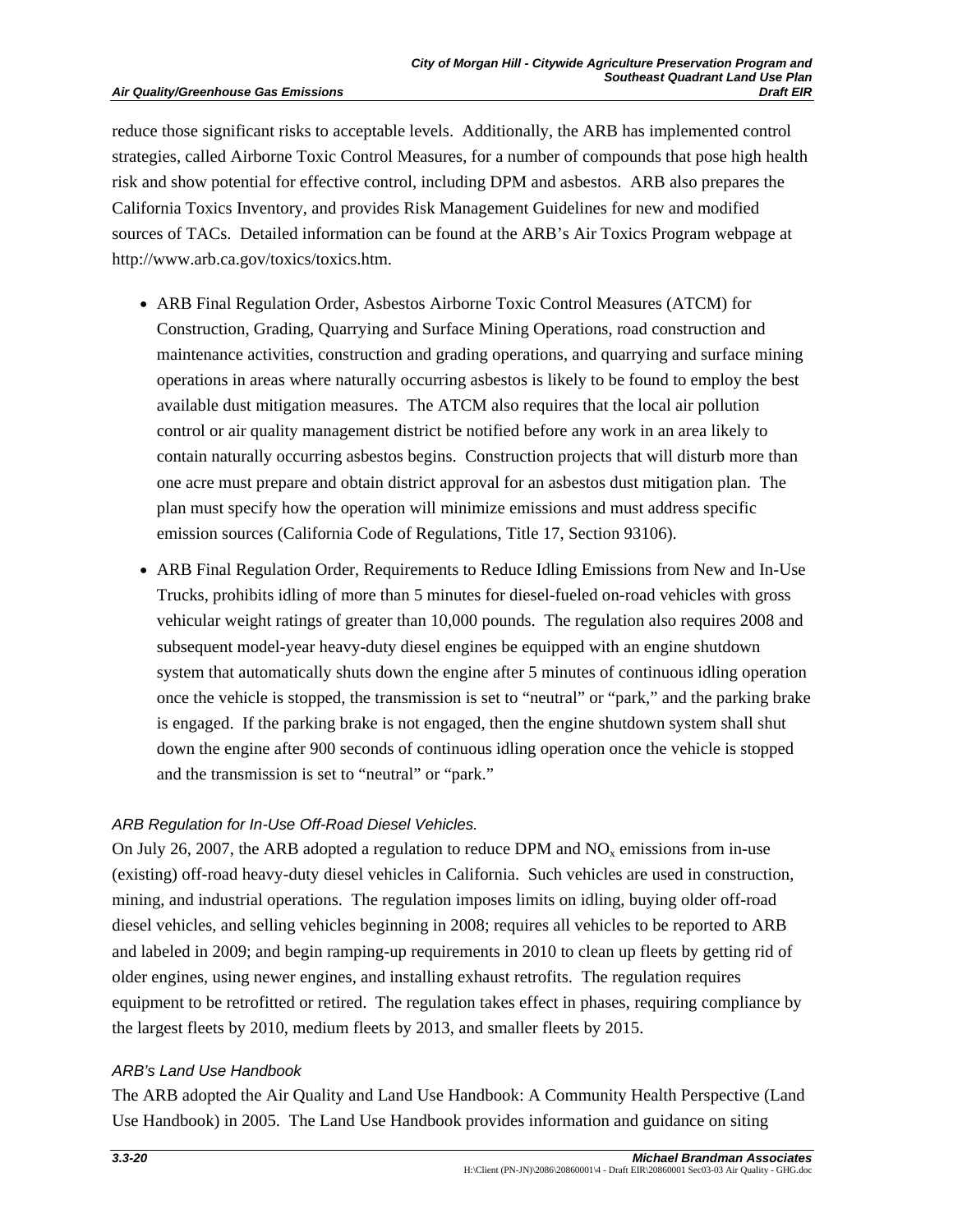reduce those significant risks to acceptable levels. Additionally, the ARB has implemented control strategies, called Airborne Toxic Control Measures, for a number of compounds that pose high health risk and show potential for effective control, including DPM and asbestos. ARB also prepares the California Toxics Inventory, and provides Risk Management Guidelines for new and modified sources of TACs. Detailed information can be found at the ARB's Air Toxics Program webpage at http://www.arb.ca.gov/toxics/toxics.htm.

- ARB Final Regulation Order, Asbestos Airborne Toxic Control Measures (ATCM) for Construction, Grading, Quarrying and Surface Mining Operations, road construction and maintenance activities, construction and grading operations, and quarrying and surface mining operations in areas where naturally occurring asbestos is likely to be found to employ the best available dust mitigation measures. The ATCM also requires that the local air pollution control or air quality management district be notified before any work in an area likely to contain naturally occurring asbestos begins. Construction projects that will disturb more than one acre must prepare and obtain district approval for an asbestos dust mitigation plan. The plan must specify how the operation will minimize emissions and must address specific emission sources (California Code of Regulations, Title 17, Section 93106).
- ARB Final Regulation Order, Requirements to Reduce Idling Emissions from New and In-Use Trucks, prohibits idling of more than 5 minutes for diesel-fueled on-road vehicles with gross vehicular weight ratings of greater than 10,000 pounds. The regulation also requires 2008 and subsequent model-year heavy-duty diesel engines be equipped with an engine shutdown system that automatically shuts down the engine after 5 minutes of continuous idling operation once the vehicle is stopped, the transmission is set to "neutral" or "park," and the parking brake is engaged. If the parking brake is not engaged, then the engine shutdown system shall shut down the engine after 900 seconds of continuous idling operation once the vehicle is stopped and the transmission is set to "neutral" or "park."

#### *ARB Regulation for In-Use Off-Road Diesel Vehicles.*

On July 26, 2007, the ARB adopted a regulation to reduce DPM and  $NO<sub>x</sub>$  emissions from in-use (existing) off-road heavy-duty diesel vehicles in California. Such vehicles are used in construction, mining, and industrial operations. The regulation imposes limits on idling, buying older off-road diesel vehicles, and selling vehicles beginning in 2008; requires all vehicles to be reported to ARB and labeled in 2009; and begin ramping-up requirements in 2010 to clean up fleets by getting rid of older engines, using newer engines, and installing exhaust retrofits. The regulation requires equipment to be retrofitted or retired. The regulation takes effect in phases, requiring compliance by the largest fleets by 2010, medium fleets by 2013, and smaller fleets by 2015.

#### *ARB's Land Use Handbook*

The ARB adopted the Air Quality and Land Use Handbook: A Community Health Perspective (Land Use Handbook) in 2005. The Land Use Handbook provides information and guidance on siting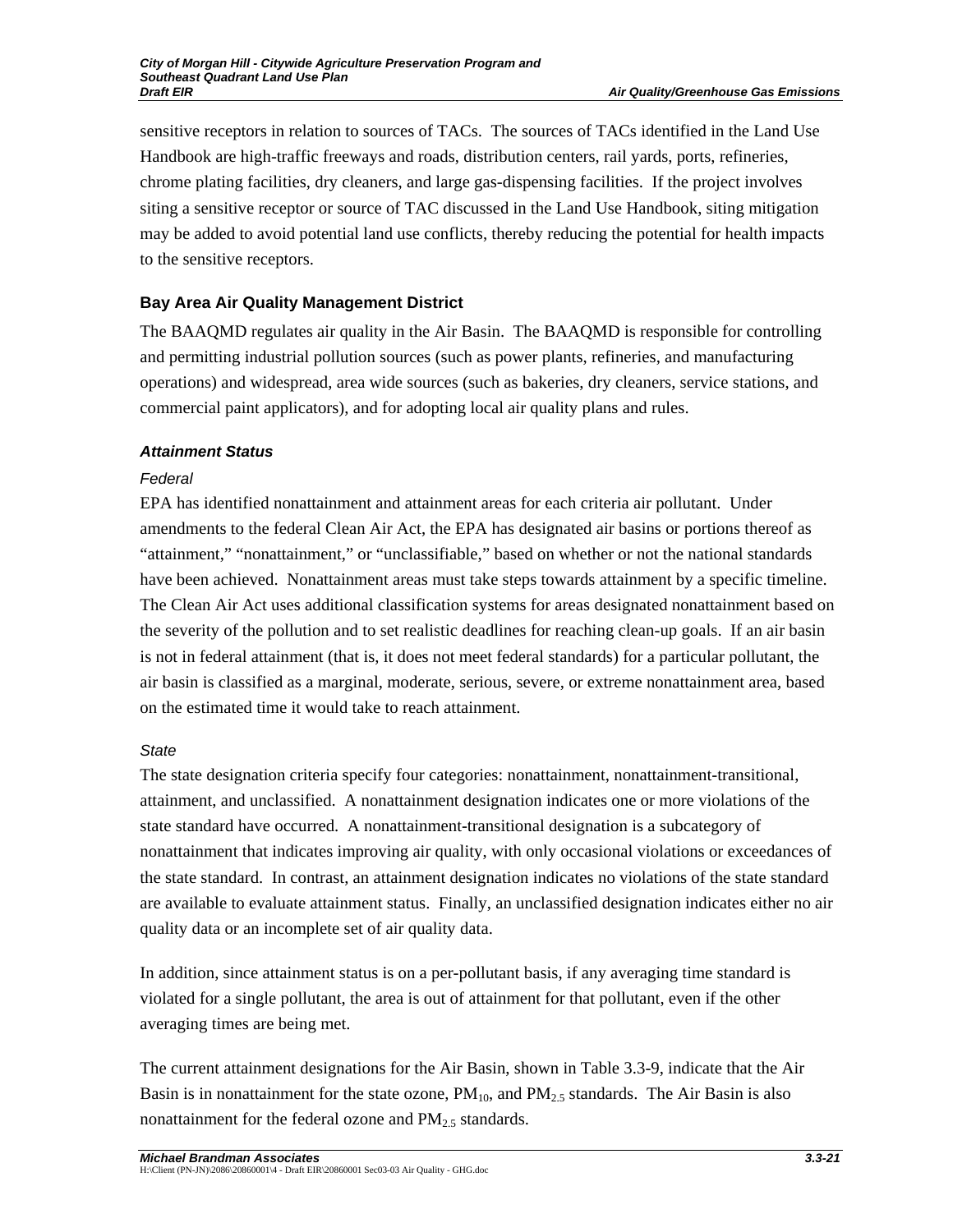sensitive receptors in relation to sources of TACs. The sources of TACs identified in the Land Use Handbook are high-traffic freeways and roads, distribution centers, rail yards, ports, refineries, chrome plating facilities, dry cleaners, and large gas-dispensing facilities. If the project involves siting a sensitive receptor or source of TAC discussed in the Land Use Handbook, siting mitigation may be added to avoid potential land use conflicts, thereby reducing the potential for health impacts to the sensitive receptors.

## **Bay Area Air Quality Management District**

The BAAQMD regulates air quality in the Air Basin. The BAAQMD is responsible for controlling and permitting industrial pollution sources (such as power plants, refineries, and manufacturing operations) and widespread, area wide sources (such as bakeries, dry cleaners, service stations, and commercial paint applicators), and for adopting local air quality plans and rules.

## *Attainment Status*

## *Federal*

EPA has identified nonattainment and attainment areas for each criteria air pollutant. Under amendments to the federal Clean Air Act, the EPA has designated air basins or portions thereof as "attainment," "nonattainment," or "unclassifiable," based on whether or not the national standards have been achieved. Nonattainment areas must take steps towards attainment by a specific timeline. The Clean Air Act uses additional classification systems for areas designated nonattainment based on the severity of the pollution and to set realistic deadlines for reaching clean-up goals. If an air basin is not in federal attainment (that is, it does not meet federal standards) for a particular pollutant, the air basin is classified as a marginal, moderate, serious, severe, or extreme nonattainment area, based on the estimated time it would take to reach attainment.

## *State*

The state designation criteria specify four categories: nonattainment, nonattainment-transitional, attainment, and unclassified. A nonattainment designation indicates one or more violations of the state standard have occurred. A nonattainment-transitional designation is a subcategory of nonattainment that indicates improving air quality, with only occasional violations or exceedances of the state standard. In contrast, an attainment designation indicates no violations of the state standard are available to evaluate attainment status. Finally, an unclassified designation indicates either no air quality data or an incomplete set of air quality data.

In addition, since attainment status is on a per-pollutant basis, if any averaging time standard is violated for a single pollutant, the area is out of attainment for that pollutant, even if the other averaging times are being met.

The current attainment designations for the Air Basin, shown in Table 3.3-9, indicate that the Air Basin is in nonattainment for the state ozone,  $PM_{10}$ , and  $PM_{2.5}$  standards. The Air Basin is also nonattainment for the federal ozone and  $PM_{2.5}$  standards.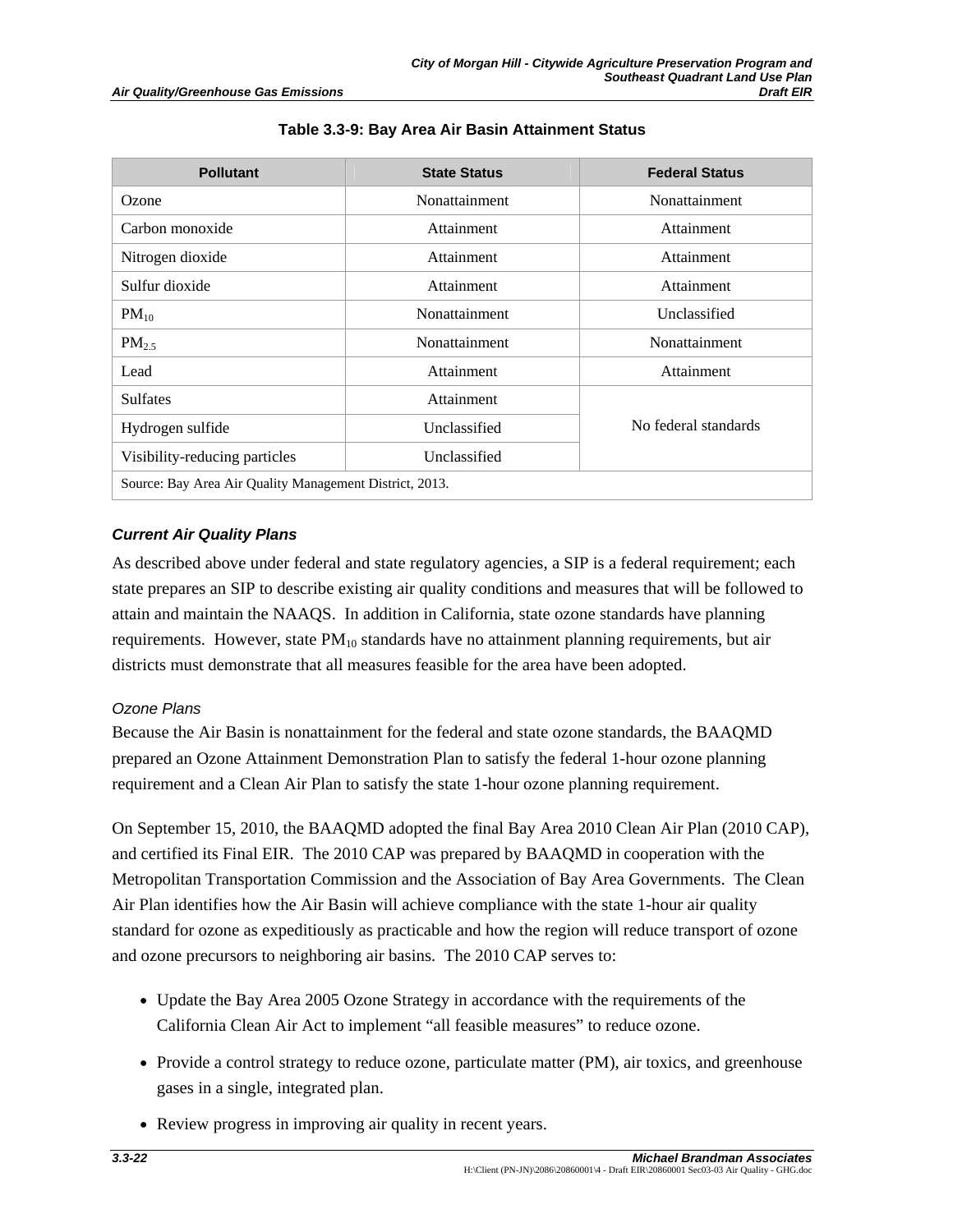| <b>Pollutant</b>                                        | <b>State Status</b> | <b>Federal Status</b> |
|---------------------------------------------------------|---------------------|-----------------------|
| Ozone                                                   | Nonattainment       | Nonattainment         |
| Carbon monoxide                                         | Attainment          | Attainment            |
| Nitrogen dioxide                                        | Attainment          | Attainment            |
| Sulfur dioxide                                          | Attainment          | Attainment            |
| $PM_{10}$                                               | Nonattainment       | Unclassified          |
| $PM_{2.5}$                                              | Nonattainment       | Nonattainment         |
| Lead                                                    | Attainment          | Attainment            |
| <b>Sulfates</b>                                         | Attainment          |                       |
| Hydrogen sulfide                                        | Unclassified        | No federal standards  |
| Visibility-reducing particles                           | Unclassified        |                       |
| Source: Bay Area Air Quality Management District, 2013. |                     |                       |

#### **Table 3.3-9: Bay Area Air Basin Attainment Status**

## *Current Air Quality Plans*

As described above under federal and state regulatory agencies, a SIP is a federal requirement; each state prepares an SIP to describe existing air quality conditions and measures that will be followed to attain and maintain the NAAQS. In addition in California, state ozone standards have planning requirements. However, state  $PM_{10}$  standards have no attainment planning requirements, but air districts must demonstrate that all measures feasible for the area have been adopted.

#### *Ozone Plans*

Because the Air Basin is nonattainment for the federal and state ozone standards, the BAAQMD prepared an Ozone Attainment Demonstration Plan to satisfy the federal 1-hour ozone planning requirement and a Clean Air Plan to satisfy the state 1-hour ozone planning requirement.

On September 15, 2010, the BAAQMD adopted the final Bay Area 2010 Clean Air Plan (2010 CAP), and certified its Final EIR. The 2010 CAP was prepared by BAAQMD in cooperation with the Metropolitan Transportation Commission and the Association of Bay Area Governments. The Clean Air Plan identifies how the Air Basin will achieve compliance with the state 1-hour air quality standard for ozone as expeditiously as practicable and how the region will reduce transport of ozone and ozone precursors to neighboring air basins. The 2010 CAP serves to:

- Update the Bay Area 2005 Ozone Strategy in accordance with the requirements of the California Clean Air Act to implement "all feasible measures" to reduce ozone.
- Provide a control strategy to reduce ozone, particulate matter (PM), air toxics, and greenhouse gases in a single, integrated plan.
- Review progress in improving air quality in recent years.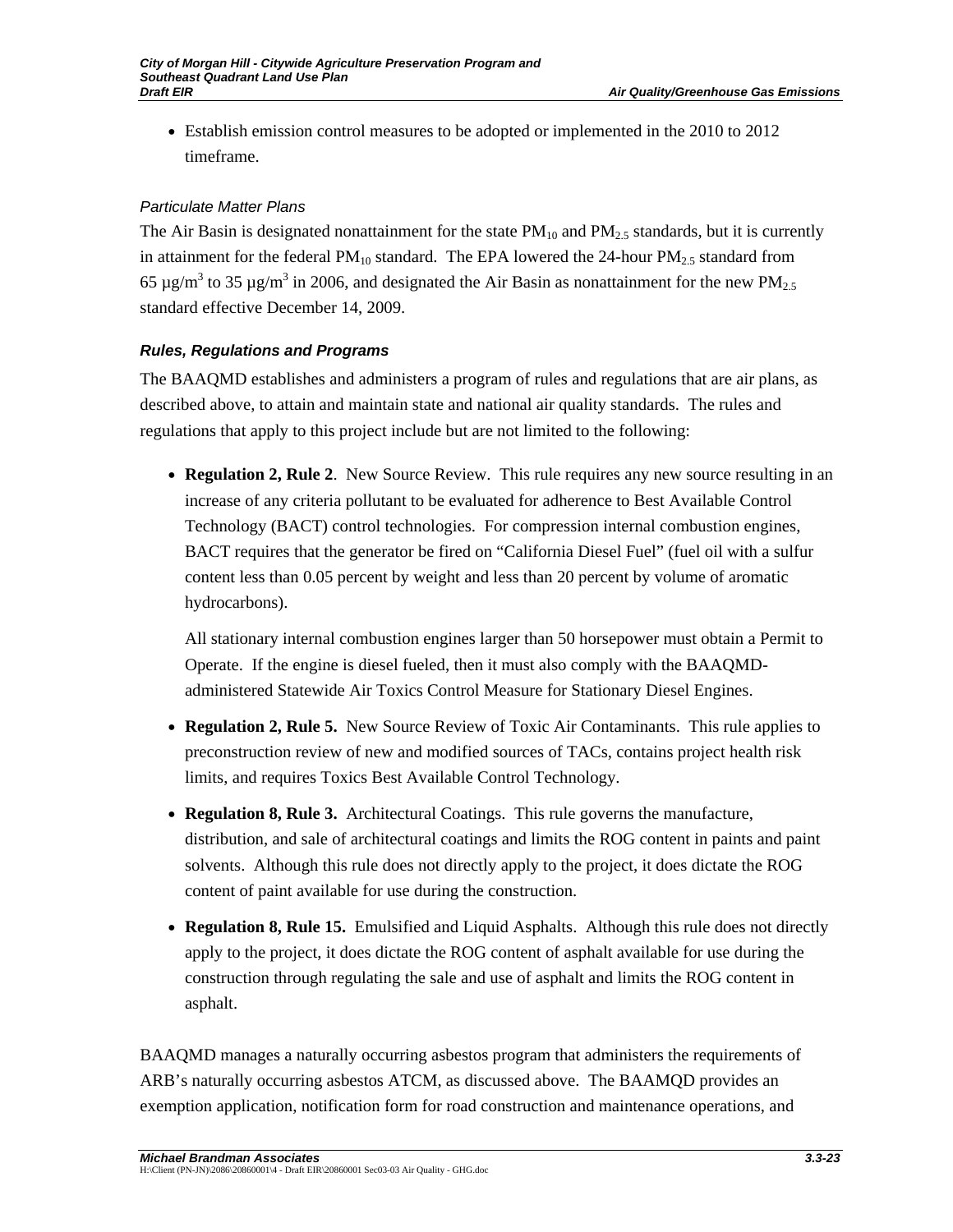• Establish emission control measures to be adopted or implemented in the 2010 to 2012 timeframe.

## *Particulate Matter Plans*

The Air Basin is designated nonattainment for the state  $PM_{10}$  and  $PM_{2.5}$  standards, but it is currently in attainment for the federal  $PM_{10}$  standard. The EPA lowered the 24-hour  $PM_{2.5}$  standard from 65 µg/m<sup>3</sup> to 35 µg/m<sup>3</sup> in 2006, and designated the Air Basin as nonattainment for the new PM<sub>2.5</sub> standard effective December 14, 2009.

## *Rules, Regulations and Programs*

The BAAQMD establishes and administers a program of rules and regulations that are air plans, as described above, to attain and maintain state and national air quality standards. The rules and regulations that apply to this project include but are not limited to the following:

• **Regulation 2, Rule 2**. New Source Review. This rule requires any new source resulting in an increase of any criteria pollutant to be evaluated for adherence to Best Available Control Technology (BACT) control technologies. For compression internal combustion engines, BACT requires that the generator be fired on "California Diesel Fuel" (fuel oil with a sulfur content less than 0.05 percent by weight and less than 20 percent by volume of aromatic hydrocarbons).

All stationary internal combustion engines larger than 50 horsepower must obtain a Permit to Operate. If the engine is diesel fueled, then it must also comply with the BAAQMDadministered Statewide Air Toxics Control Measure for Stationary Diesel Engines.

- **Regulation 2, Rule 5.** New Source Review of Toxic Air Contaminants. This rule applies to preconstruction review of new and modified sources of TACs, contains project health risk limits, and requires Toxics Best Available Control Technology.
- **Regulation 8, Rule 3.** Architectural Coatings. This rule governs the manufacture, distribution, and sale of architectural coatings and limits the ROG content in paints and paint solvents. Although this rule does not directly apply to the project, it does dictate the ROG content of paint available for use during the construction.
- **Regulation 8, Rule 15.** Emulsified and Liquid Asphalts. Although this rule does not directly apply to the project, it does dictate the ROG content of asphalt available for use during the construction through regulating the sale and use of asphalt and limits the ROG content in asphalt.

BAAQMD manages a naturally occurring asbestos program that administers the requirements of ARB's naturally occurring asbestos ATCM, as discussed above. The BAAMQD provides an exemption application, notification form for road construction and maintenance operations, and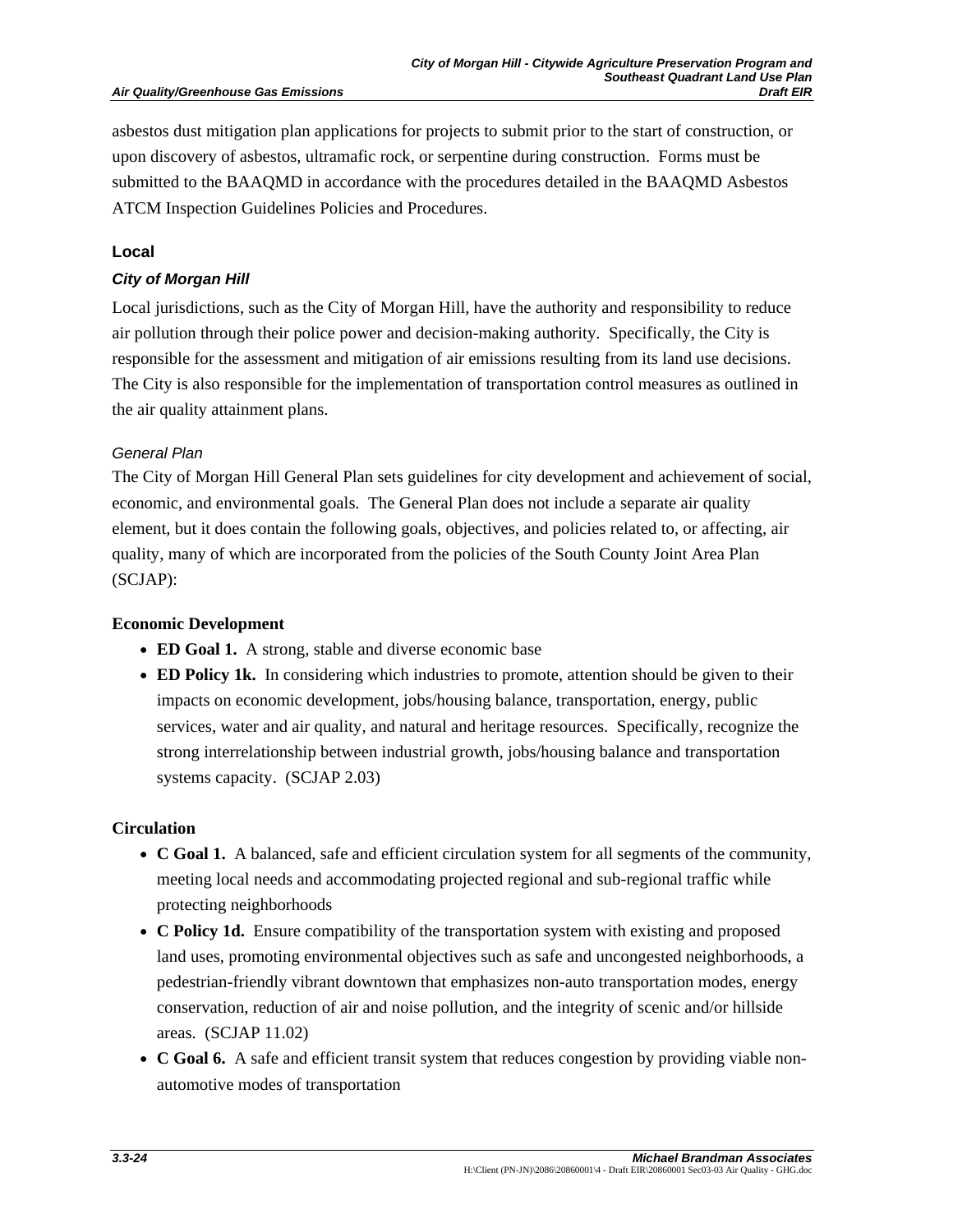#### **Air Quality/Greenhouse Gas Emissions**

asbestos dust mitigation plan applications for projects to submit prior to the start of construction, or upon discovery of asbestos, ultramafic rock, or serpentine during construction. Forms must be submitted to the BAAQMD in accordance with the procedures detailed in the BAAQMD Asbestos ATCM Inspection Guidelines Policies and Procedures.

#### **Local**

## *City of Morgan Hill*

Local jurisdictions, such as the City of Morgan Hill, have the authority and responsibility to reduce air pollution through their police power and decision-making authority. Specifically, the City is responsible for the assessment and mitigation of air emissions resulting from its land use decisions. The City is also responsible for the implementation of transportation control measures as outlined in the air quality attainment plans.

## *General Plan*

The City of Morgan Hill General Plan sets guidelines for city development and achievement of social, economic, and environmental goals. The General Plan does not include a separate air quality element, but it does contain the following goals, objectives, and policies related to, or affecting, air quality, many of which are incorporated from the policies of the South County Joint Area Plan (SCJAP):

#### **Economic Development**

- **ED Goal 1.** A strong, stable and diverse economic base
- **ED Policy 1k.** In considering which industries to promote, attention should be given to their impacts on economic development, jobs/housing balance, transportation, energy, public services, water and air quality, and natural and heritage resources. Specifically, recognize the strong interrelationship between industrial growth, jobs/housing balance and transportation systems capacity. (SCJAP 2.03)

#### **Circulation**

- **C Goal 1.** A balanced, safe and efficient circulation system for all segments of the community, meeting local needs and accommodating projected regional and sub-regional traffic while protecting neighborhoods
- **C Policy 1d.** Ensure compatibility of the transportation system with existing and proposed land uses, promoting environmental objectives such as safe and uncongested neighborhoods, a pedestrian-friendly vibrant downtown that emphasizes non-auto transportation modes, energy conservation, reduction of air and noise pollution, and the integrity of scenic and/or hillside areas. (SCJAP 11.02)
- **C Goal 6.** A safe and efficient transit system that reduces congestion by providing viable nonautomotive modes of transportation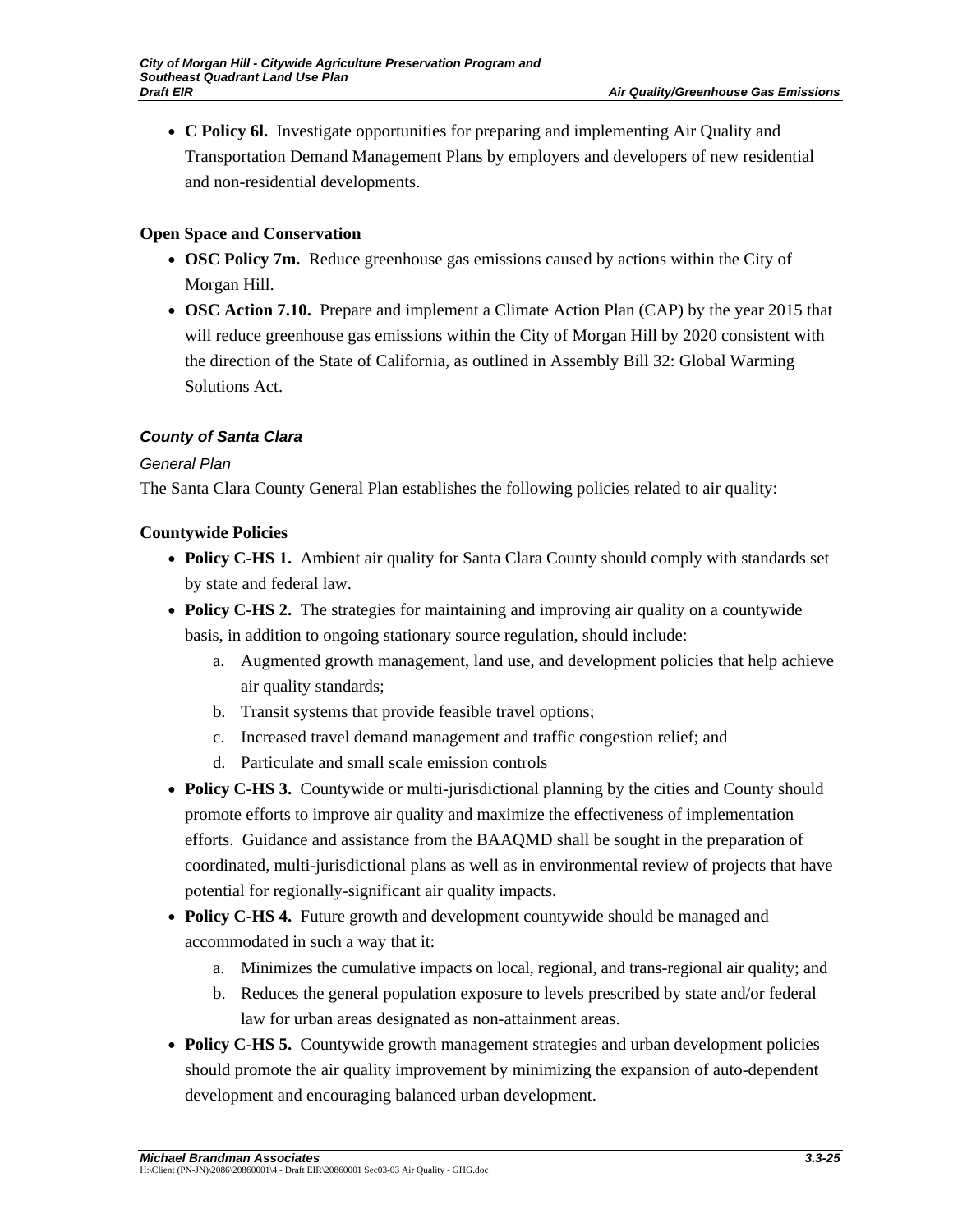• **C Policy 6l.** Investigate opportunities for preparing and implementing Air Quality and Transportation Demand Management Plans by employers and developers of new residential and non-residential developments.

## **Open Space and Conservation**

- **OSC Policy 7m.** Reduce greenhouse gas emissions caused by actions within the City of Morgan Hill.
- **OSC Action 7.10.** Prepare and implement a Climate Action Plan (CAP) by the year 2015 that will reduce greenhouse gas emissions within the City of Morgan Hill by 2020 consistent with the direction of the State of California, as outlined in Assembly Bill 32: Global Warming Solutions Act.

## *County of Santa Clara*

## *General Plan*

The Santa Clara County General Plan establishes the following policies related to air quality:

## **Countywide Policies**

- **Policy C-HS 1.** Ambient air quality for Santa Clara County should comply with standards set by state and federal law.
- **Policy C-HS 2.** The strategies for maintaining and improving air quality on a countywide basis, in addition to ongoing stationary source regulation, should include:
	- a. Augmented growth management, land use, and development policies that help achieve air quality standards;
	- b. Transit systems that provide feasible travel options;
	- c. Increased travel demand management and traffic congestion relief; and
	- d. Particulate and small scale emission controls
- **Policy C-HS 3.** Countywide or multi-jurisdictional planning by the cities and County should promote efforts to improve air quality and maximize the effectiveness of implementation efforts. Guidance and assistance from the BAAQMD shall be sought in the preparation of coordinated, multi-jurisdictional plans as well as in environmental review of projects that have potential for regionally-significant air quality impacts.
- **Policy C-HS 4.** Future growth and development countywide should be managed and accommodated in such a way that it:
	- a. Minimizes the cumulative impacts on local, regional, and trans-regional air quality; and
	- b. Reduces the general population exposure to levels prescribed by state and/or federal law for urban areas designated as non-attainment areas.
- **Policy C-HS 5.** Countywide growth management strategies and urban development policies should promote the air quality improvement by minimizing the expansion of auto-dependent development and encouraging balanced urban development.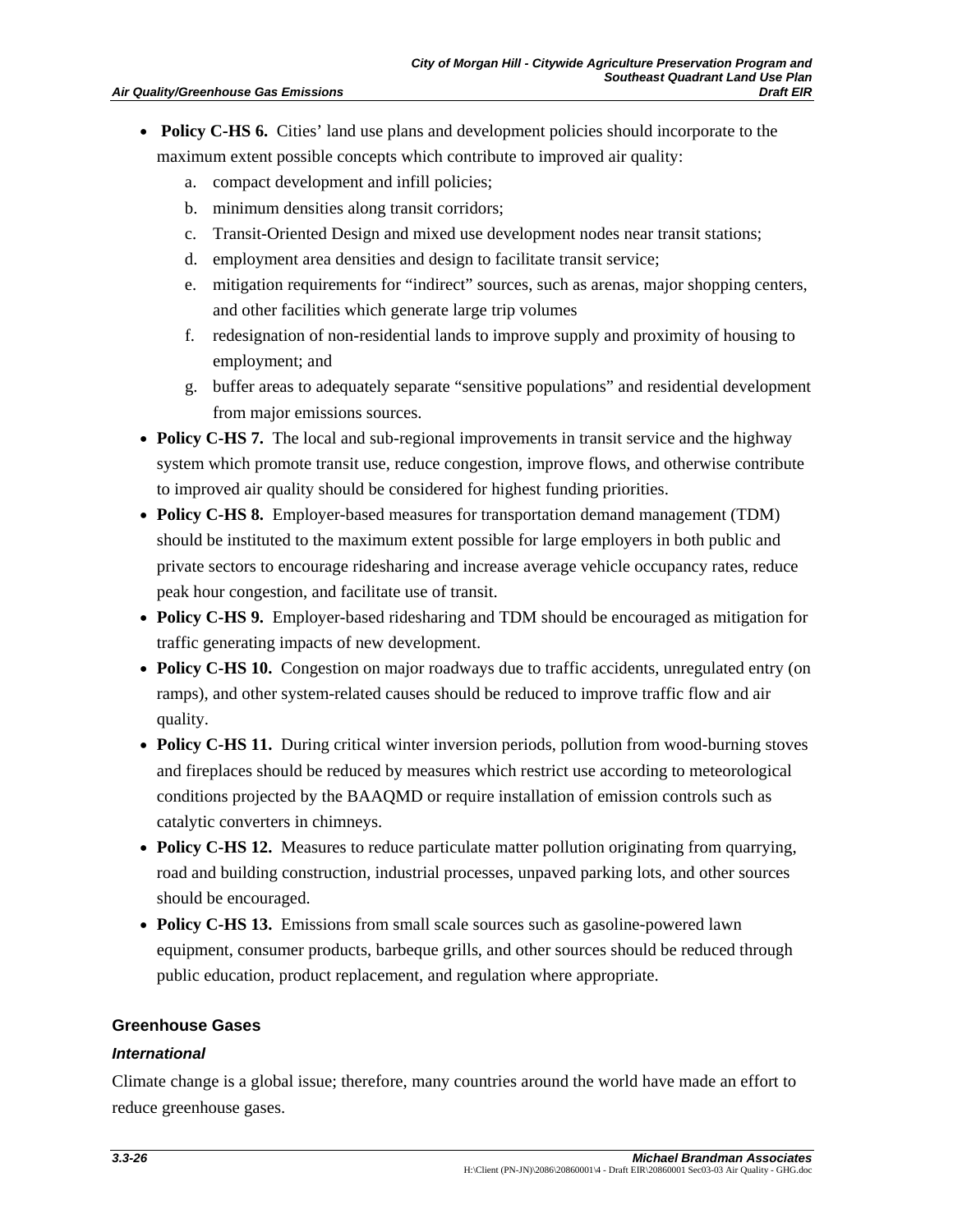- **Policy C-HS 6.** Cities' land use plans and development policies should incorporate to the maximum extent possible concepts which contribute to improved air quality:
	- a. compact development and infill policies;
	- b. minimum densities along transit corridors;
	- c. Transit-Oriented Design and mixed use development nodes near transit stations;
	- d. employment area densities and design to facilitate transit service;
	- e. mitigation requirements for "indirect" sources, such as arenas, major shopping centers, and other facilities which generate large trip volumes
	- f. redesignation of non-residential lands to improve supply and proximity of housing to employment; and
	- g. buffer areas to adequately separate "sensitive populations" and residential development from major emissions sources.
- **Policy C-HS 7.** The local and sub-regional improvements in transit service and the highway system which promote transit use, reduce congestion, improve flows, and otherwise contribute to improved air quality should be considered for highest funding priorities.
- **Policy C-HS 8.** Employer-based measures for transportation demand management (TDM) should be instituted to the maximum extent possible for large employers in both public and private sectors to encourage ridesharing and increase average vehicle occupancy rates, reduce peak hour congestion, and facilitate use of transit.
- **Policy C-HS 9.** Employer-based ridesharing and TDM should be encouraged as mitigation for traffic generating impacts of new development.
- **Policy C-HS 10.** Congestion on major roadways due to traffic accidents, unregulated entry (on ramps), and other system-related causes should be reduced to improve traffic flow and air quality.
- **Policy C-HS 11.** During critical winter inversion periods, pollution from wood-burning stoves and fireplaces should be reduced by measures which restrict use according to meteorological conditions projected by the BAAQMD or require installation of emission controls such as catalytic converters in chimneys.
- **Policy C-HS 12.** Measures to reduce particulate matter pollution originating from quarrying, road and building construction, industrial processes, unpaved parking lots, and other sources should be encouraged.
- **Policy C-HS 13.** Emissions from small scale sources such as gasoline-powered lawn equipment, consumer products, barbeque grills, and other sources should be reduced through public education, product replacement, and regulation where appropriate.

## **Greenhouse Gases**

#### *International*

Climate change is a global issue; therefore, many countries around the world have made an effort to reduce greenhouse gases.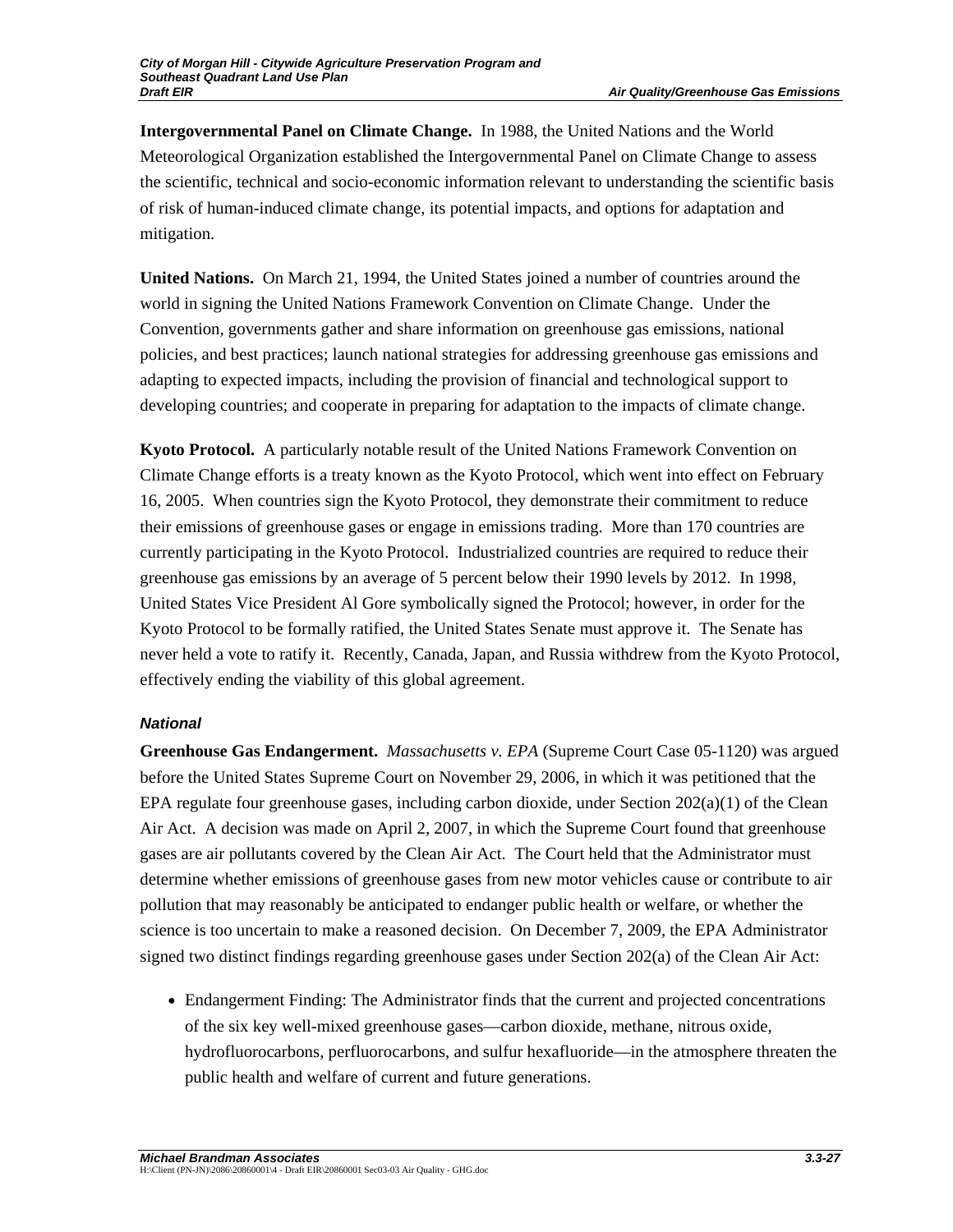**Intergovernmental Panel on Climate Change.** In 1988, the United Nations and the World Meteorological Organization established the Intergovernmental Panel on Climate Change to assess the scientific, technical and socio-economic information relevant to understanding the scientific basis of risk of human-induced climate change, its potential impacts, and options for adaptation and mitigation.

**United Nations.** On March 21, 1994, the United States joined a number of countries around the world in signing the United Nations Framework Convention on Climate Change. Under the Convention, governments gather and share information on greenhouse gas emissions, national policies, and best practices; launch national strategies for addressing greenhouse gas emissions and adapting to expected impacts, including the provision of financial and technological support to developing countries; and cooperate in preparing for adaptation to the impacts of climate change.

**Kyoto Protocol.** A particularly notable result of the United Nations Framework Convention on Climate Change efforts is a treaty known as the Kyoto Protocol, which went into effect on February 16, 2005. When countries sign the Kyoto Protocol, they demonstrate their commitment to reduce their emissions of greenhouse gases or engage in emissions trading. More than 170 countries are currently participating in the Kyoto Protocol. Industrialized countries are required to reduce their greenhouse gas emissions by an average of 5 percent below their 1990 levels by 2012. In 1998, United States Vice President Al Gore symbolically signed the Protocol; however, in order for the Kyoto Protocol to be formally ratified, the United States Senate must approve it. The Senate has never held a vote to ratify it. Recently, Canada, Japan, and Russia withdrew from the Kyoto Protocol, effectively ending the viability of this global agreement.

## *National*

**Greenhouse Gas Endangerment.** *Massachusetts v. EPA* (Supreme Court Case 05-1120) was argued before the United States Supreme Court on November 29, 2006, in which it was petitioned that the EPA regulate four greenhouse gases, including carbon dioxide, under Section  $202(a)(1)$  of the Clean Air Act. A decision was made on April 2, 2007, in which the Supreme Court found that greenhouse gases are air pollutants covered by the Clean Air Act. The Court held that the Administrator must determine whether emissions of greenhouse gases from new motor vehicles cause or contribute to air pollution that may reasonably be anticipated to endanger public health or welfare, or whether the science is too uncertain to make a reasoned decision. On December 7, 2009, the EPA Administrator signed two distinct findings regarding greenhouse gases under Section 202(a) of the Clean Air Act:

• Endangerment Finding: The Administrator finds that the current and projected concentrations of the six key well-mixed greenhouse gases—carbon dioxide, methane, nitrous oxide, hydrofluorocarbons, perfluorocarbons, and sulfur hexafluoride—in the atmosphere threaten the public health and welfare of current and future generations.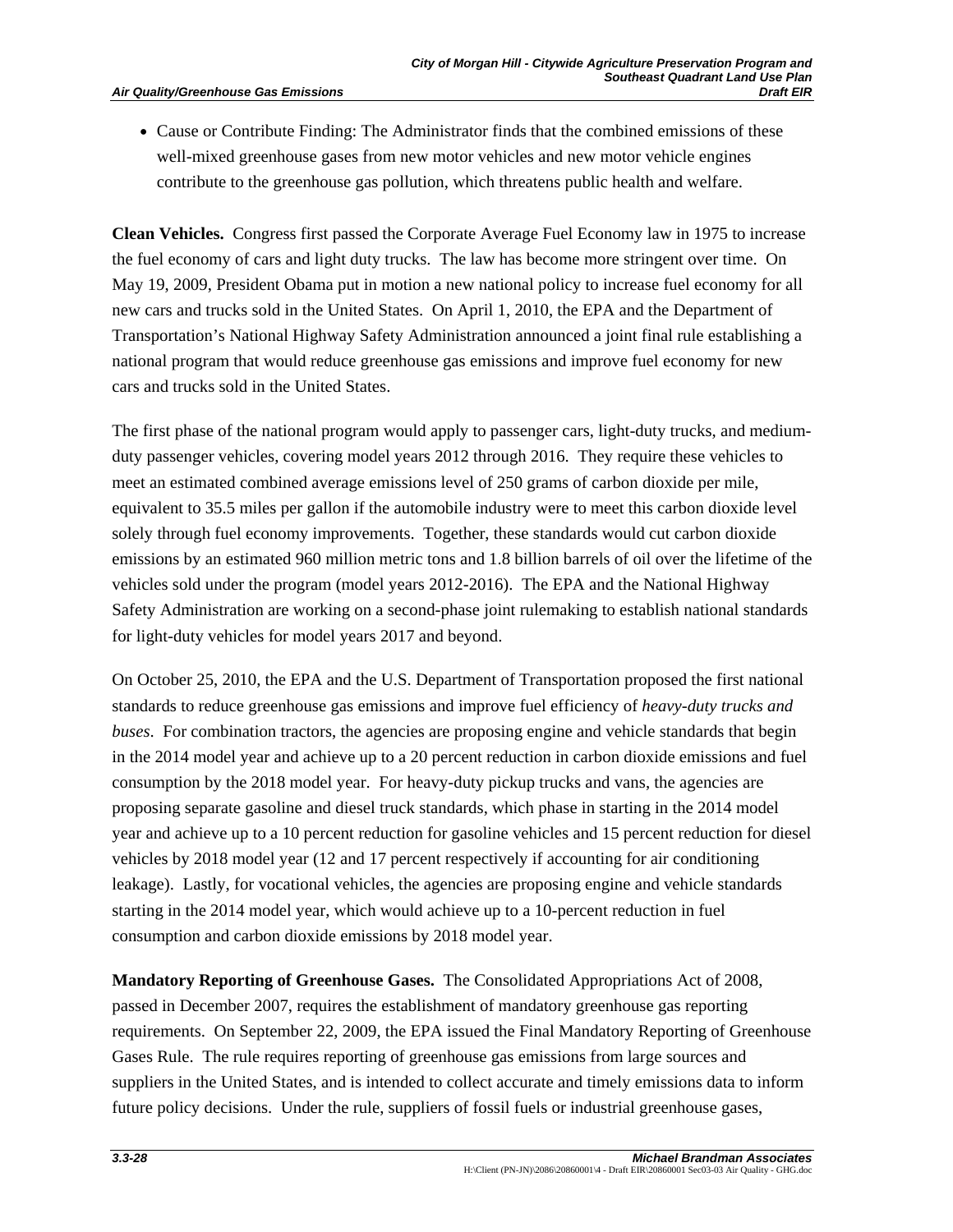• Cause or Contribute Finding: The Administrator finds that the combined emissions of these well-mixed greenhouse gases from new motor vehicles and new motor vehicle engines contribute to the greenhouse gas pollution, which threatens public health and welfare.

**Clean Vehicles.** Congress first passed the Corporate Average Fuel Economy law in 1975 to increase the fuel economy of cars and light duty trucks. The law has become more stringent over time. On May 19, 2009, President Obama put in motion a new national policy to increase fuel economy for all new cars and trucks sold in the United States. On April 1, 2010, the EPA and the Department of Transportation's National Highway Safety Administration announced a joint final rule establishing a national program that would reduce greenhouse gas emissions and improve fuel economy for new cars and trucks sold in the United States.

The first phase of the national program would apply to passenger cars, light-duty trucks, and mediumduty passenger vehicles, covering model years 2012 through 2016. They require these vehicles to meet an estimated combined average emissions level of 250 grams of carbon dioxide per mile, equivalent to 35.5 miles per gallon if the automobile industry were to meet this carbon dioxide level solely through fuel economy improvements. Together, these standards would cut carbon dioxide emissions by an estimated 960 million metric tons and 1.8 billion barrels of oil over the lifetime of the vehicles sold under the program (model years 2012-2016). The EPA and the National Highway Safety Administration are working on a second-phase joint rulemaking to establish national standards for light-duty vehicles for model years 2017 and beyond.

On October 25, 2010, the EPA and the U.S. Department of Transportation proposed the first national standards to reduce greenhouse gas emissions and improve fuel efficiency of *heavy-duty trucks and buses*. For combination tractors, the agencies are proposing engine and vehicle standards that begin in the 2014 model year and achieve up to a 20 percent reduction in carbon dioxide emissions and fuel consumption by the 2018 model year. For heavy-duty pickup trucks and vans, the agencies are proposing separate gasoline and diesel truck standards, which phase in starting in the 2014 model year and achieve up to a 10 percent reduction for gasoline vehicles and 15 percent reduction for diesel vehicles by 2018 model year (12 and 17 percent respectively if accounting for air conditioning leakage). Lastly, for vocational vehicles, the agencies are proposing engine and vehicle standards starting in the 2014 model year, which would achieve up to a 10-percent reduction in fuel consumption and carbon dioxide emissions by 2018 model year.

**Mandatory Reporting of Greenhouse Gases.** The Consolidated Appropriations Act of 2008, passed in December 2007, requires the establishment of mandatory greenhouse gas reporting requirements. On September 22, 2009, the EPA issued the Final Mandatory Reporting of Greenhouse Gases Rule. The rule requires reporting of greenhouse gas emissions from large sources and suppliers in the United States, and is intended to collect accurate and timely emissions data to inform future policy decisions. Under the rule, suppliers of fossil fuels or industrial greenhouse gases,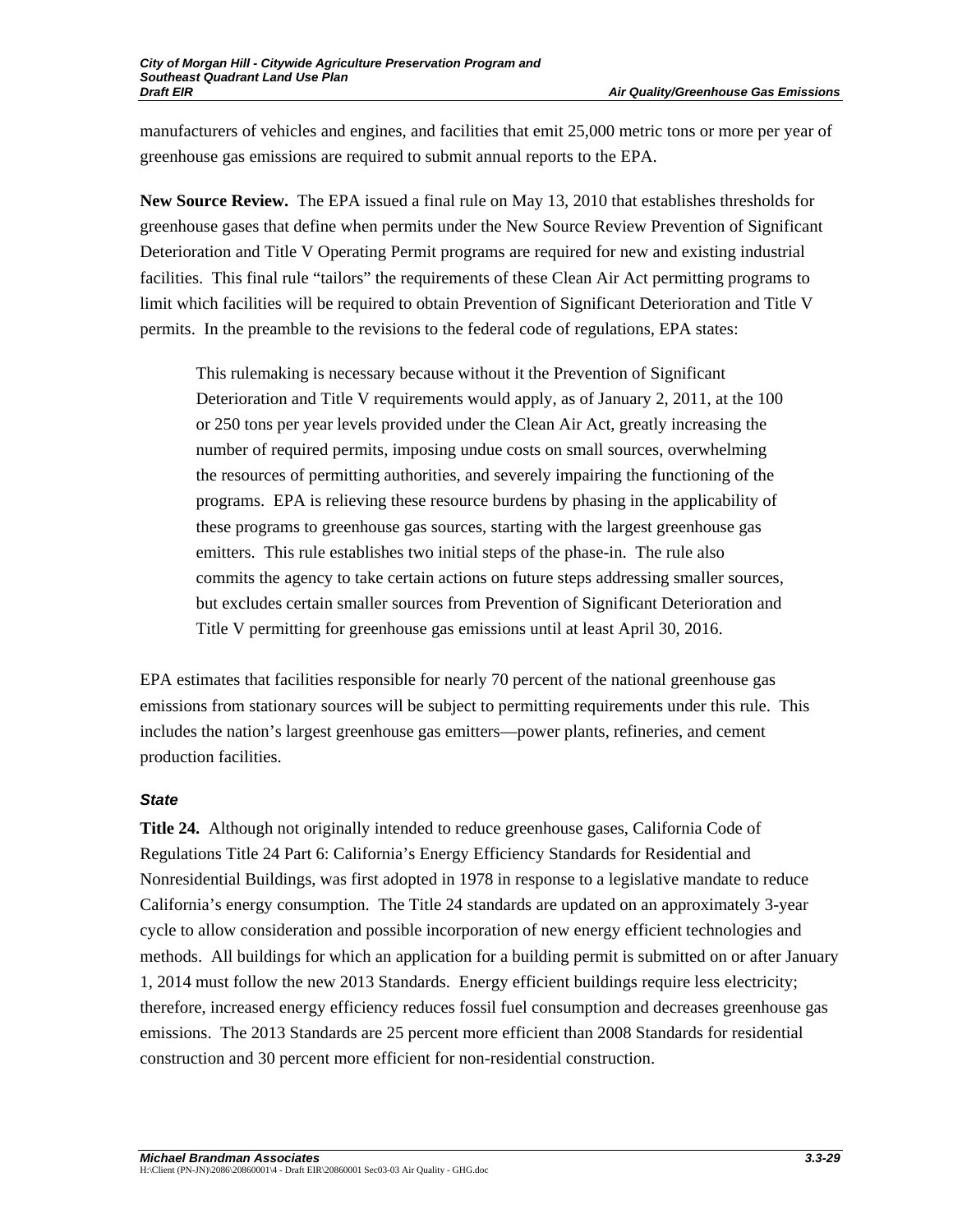manufacturers of vehicles and engines, and facilities that emit 25,000 metric tons or more per year of greenhouse gas emissions are required to submit annual reports to the EPA.

**New Source Review.** The EPA issued a final rule on May 13, 2010 that establishes thresholds for greenhouse gases that define when permits under the New Source Review Prevention of Significant Deterioration and Title V Operating Permit programs are required for new and existing industrial facilities. This final rule "tailors" the requirements of these Clean Air Act permitting programs to limit which facilities will be required to obtain Prevention of Significant Deterioration and Title V permits. In the preamble to the revisions to the federal code of regulations, EPA states:

This rulemaking is necessary because without it the Prevention of Significant Deterioration and Title V requirements would apply, as of January 2, 2011, at the 100 or 250 tons per year levels provided under the Clean Air Act, greatly increasing the number of required permits, imposing undue costs on small sources, overwhelming the resources of permitting authorities, and severely impairing the functioning of the programs. EPA is relieving these resource burdens by phasing in the applicability of these programs to greenhouse gas sources, starting with the largest greenhouse gas emitters. This rule establishes two initial steps of the phase-in. The rule also commits the agency to take certain actions on future steps addressing smaller sources, but excludes certain smaller sources from Prevention of Significant Deterioration and Title V permitting for greenhouse gas emissions until at least April 30, 2016.

EPA estimates that facilities responsible for nearly 70 percent of the national greenhouse gas emissions from stationary sources will be subject to permitting requirements under this rule. This includes the nation's largest greenhouse gas emitters—power plants, refineries, and cement production facilities.

## *State*

**Title 24.** Although not originally intended to reduce greenhouse gases, California Code of Regulations Title 24 Part 6: California's Energy Efficiency Standards for Residential and Nonresidential Buildings, was first adopted in 1978 in response to a legislative mandate to reduce California's energy consumption. The Title 24 standards are updated on an approximately 3-year cycle to allow consideration and possible incorporation of new energy efficient technologies and methods. All buildings for which an application for a building permit is submitted on or after January 1, 2014 must follow the new 2013 Standards. Energy efficient buildings require less electricity; therefore, increased energy efficiency reduces fossil fuel consumption and decreases greenhouse gas emissions. The 2013 Standards are 25 percent more efficient than 2008 Standards for residential construction and 30 percent more efficient for non-residential construction.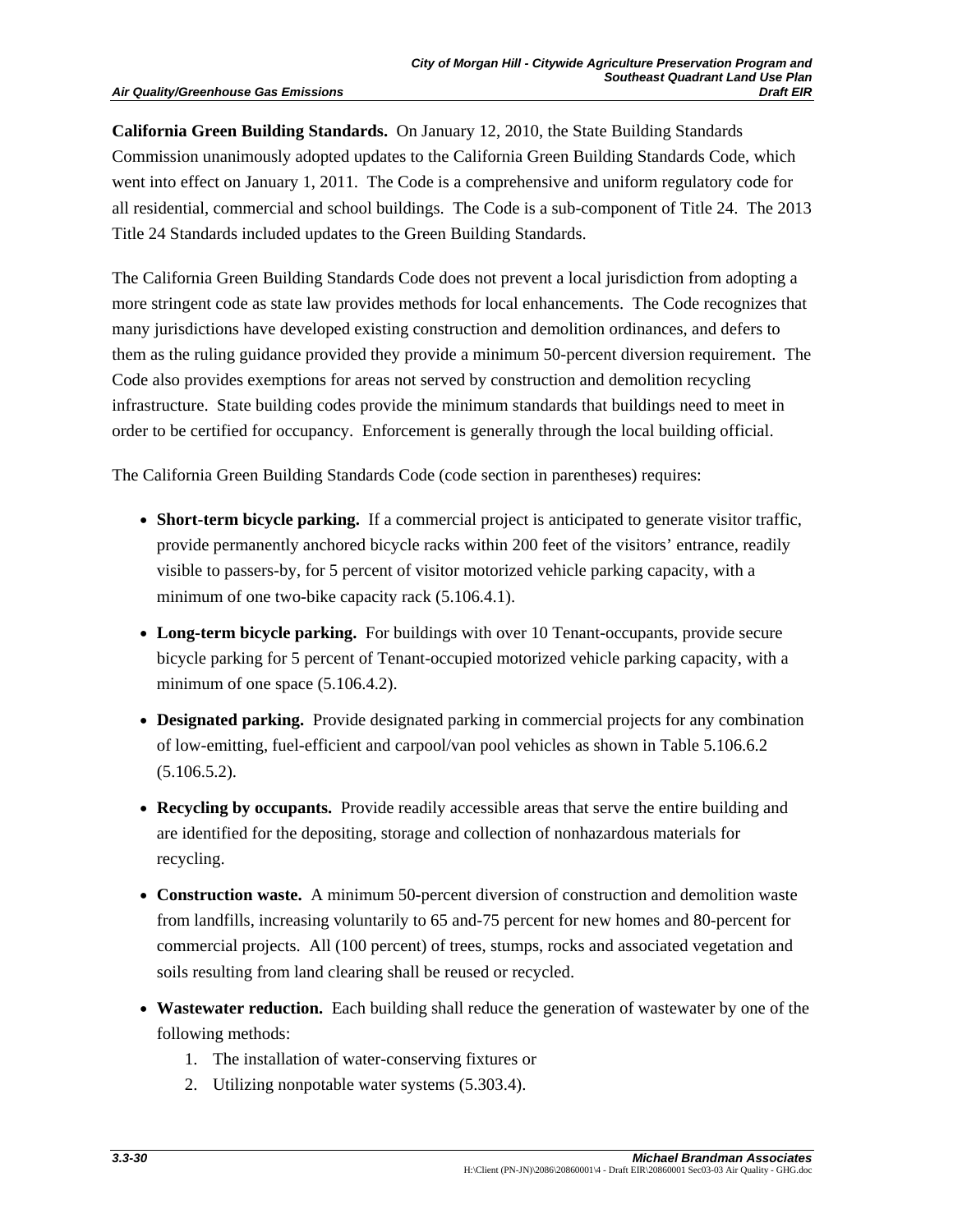#### **Air Quality/Greenhouse Gas Emissions**

**California Green Building Standards.** On January 12, 2010, the State Building Standards Commission unanimously adopted updates to the California Green Building Standards Code, which went into effect on January 1, 2011. The Code is a comprehensive and uniform regulatory code for all residential, commercial and school buildings. The Code is a sub-component of Title 24. The 2013 Title 24 Standards included updates to the Green Building Standards.

The California Green Building Standards Code does not prevent a local jurisdiction from adopting a more stringent code as state law provides methods for local enhancements. The Code recognizes that many jurisdictions have developed existing construction and demolition ordinances, and defers to them as the ruling guidance provided they provide a minimum 50-percent diversion requirement. The Code also provides exemptions for areas not served by construction and demolition recycling infrastructure. State building codes provide the minimum standards that buildings need to meet in order to be certified for occupancy. Enforcement is generally through the local building official.

The California Green Building Standards Code (code section in parentheses) requires:

- **Short-term bicycle parking.** If a commercial project is anticipated to generate visitor traffic, provide permanently anchored bicycle racks within 200 feet of the visitors' entrance, readily visible to passers-by, for 5 percent of visitor motorized vehicle parking capacity, with a minimum of one two-bike capacity rack  $(5.106.4.1)$ .
- **Long-term bicycle parking.** For buildings with over 10 Tenant-occupants, provide secure bicycle parking for 5 percent of Tenant-occupied motorized vehicle parking capacity, with a minimum of one space  $(5.106.4.2)$ .
- **Designated parking.** Provide designated parking in commercial projects for any combination of low-emitting, fuel-efficient and carpool/van pool vehicles as shown in Table 5.106.6.2 (5.106.5.2).
- **Recycling by occupants.** Provide readily accessible areas that serve the entire building and are identified for the depositing, storage and collection of nonhazardous materials for recycling.
- **Construction waste.** A minimum 50-percent diversion of construction and demolition waste from landfills, increasing voluntarily to 65 and-75 percent for new homes and 80-percent for commercial projects. All (100 percent) of trees, stumps, rocks and associated vegetation and soils resulting from land clearing shall be reused or recycled.
- **Wastewater reduction.** Each building shall reduce the generation of wastewater by one of the following methods:
	- 1. The installation of water-conserving fixtures or
	- 2. Utilizing nonpotable water systems (5.303.4).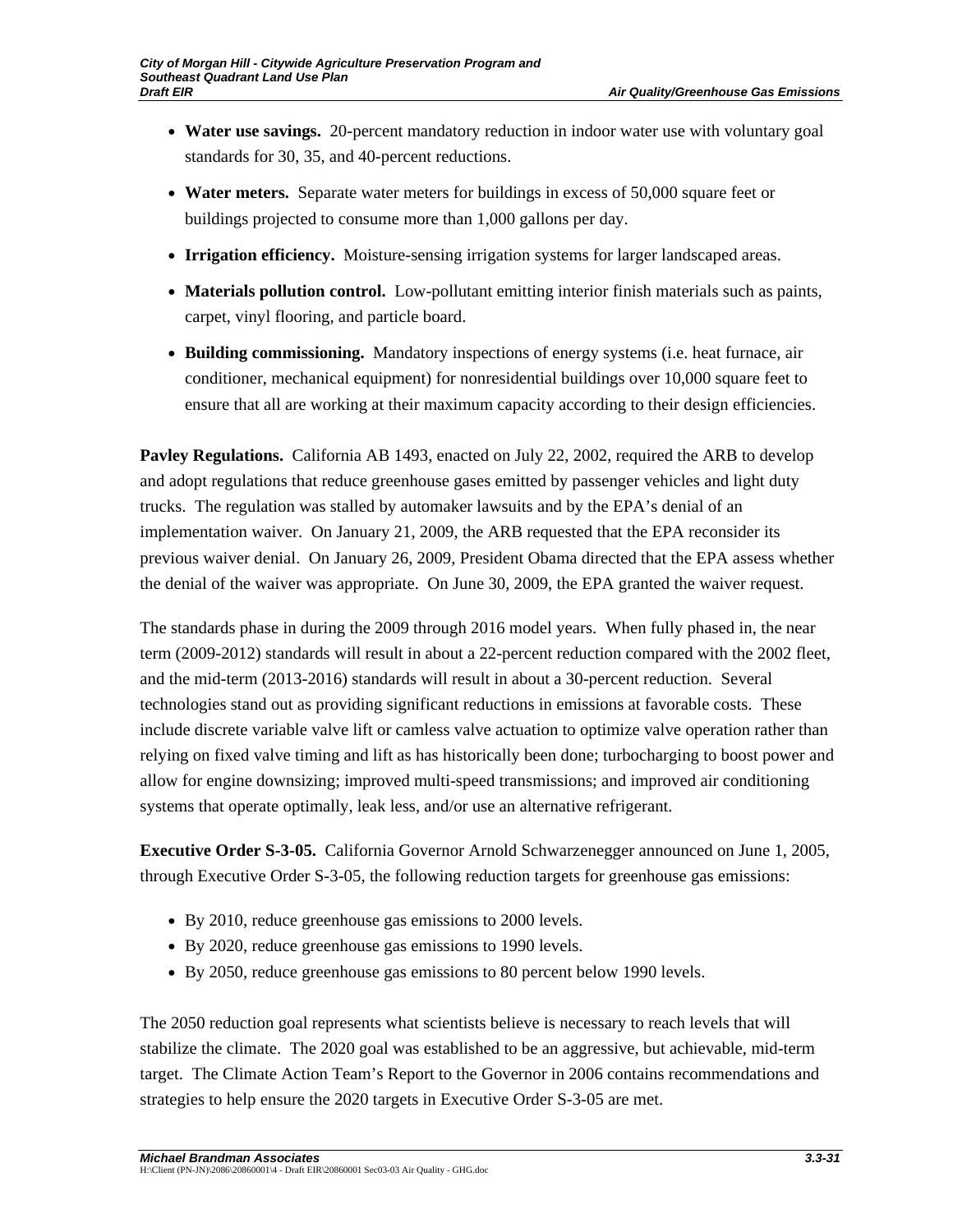- **Water use savings.** 20-percent mandatory reduction in indoor water use with voluntary goal standards for 30, 35, and 40-percent reductions.
- **Water meters.** Separate water meters for buildings in excess of 50,000 square feet or buildings projected to consume more than 1,000 gallons per day.
- **Irrigation efficiency.** Moisture-sensing irrigation systems for larger landscaped areas.
- **Materials pollution control.** Low-pollutant emitting interior finish materials such as paints, carpet, vinyl flooring, and particle board.
- **Building commissioning.** Mandatory inspections of energy systems (i.e. heat furnace, air conditioner, mechanical equipment) for nonresidential buildings over 10,000 square feet to ensure that all are working at their maximum capacity according to their design efficiencies.

**Pavley Regulations.** California AB 1493, enacted on July 22, 2002, required the ARB to develop and adopt regulations that reduce greenhouse gases emitted by passenger vehicles and light duty trucks. The regulation was stalled by automaker lawsuits and by the EPA's denial of an implementation waiver. On January 21, 2009, the ARB requested that the EPA reconsider its previous waiver denial. On January 26, 2009, President Obama directed that the EPA assess whether the denial of the waiver was appropriate. On June 30, 2009, the EPA granted the waiver request.

The standards phase in during the 2009 through 2016 model years. When fully phased in, the near term (2009-2012) standards will result in about a 22-percent reduction compared with the 2002 fleet, and the mid-term (2013-2016) standards will result in about a 30-percent reduction. Several technologies stand out as providing significant reductions in emissions at favorable costs. These include discrete variable valve lift or camless valve actuation to optimize valve operation rather than relying on fixed valve timing and lift as has historically been done; turbocharging to boost power and allow for engine downsizing; improved multi-speed transmissions; and improved air conditioning systems that operate optimally, leak less, and/or use an alternative refrigerant.

**Executive Order S-3-05.** California Governor Arnold Schwarzenegger announced on June 1, 2005, through Executive Order S-3-05, the following reduction targets for greenhouse gas emissions:

- By 2010, reduce greenhouse gas emissions to 2000 levels.
- By 2020, reduce greenhouse gas emissions to 1990 levels.
- By 2050, reduce greenhouse gas emissions to 80 percent below 1990 levels.

The 2050 reduction goal represents what scientists believe is necessary to reach levels that will stabilize the climate. The 2020 goal was established to be an aggressive, but achievable, mid-term target. The Climate Action Team's Report to the Governor in 2006 contains recommendations and strategies to help ensure the 2020 targets in Executive Order S-3-05 are met.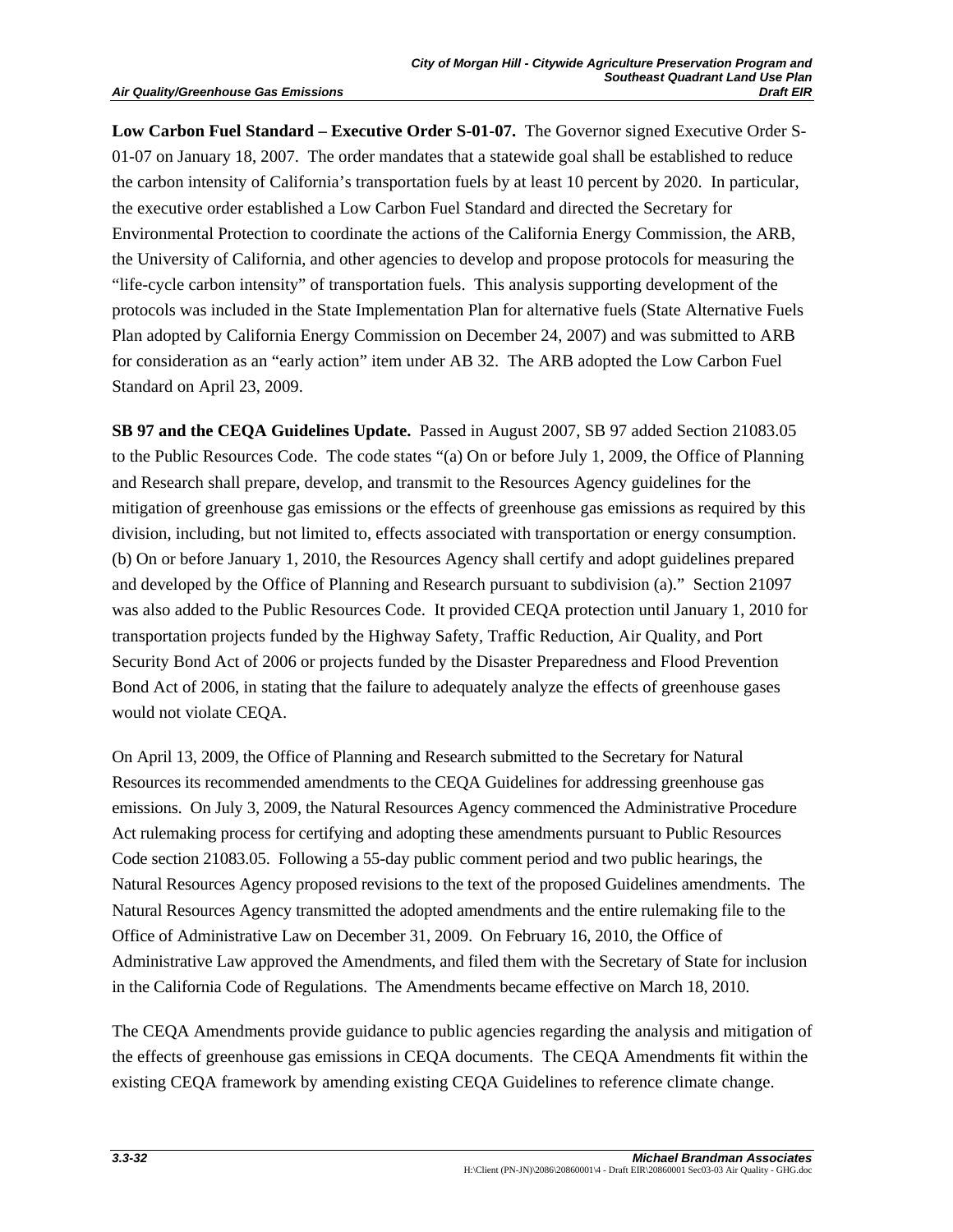**Low Carbon Fuel Standard – Executive Order S-01-07.** The Governor signed Executive Order S-01-07 on January 18, 2007. The order mandates that a statewide goal shall be established to reduce the carbon intensity of California's transportation fuels by at least 10 percent by 2020. In particular, the executive order established a Low Carbon Fuel Standard and directed the Secretary for Environmental Protection to coordinate the actions of the California Energy Commission, the ARB, the University of California, and other agencies to develop and propose protocols for measuring the "life-cycle carbon intensity" of transportation fuels. This analysis supporting development of the protocols was included in the State Implementation Plan for alternative fuels (State Alternative Fuels Plan adopted by California Energy Commission on December 24, 2007) and was submitted to ARB for consideration as an "early action" item under AB 32. The ARB adopted the Low Carbon Fuel Standard on April 23, 2009.

**SB 97 and the CEQA Guidelines Update.** Passed in August 2007, SB 97 added Section 21083.05 to the Public Resources Code. The code states "(a) On or before July 1, 2009, the Office of Planning and Research shall prepare, develop, and transmit to the Resources Agency guidelines for the mitigation of greenhouse gas emissions or the effects of greenhouse gas emissions as required by this division, including, but not limited to, effects associated with transportation or energy consumption. (b) On or before January 1, 2010, the Resources Agency shall certify and adopt guidelines prepared and developed by the Office of Planning and Research pursuant to subdivision (a)." Section 21097 was also added to the Public Resources Code. It provided CEQA protection until January 1, 2010 for transportation projects funded by the Highway Safety, Traffic Reduction, Air Quality, and Port Security Bond Act of 2006 or projects funded by the Disaster Preparedness and Flood Prevention Bond Act of 2006, in stating that the failure to adequately analyze the effects of greenhouse gases would not violate CEQA.

On April 13, 2009, the Office of Planning and Research submitted to the Secretary for Natural Resources its recommended amendments to the CEQA Guidelines for addressing greenhouse gas emissions. On July 3, 2009, the Natural Resources Agency commenced the Administrative Procedure Act rulemaking process for certifying and adopting these amendments pursuant to Public Resources Code section 21083.05. Following a 55-day public comment period and two public hearings, the Natural Resources Agency proposed revisions to the text of the proposed Guidelines amendments. The Natural Resources Agency transmitted the adopted amendments and the entire rulemaking file to the Office of Administrative Law on December 31, 2009. On February 16, 2010, the Office of Administrative Law approved the Amendments, and filed them with the Secretary of State for inclusion in the California Code of Regulations. The Amendments became effective on March 18, 2010.

The CEQA Amendments provide guidance to public agencies regarding the analysis and mitigation of the effects of greenhouse gas emissions in CEQA documents. The CEQA Amendments fit within the existing CEQA framework by amending existing CEQA Guidelines to reference climate change.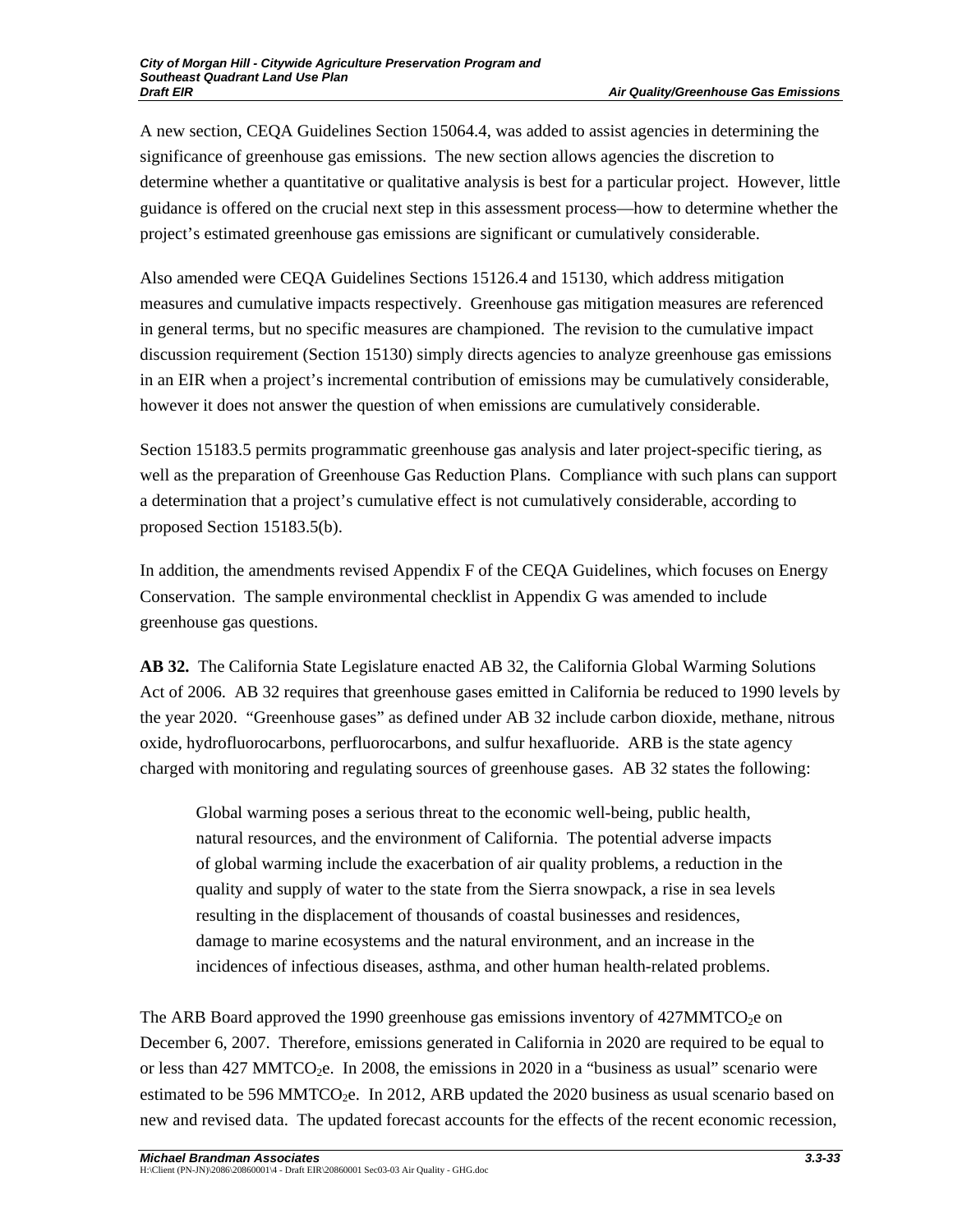A new section, CEQA Guidelines Section 15064.4, was added to assist agencies in determining the significance of greenhouse gas emissions. The new section allows agencies the discretion to determine whether a quantitative or qualitative analysis is best for a particular project. However, little guidance is offered on the crucial next step in this assessment process—how to determine whether the project's estimated greenhouse gas emissions are significant or cumulatively considerable.

Also amended were CEQA Guidelines Sections 15126.4 and 15130, which address mitigation measures and cumulative impacts respectively. Greenhouse gas mitigation measures are referenced in general terms, but no specific measures are championed. The revision to the cumulative impact discussion requirement (Section 15130) simply directs agencies to analyze greenhouse gas emissions in an EIR when a project's incremental contribution of emissions may be cumulatively considerable, however it does not answer the question of when emissions are cumulatively considerable.

Section 15183.5 permits programmatic greenhouse gas analysis and later project-specific tiering, as well as the preparation of Greenhouse Gas Reduction Plans. Compliance with such plans can support a determination that a project's cumulative effect is not cumulatively considerable, according to proposed Section 15183.5(b).

In addition, the amendments revised Appendix F of the CEQA Guidelines, which focuses on Energy Conservation. The sample environmental checklist in Appendix G was amended to include greenhouse gas questions.

**AB 32.** The California State Legislature enacted AB 32, the California Global Warming Solutions Act of 2006. AB 32 requires that greenhouse gases emitted in California be reduced to 1990 levels by the year 2020. "Greenhouse gases" as defined under AB 32 include carbon dioxide, methane, nitrous oxide, hydrofluorocarbons, perfluorocarbons, and sulfur hexafluoride. ARB is the state agency charged with monitoring and regulating sources of greenhouse gases. AB 32 states the following:

Global warming poses a serious threat to the economic well-being, public health, natural resources, and the environment of California. The potential adverse impacts of global warming include the exacerbation of air quality problems, a reduction in the quality and supply of water to the state from the Sierra snowpack, a rise in sea levels resulting in the displacement of thousands of coastal businesses and residences, damage to marine ecosystems and the natural environment, and an increase in the incidences of infectious diseases, asthma, and other human health-related problems.

The ARB Board approved the 1990 greenhouse gas emissions inventory of  $427\text{MMTCO}_2$ e on December 6, 2007. Therefore, emissions generated in California in 2020 are required to be equal to or less than 427 MMTCO<sub>2</sub>e. In 2008, the emissions in 2020 in a "business as usual" scenario were estimated to be 596 MMTCO<sub>2</sub>e. In 2012, ARB updated the 2020 business as usual scenario based on new and revised data. The updated forecast accounts for the effects of the recent economic recession,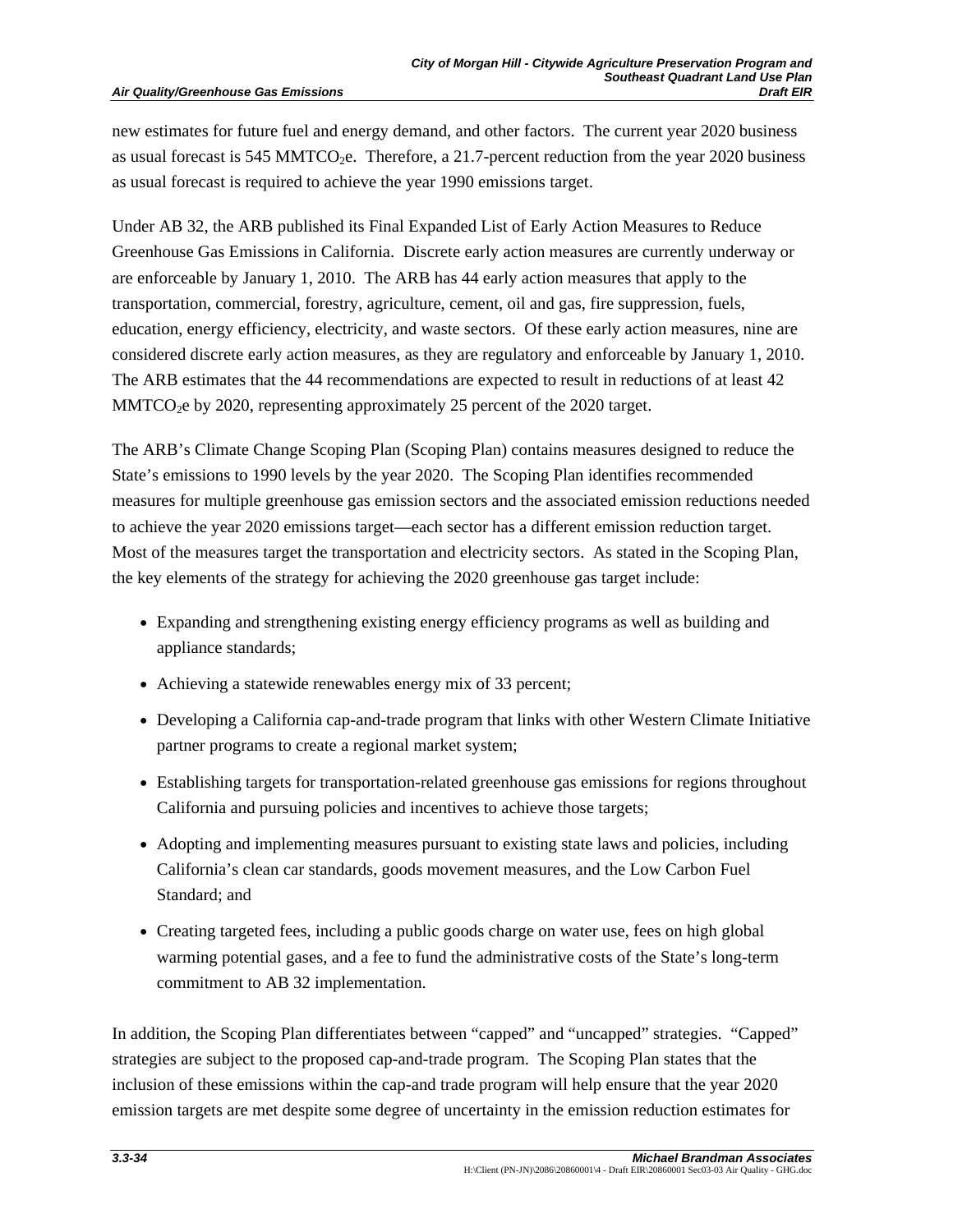new estimates for future fuel and energy demand, and other factors. The current year 2020 business as usual forecast is 545 MMTCO<sub>2</sub>e. Therefore, a 21.7-percent reduction from the year 2020 business as usual forecast is required to achieve the year 1990 emissions target.

Under AB 32, the ARB published its Final Expanded List of Early Action Measures to Reduce Greenhouse Gas Emissions in California. Discrete early action measures are currently underway or are enforceable by January 1, 2010. The ARB has 44 early action measures that apply to the transportation, commercial, forestry, agriculture, cement, oil and gas, fire suppression, fuels, education, energy efficiency, electricity, and waste sectors. Of these early action measures, nine are considered discrete early action measures, as they are regulatory and enforceable by January 1, 2010. The ARB estimates that the 44 recommendations are expected to result in reductions of at least 42  $MMTCO<sub>2</sub>e$  by 2020, representing approximately 25 percent of the 2020 target.

The ARB's Climate Change Scoping Plan (Scoping Plan) contains measures designed to reduce the State's emissions to 1990 levels by the year 2020. The Scoping Plan identifies recommended measures for multiple greenhouse gas emission sectors and the associated emission reductions needed to achieve the year 2020 emissions target—each sector has a different emission reduction target. Most of the measures target the transportation and electricity sectors. As stated in the Scoping Plan, the key elements of the strategy for achieving the 2020 greenhouse gas target include:

- Expanding and strengthening existing energy efficiency programs as well as building and appliance standards;
- Achieving a statewide renewables energy mix of 33 percent;
- Developing a California cap-and-trade program that links with other Western Climate Initiative partner programs to create a regional market system;
- Establishing targets for transportation-related greenhouse gas emissions for regions throughout California and pursuing policies and incentives to achieve those targets;
- Adopting and implementing measures pursuant to existing state laws and policies, including California's clean car standards, goods movement measures, and the Low Carbon Fuel Standard; and
- Creating targeted fees, including a public goods charge on water use, fees on high global warming potential gases, and a fee to fund the administrative costs of the State's long-term commitment to AB 32 implementation.

In addition, the Scoping Plan differentiates between "capped" and "uncapped" strategies. "Capped" strategies are subject to the proposed cap-and-trade program. The Scoping Plan states that the inclusion of these emissions within the cap-and trade program will help ensure that the year 2020 emission targets are met despite some degree of uncertainty in the emission reduction estimates for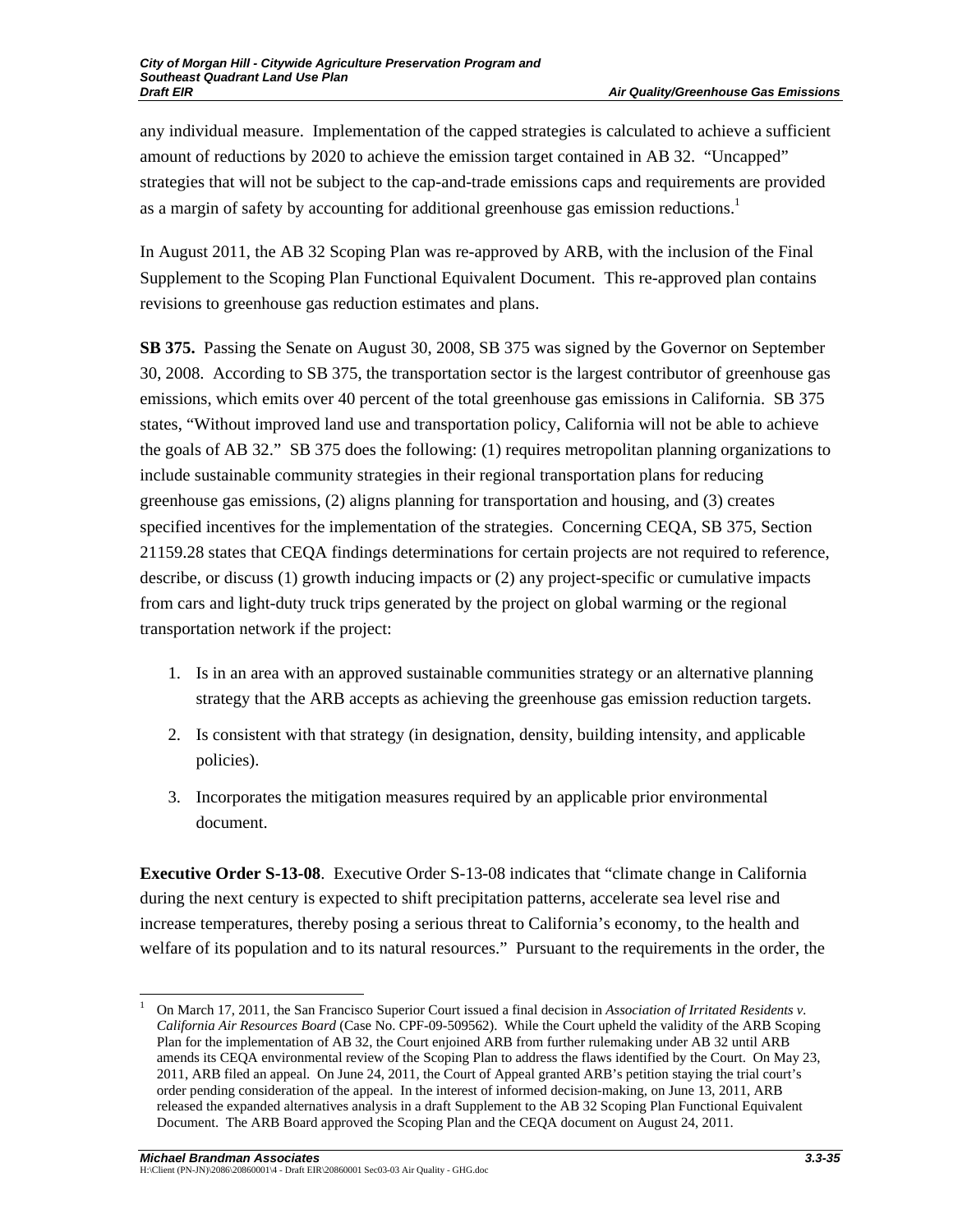any individual measure. Implementation of the capped strategies is calculated to achieve a sufficient amount of reductions by 2020 to achieve the emission target contained in AB 32. "Uncapped" strategies that will not be subject to the cap-and-trade emissions caps and requirements are provided as a margin of safety by accounting for additional greenhouse gas emission reductions.<sup>1</sup>

In August 2011, the AB 32 Scoping Plan was re-approved by ARB, with the inclusion of the Final Supplement to the Scoping Plan Functional Equivalent Document. This re-approved plan contains revisions to greenhouse gas reduction estimates and plans.

**SB 375.** Passing the Senate on August 30, 2008, SB 375 was signed by the Governor on September 30, 2008. According to SB 375, the transportation sector is the largest contributor of greenhouse gas emissions, which emits over 40 percent of the total greenhouse gas emissions in California. SB 375 states, "Without improved land use and transportation policy, California will not be able to achieve the goals of AB 32." SB 375 does the following: (1) requires metropolitan planning organizations to include sustainable community strategies in their regional transportation plans for reducing greenhouse gas emissions, (2) aligns planning for transportation and housing, and (3) creates specified incentives for the implementation of the strategies.Concerning CEQA, SB 375, Section 21159.28 states that CEQA findings determinations for certain projects are not required to reference, describe, or discuss (1) growth inducing impacts or (2) any project-specific or cumulative impacts from cars and light-duty truck trips generated by the project on global warming or the regional transportation network if the project:

- 1. Is in an area with an approved sustainable communities strategy or an alternative planning strategy that the ARB accepts as achieving the greenhouse gas emission reduction targets.
- 2. Is consistent with that strategy (in designation, density, building intensity, and applicable policies).
- 3. Incorporates the mitigation measures required by an applicable prior environmental document.

**Executive Order S-13-08**. Executive Order S-13-08 indicates that "climate change in California during the next century is expected to shift precipitation patterns, accelerate sea level rise and increase temperatures, thereby posing a serious threat to California's economy, to the health and welfare of its population and to its natural resources." Pursuant to the requirements in the order, the

 $\overline{\phantom{a}}$ 

<sup>1</sup> On March 17, 2011, the San Francisco Superior Court issued a final decision in *Association of Irritated Residents v. California Air Resources Board* (Case No. CPF-09-509562). While the Court upheld the validity of the ARB Scoping Plan for the implementation of AB 32, the Court enjoined ARB from further rulemaking under AB 32 until ARB amends its CEQA environmental review of the Scoping Plan to address the flaws identified by the Court. On May 23, 2011, ARB filed an appeal. On June 24, 2011, the Court of Appeal granted ARB's petition staying the trial court's order pending consideration of the appeal. In the interest of informed decision-making, on June 13, 2011, ARB released the expanded alternatives analysis in a draft Supplement to the AB 32 Scoping Plan Functional Equivalent Document. The ARB Board approved the Scoping Plan and the CEQA document on August 24, 2011.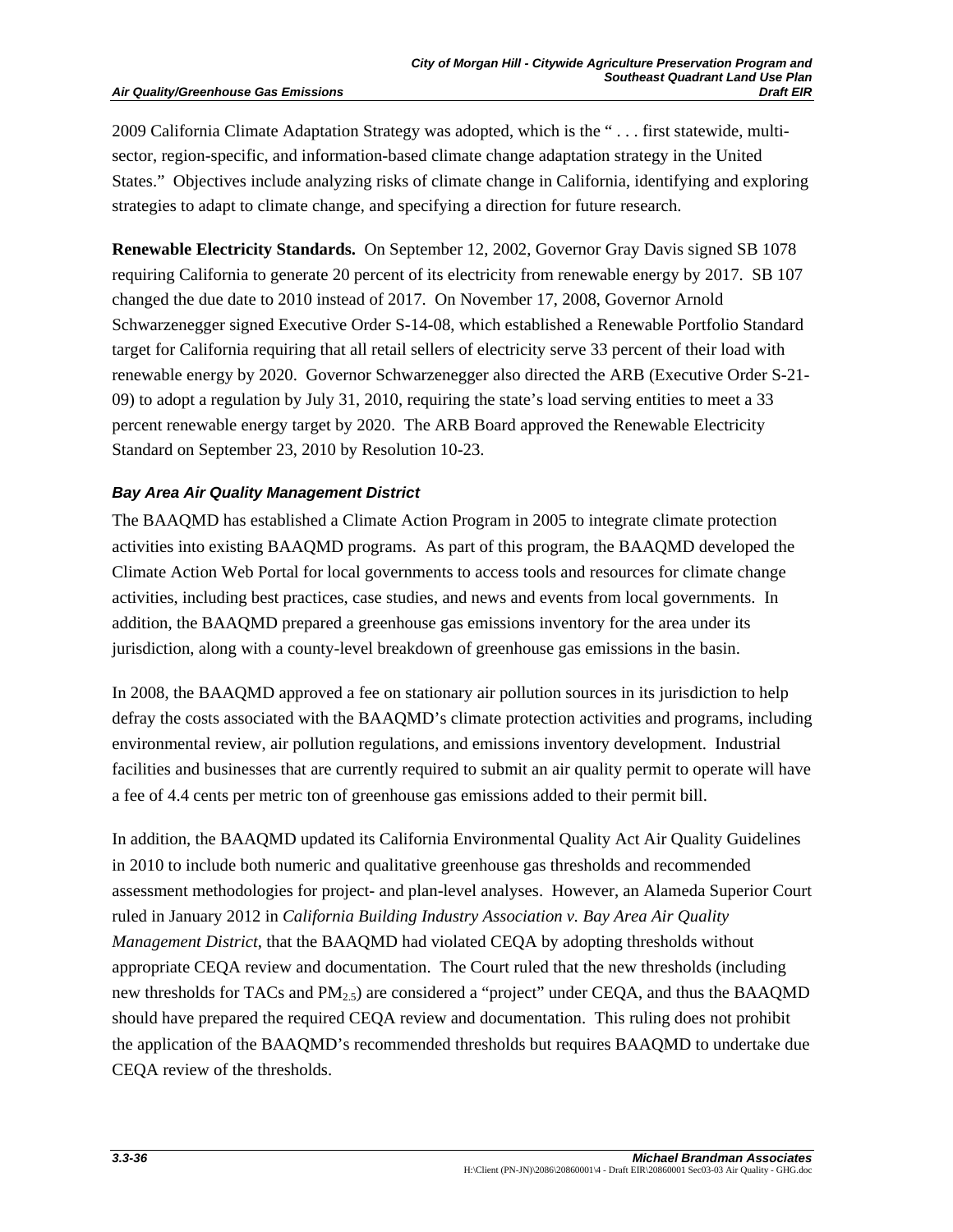#### **Air Quality/Greenhouse Gas Emissions**

2009 California Climate Adaptation Strategy was adopted, which is the " . . . first statewide, multisector, region-specific, and information-based climate change adaptation strategy in the United States." Objectives include analyzing risks of climate change in California, identifying and exploring strategies to adapt to climate change, and specifying a direction for future research.

**Renewable Electricity Standards.** On September 12, 2002, Governor Gray Davis signed SB 1078 requiring California to generate 20 percent of its electricity from renewable energy by 2017. SB 107 changed the due date to 2010 instead of 2017. On November 17, 2008, Governor Arnold Schwarzenegger signed Executive Order S-14-08, which established a Renewable Portfolio Standard target for California requiring that all retail sellers of electricity serve 33 percent of their load with renewable energy by 2020. Governor Schwarzenegger also directed the ARB (Executive Order S-21- 09) to adopt a regulation by July 31, 2010, requiring the state's load serving entities to meet a 33 percent renewable energy target by 2020. The ARB Board approved the Renewable Electricity Standard on September 23, 2010 by Resolution 10-23.

## *Bay Area Air Quality Management District*

The BAAQMD has established a Climate Action Program in 2005 to integrate climate protection activities into existing BAAQMD programs. As part of this program, the BAAQMD developed the Climate Action Web Portal for local governments to access tools and resources for climate change activities, including best practices, case studies, and news and events from local governments. In addition, the BAAQMD prepared a greenhouse gas emissions inventory for the area under its jurisdiction, along with a county-level breakdown of greenhouse gas emissions in the basin.

In 2008, the BAAQMD approved a fee on stationary air pollution sources in its jurisdiction to help defray the costs associated with the BAAQMD's climate protection activities and programs, including environmental review, air pollution regulations, and emissions inventory development. Industrial facilities and businesses that are currently required to submit an air quality permit to operate will have a fee of 4.4 cents per metric ton of greenhouse gas emissions added to their permit bill.

In addition, the BAAQMD updated its California Environmental Quality Act Air Quality Guidelines in 2010 to include both numeric and qualitative greenhouse gas thresholds and recommended assessment methodologies for project- and plan-level analyses. However, an Alameda Superior Court ruled in January 2012 in *California Building Industry Association v. Bay Area Air Quality Management District*, that the BAAQMD had violated CEQA by adopting thresholds without appropriate CEQA review and documentation. The Court ruled that the new thresholds (including new thresholds for TACs and PM<sub>2.5</sub>) are considered a "project" under CEQA, and thus the BAAQMD should have prepared the required CEQA review and documentation. This ruling does not prohibit the application of the BAAQMD's recommended thresholds but requires BAAQMD to undertake due CEQA review of the thresholds.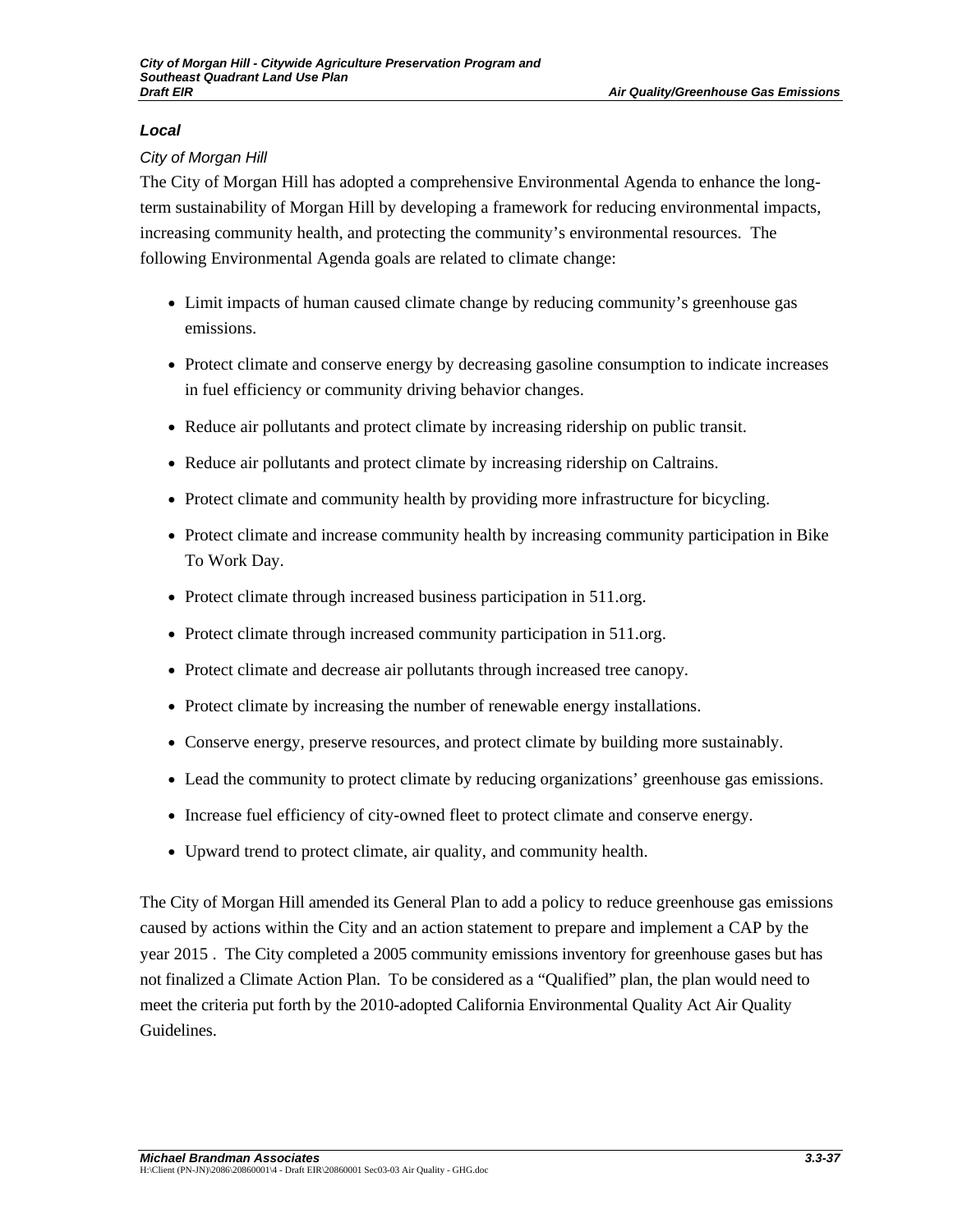## *Local*

## *City of Morgan Hill*

The City of Morgan Hill has adopted a comprehensive Environmental Agenda to enhance the longterm sustainability of Morgan Hill by developing a framework for reducing environmental impacts, increasing community health, and protecting the community's environmental resources. The following Environmental Agenda goals are related to climate change:

- Limit impacts of human caused climate change by reducing community's greenhouse gas emissions.
- Protect climate and conserve energy by decreasing gasoline consumption to indicate increases in fuel efficiency or community driving behavior changes.
- Reduce air pollutants and protect climate by increasing ridership on public transit.
- Reduce air pollutants and protect climate by increasing ridership on Caltrains.
- Protect climate and community health by providing more infrastructure for bicycling.
- Protect climate and increase community health by increasing community participation in Bike To Work Day.
- Protect climate through increased business participation in 511.org.
- Protect climate through increased community participation in 511.org.
- Protect climate and decrease air pollutants through increased tree canopy.
- Protect climate by increasing the number of renewable energy installations.
- Conserve energy, preserve resources, and protect climate by building more sustainably.
- Lead the community to protect climate by reducing organizations' greenhouse gas emissions.
- Increase fuel efficiency of city-owned fleet to protect climate and conserve energy.
- Upward trend to protect climate, air quality, and community health.

The City of Morgan Hill amended its General Plan to add a policy to reduce greenhouse gas emissions caused by actions within the City and an action statement to prepare and implement a CAP by the year 2015 . The City completed a 2005 community emissions inventory for greenhouse gases but has not finalized a Climate Action Plan. To be considered as a "Qualified" plan, the plan would need to meet the criteria put forth by the 2010-adopted California Environmental Quality Act Air Quality Guidelines.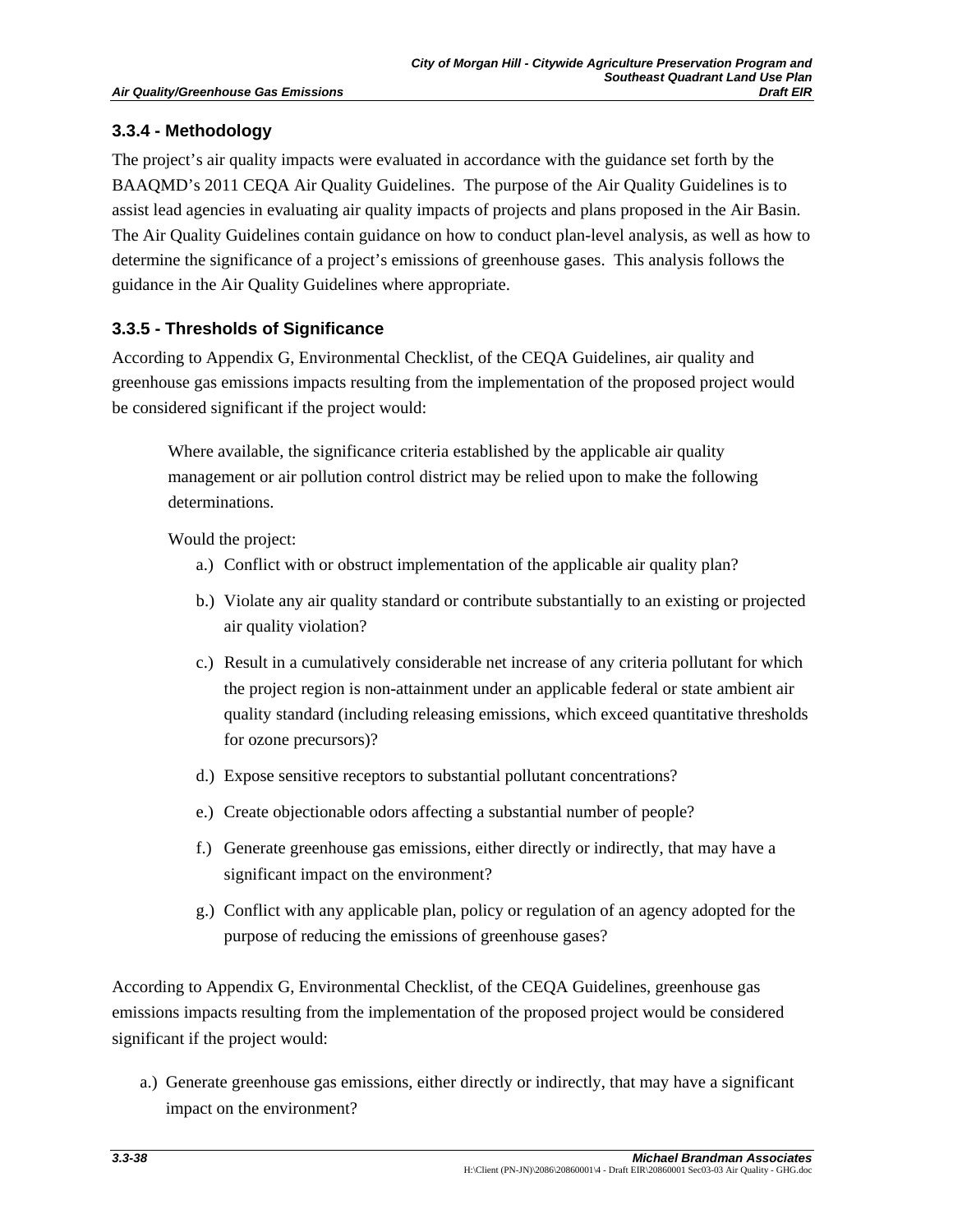## **3.3.4 - Methodology**

The project's air quality impacts were evaluated in accordance with the guidance set forth by the BAAQMD's 2011 CEQA Air Quality Guidelines. The purpose of the Air Quality Guidelines is to assist lead agencies in evaluating air quality impacts of projects and plans proposed in the Air Basin. The Air Quality Guidelines contain guidance on how to conduct plan-level analysis, as well as how to determine the significance of a project's emissions of greenhouse gases. This analysis follows the guidance in the Air Quality Guidelines where appropriate.

## **3.3.5 - Thresholds of Significance**

According to Appendix G, Environmental Checklist, of the CEQA Guidelines, air quality and greenhouse gas emissions impacts resulting from the implementation of the proposed project would be considered significant if the project would:

 Where available, the significance criteria established by the applicable air quality management or air pollution control district may be relied upon to make the following determinations.

Would the project:

- a.) Conflict with or obstruct implementation of the applicable air quality plan?
- b.) Violate any air quality standard or contribute substantially to an existing or projected air quality violation?
- c.) Result in a cumulatively considerable net increase of any criteria pollutant for which the project region is non-attainment under an applicable federal or state ambient air quality standard (including releasing emissions, which exceed quantitative thresholds for ozone precursors)?
- d.) Expose sensitive receptors to substantial pollutant concentrations?
- e.) Create objectionable odors affecting a substantial number of people?
- f.) Generate greenhouse gas emissions, either directly or indirectly, that may have a significant impact on the environment?
- g.) Conflict with any applicable plan, policy or regulation of an agency adopted for the purpose of reducing the emissions of greenhouse gases?

According to Appendix G, Environmental Checklist, of the CEQA Guidelines, greenhouse gas emissions impacts resulting from the implementation of the proposed project would be considered significant if the project would:

a.) Generate greenhouse gas emissions, either directly or indirectly, that may have a significant impact on the environment?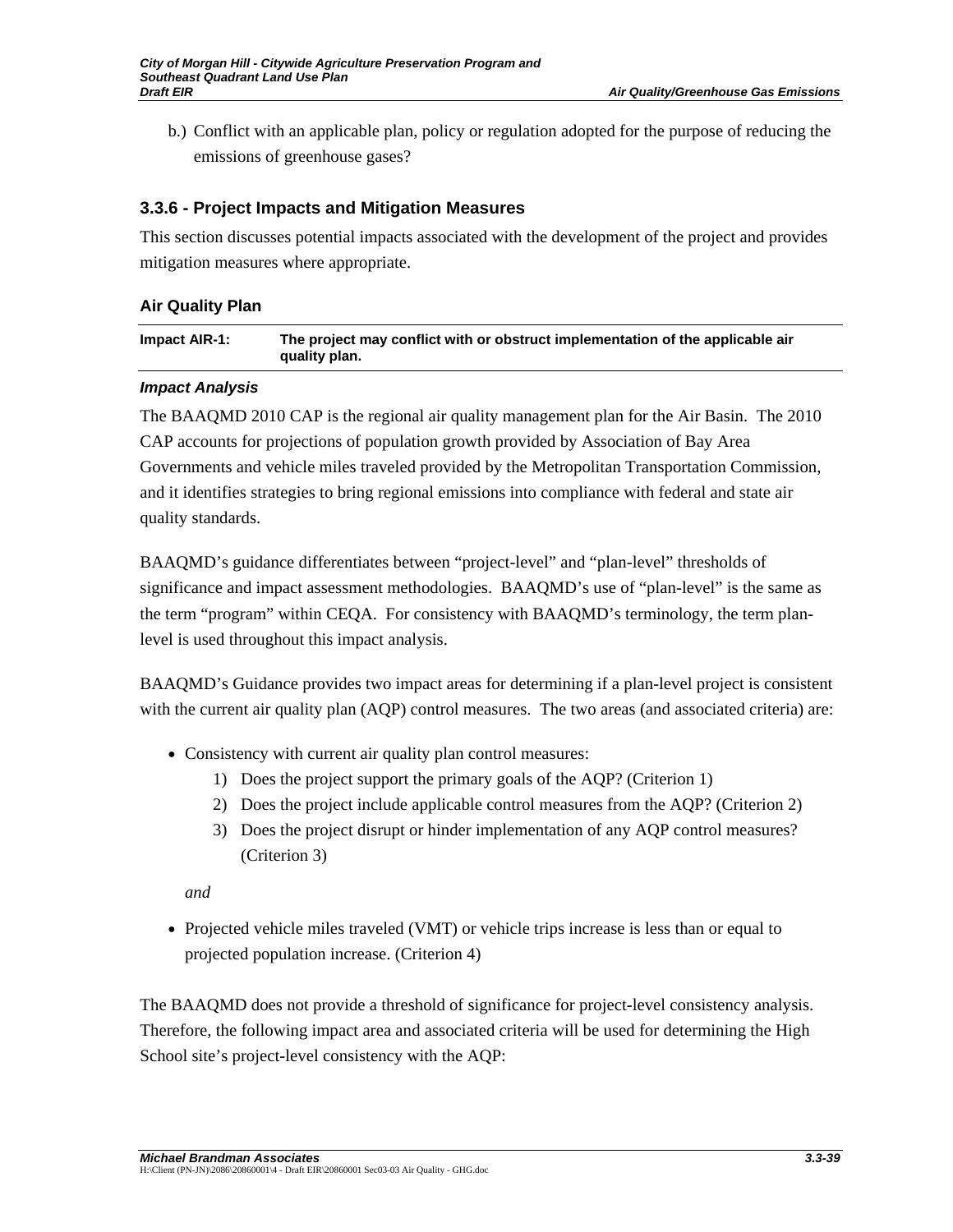b.) Conflict with an applicable plan, policy or regulation adopted for the purpose of reducing the emissions of greenhouse gases?

## **3.3.6 - Project Impacts and Mitigation Measures**

This section discusses potential impacts associated with the development of the project and provides mitigation measures where appropriate.

## **Air Quality Plan**

| Impact AIR-1: | The project may conflict with or obstruct implementation of the applicable air |
|---------------|--------------------------------------------------------------------------------|
|               | quality plan.                                                                  |

## *Impact Analysis*

The BAAQMD 2010 CAP is the regional air quality management plan for the Air Basin. The 2010 CAP accounts for projections of population growth provided by Association of Bay Area Governments and vehicle miles traveled provided by the Metropolitan Transportation Commission, and it identifies strategies to bring regional emissions into compliance with federal and state air quality standards.

BAAQMD's guidance differentiates between "project-level" and "plan-level" thresholds of significance and impact assessment methodologies. BAAQMD's use of "plan-level" is the same as the term "program" within CEQA. For consistency with BAAQMD's terminology, the term planlevel is used throughout this impact analysis.

BAAQMD's Guidance provides two impact areas for determining if a plan-level project is consistent with the current air quality plan (AQP) control measures. The two areas (and associated criteria) are:

- Consistency with current air quality plan control measures:
	- 1) Does the project support the primary goals of the AQP? (Criterion 1)
	- 2) Does the project include applicable control measures from the AQP? (Criterion 2)
	- 3) Does the project disrupt or hinder implementation of any AQP control measures? (Criterion 3)

*and* 

• Projected vehicle miles traveled (VMT) or vehicle trips increase is less than or equal to projected population increase. (Criterion 4)

The BAAQMD does not provide a threshold of significance for project-level consistency analysis. Therefore, the following impact area and associated criteria will be used for determining the High School site's project-level consistency with the AQP: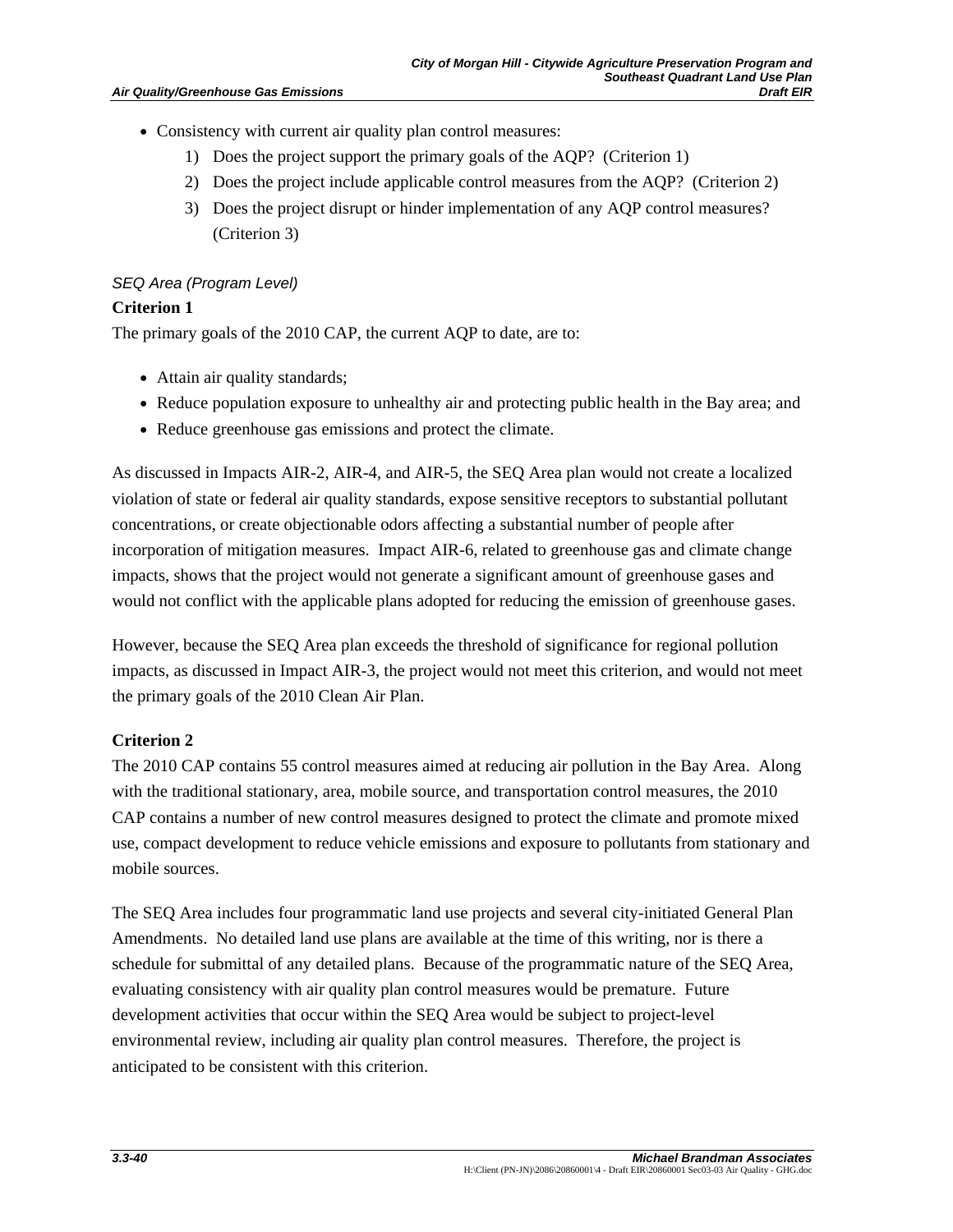- Consistency with current air quality plan control measures:
	- 1) Does the project support the primary goals of the AQP? (Criterion 1)
	- 2) Does the project include applicable control measures from the AQP? (Criterion 2)
	- 3) Does the project disrupt or hinder implementation of any AQP control measures? (Criterion 3)

#### *SEQ Area (Program Level)*

## **Criterion 1**

The primary goals of the 2010 CAP, the current AQP to date, are to:

- Attain air quality standards;
- Reduce population exposure to unhealthy air and protecting public health in the Bay area; and
- Reduce greenhouse gas emissions and protect the climate.

As discussed in Impacts AIR-2, AIR-4, and AIR-5, the SEQ Area plan would not create a localized violation of state or federal air quality standards, expose sensitive receptors to substantial pollutant concentrations, or create objectionable odors affecting a substantial number of people after incorporation of mitigation measures. Impact AIR-6, related to greenhouse gas and climate change impacts, shows that the project would not generate a significant amount of greenhouse gases and would not conflict with the applicable plans adopted for reducing the emission of greenhouse gases.

However, because the SEQ Area plan exceeds the threshold of significance for regional pollution impacts, as discussed in Impact AIR-3, the project would not meet this criterion, and would not meet the primary goals of the 2010 Clean Air Plan.

## **Criterion 2**

The 2010 CAP contains 55 control measures aimed at reducing air pollution in the Bay Area. Along with the traditional stationary, area, mobile source, and transportation control measures, the 2010 CAP contains a number of new control measures designed to protect the climate and promote mixed use, compact development to reduce vehicle emissions and exposure to pollutants from stationary and mobile sources.

The SEQ Area includes four programmatic land use projects and several city-initiated General Plan Amendments. No detailed land use plans are available at the time of this writing, nor is there a schedule for submittal of any detailed plans. Because of the programmatic nature of the SEQ Area, evaluating consistency with air quality plan control measures would be premature. Future development activities that occur within the SEQ Area would be subject to project-level environmental review, including air quality plan control measures. Therefore, the project is anticipated to be consistent with this criterion.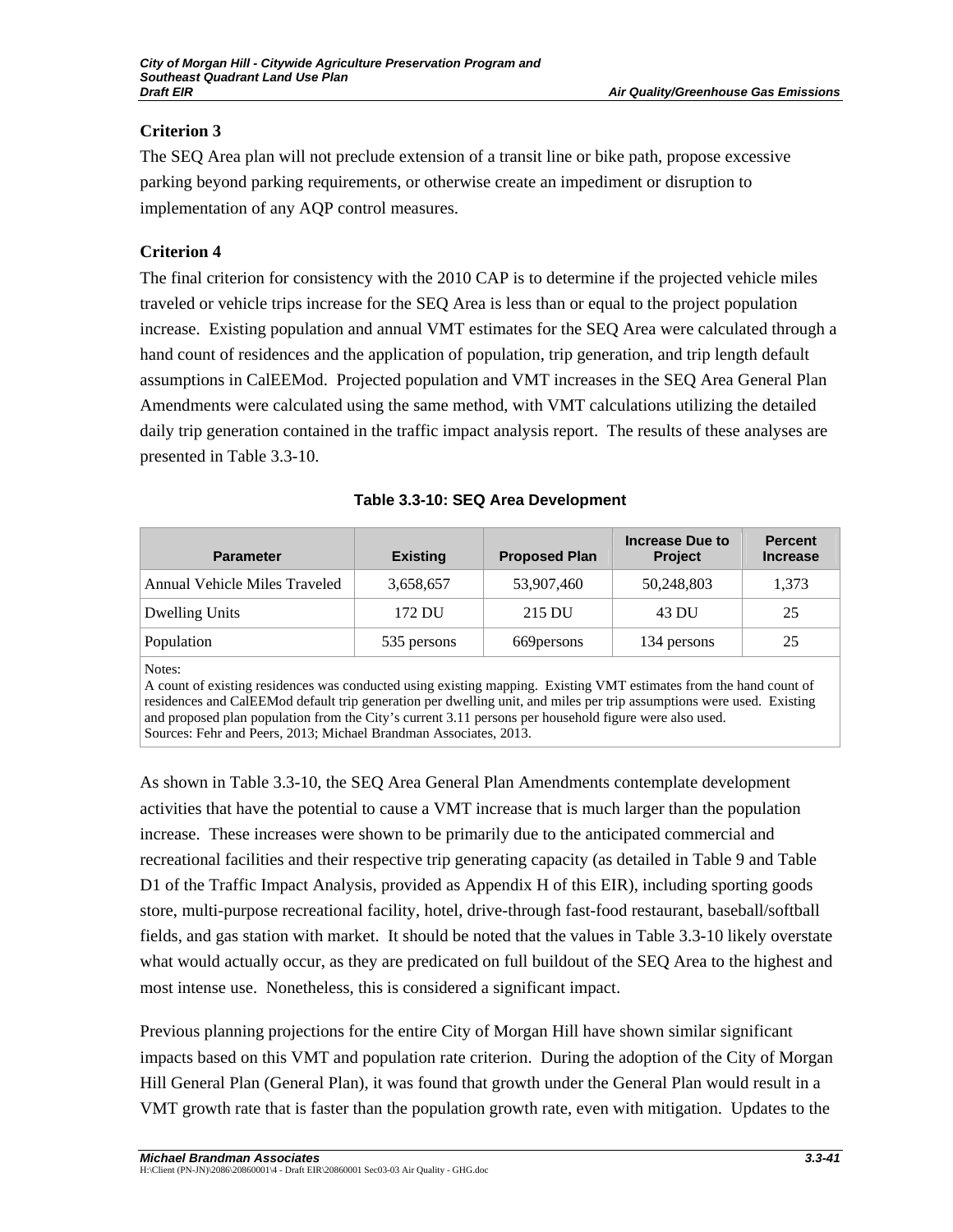## **Criterion 3**

The SEQ Area plan will not preclude extension of a transit line or bike path, propose excessive parking beyond parking requirements, or otherwise create an impediment or disruption to implementation of any AQP control measures.

# **Criterion 4**

The final criterion for consistency with the 2010 CAP is to determine if the projected vehicle miles traveled or vehicle trips increase for the SEQ Area is less than or equal to the project population increase. Existing population and annual VMT estimates for the SEQ Area were calculated through a hand count of residences and the application of population, trip generation, and trip length default assumptions in CalEEMod. Projected population and VMT increases in the SEQ Area General Plan Amendments were calculated using the same method, with VMT calculations utilizing the detailed daily trip generation contained in the traffic impact analysis report. The results of these analyses are presented in Table 3.3-10.

| <b>Parameter</b>              | <b>Existing</b> | <b>Proposed Plan</b> | Increase Due to<br><b>Project</b> | <b>Percent</b><br><b>Increase</b> |
|-------------------------------|-----------------|----------------------|-----------------------------------|-----------------------------------|
| Annual Vehicle Miles Traveled | 3,658,657       | 53,907,460           | 50,248,803                        | 1,373                             |
| Dwelling Units                | 172 DU          | 215 DU               | 43 DU                             | 25                                |
| Population                    | 535 persons     | 669 persons          | 134 persons                       | 25                                |

|  | Table 3.3-10: SEQ Area Development |  |  |  |  |
|--|------------------------------------|--|--|--|--|
|--|------------------------------------|--|--|--|--|

Notes:

A count of existing residences was conducted using existing mapping. Existing VMT estimates from the hand count of residences and CalEEMod default trip generation per dwelling unit, and miles per trip assumptions were used. Existing and proposed plan population from the City's current 3.11 persons per household figure were also used. Sources: Fehr and Peers, 2013; Michael Brandman Associates, 2013.

As shown in Table 3.3-10, the SEQ Area General Plan Amendments contemplate development activities that have the potential to cause a VMT increase that is much larger than the population increase. These increases were shown to be primarily due to the anticipated commercial and recreational facilities and their respective trip generating capacity (as detailed in Table 9 and Table D1 of the Traffic Impact Analysis, provided as Appendix H of this EIR), including sporting goods store, multi-purpose recreational facility, hotel, drive-through fast-food restaurant, baseball/softball fields, and gas station with market. It should be noted that the values in Table 3.3-10 likely overstate what would actually occur, as they are predicated on full buildout of the SEQ Area to the highest and most intense use. Nonetheless, this is considered a significant impact.

Previous planning projections for the entire City of Morgan Hill have shown similar significant impacts based on this VMT and population rate criterion. During the adoption of the City of Morgan Hill General Plan (General Plan), it was found that growth under the General Plan would result in a VMT growth rate that is faster than the population growth rate, even with mitigation. Updates to the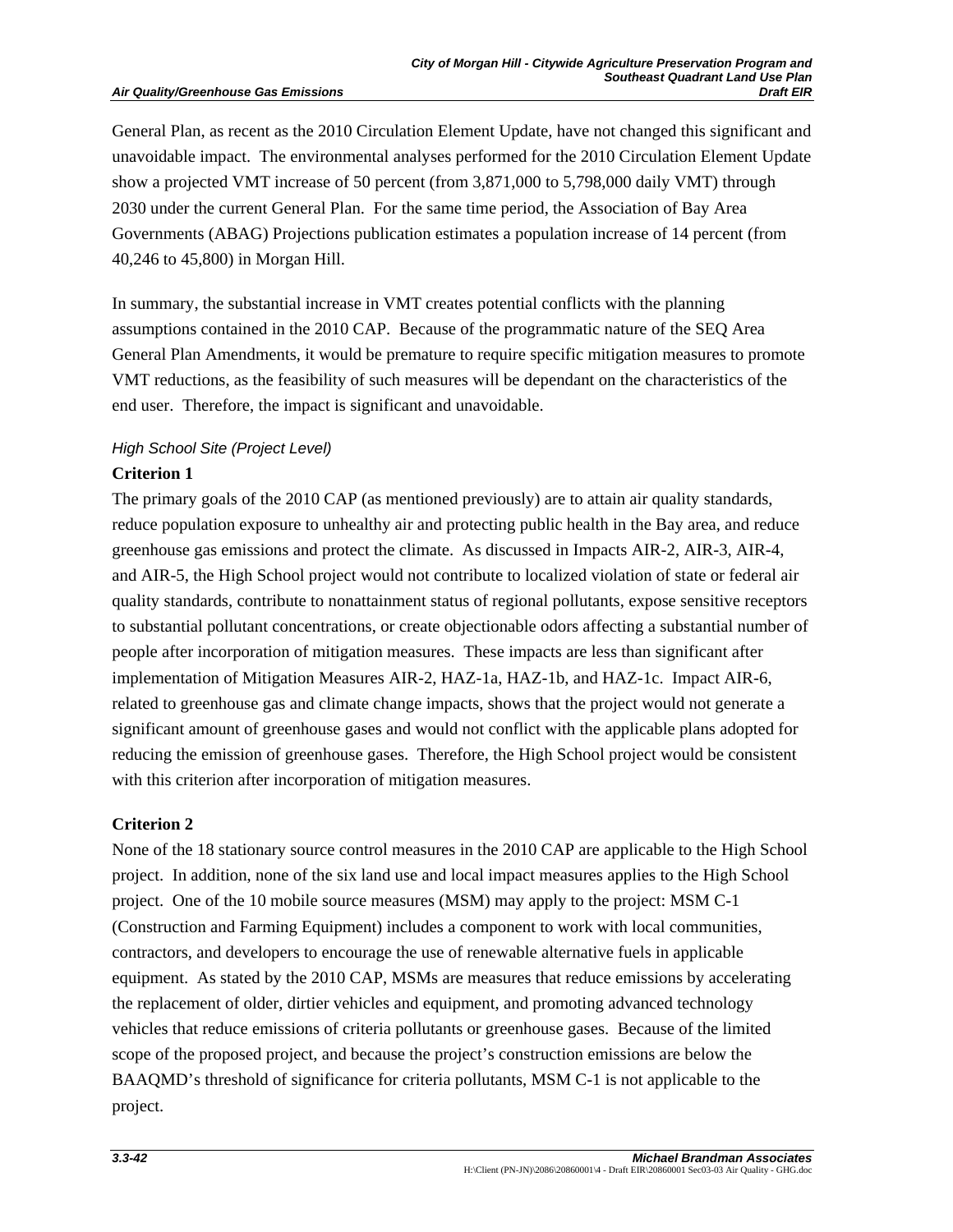#### **Air Quality/Greenhouse Gas Emissions**

General Plan, as recent as the 2010 Circulation Element Update, have not changed this significant and unavoidable impact. The environmental analyses performed for the 2010 Circulation Element Update show a projected VMT increase of 50 percent (from 3,871,000 to 5,798,000 daily VMT) through 2030 under the current General Plan. For the same time period, the Association of Bay Area Governments (ABAG) Projections publication estimates a population increase of 14 percent (from 40,246 to 45,800) in Morgan Hill.

In summary, the substantial increase in VMT creates potential conflicts with the planning assumptions contained in the 2010 CAP. Because of the programmatic nature of the SEQ Area General Plan Amendments, it would be premature to require specific mitigation measures to promote VMT reductions, as the feasibility of such measures will be dependant on the characteristics of the end user. Therefore, the impact is significant and unavoidable.

# *High School Site (Project Level)*

## **Criterion 1**

The primary goals of the 2010 CAP (as mentioned previously) are to attain air quality standards, reduce population exposure to unhealthy air and protecting public health in the Bay area, and reduce greenhouse gas emissions and protect the climate. As discussed in Impacts AIR-2, AIR-3, AIR-4, and AIR-5, the High School project would not contribute to localized violation of state or federal air quality standards, contribute to nonattainment status of regional pollutants, expose sensitive receptors to substantial pollutant concentrations, or create objectionable odors affecting a substantial number of people after incorporation of mitigation measures. These impacts are less than significant after implementation of Mitigation Measures AIR-2, HAZ-1a, HAZ-1b, and HAZ-1c. Impact AIR-6, related to greenhouse gas and climate change impacts, shows that the project would not generate a significant amount of greenhouse gases and would not conflict with the applicable plans adopted for reducing the emission of greenhouse gases. Therefore, the High School project would be consistent with this criterion after incorporation of mitigation measures.

## **Criterion 2**

None of the 18 stationary source control measures in the 2010 CAP are applicable to the High School project. In addition, none of the six land use and local impact measures applies to the High School project. One of the 10 mobile source measures (MSM) may apply to the project: MSM C-1 (Construction and Farming Equipment) includes a component to work with local communities, contractors, and developers to encourage the use of renewable alternative fuels in applicable equipment. As stated by the 2010 CAP, MSMs are measures that reduce emissions by accelerating the replacement of older, dirtier vehicles and equipment, and promoting advanced technology vehicles that reduce emissions of criteria pollutants or greenhouse gases. Because of the limited scope of the proposed project, and because the project's construction emissions are below the BAAQMD's threshold of significance for criteria pollutants, MSM C-1 is not applicable to the project.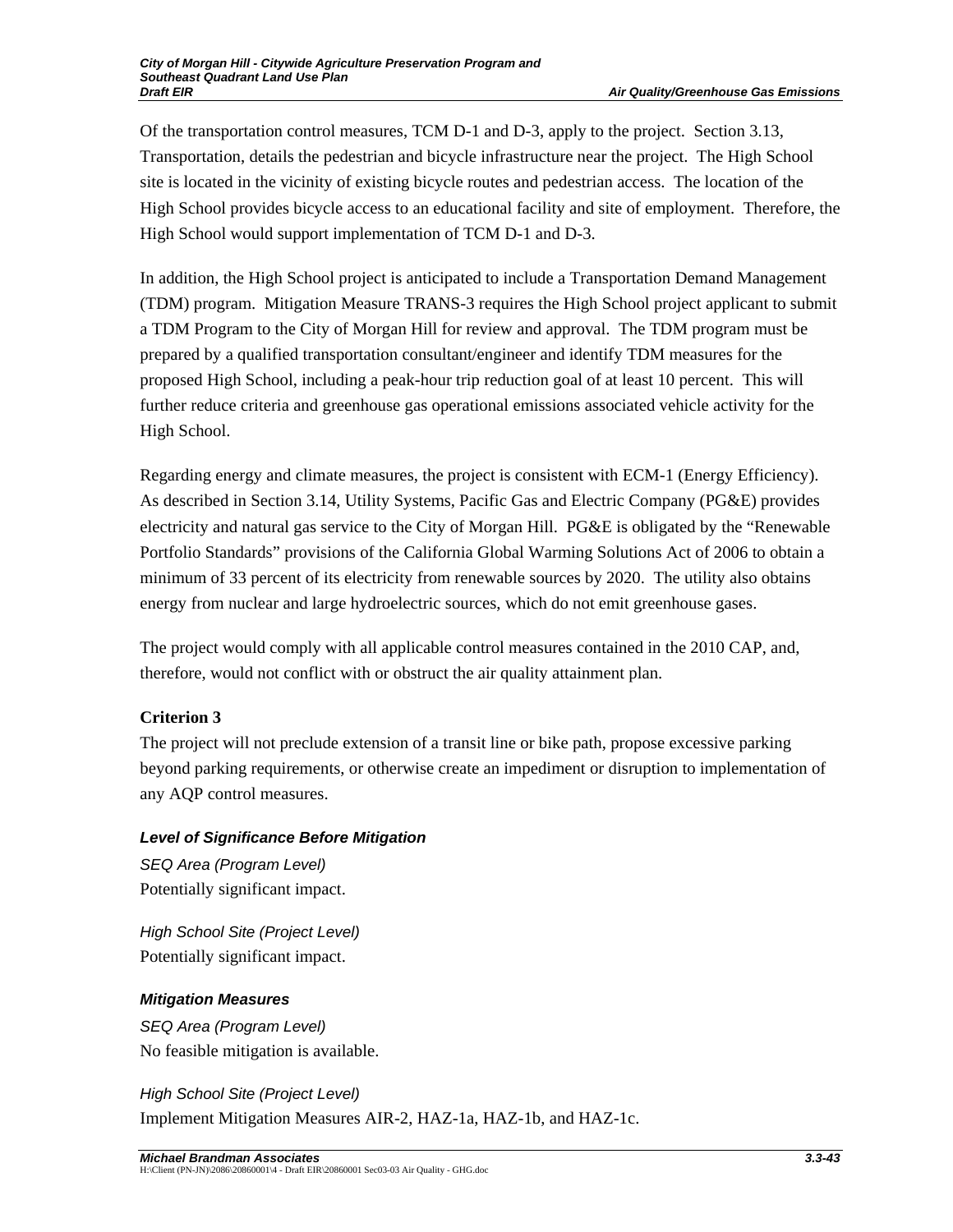Of the transportation control measures, TCM D-1 and D-3, apply to the project. Section 3.13, Transportation, details the pedestrian and bicycle infrastructure near the project. The High School site is located in the vicinity of existing bicycle routes and pedestrian access. The location of the High School provides bicycle access to an educational facility and site of employment. Therefore, the High School would support implementation of TCM D-1 and D-3.

In addition, the High School project is anticipated to include a Transportation Demand Management (TDM) program. Mitigation Measure TRANS-3 requires the High School project applicant to submit a TDM Program to the City of Morgan Hill for review and approval. The TDM program must be prepared by a qualified transportation consultant/engineer and identify TDM measures for the proposed High School, including a peak-hour trip reduction goal of at least 10 percent. This will further reduce criteria and greenhouse gas operational emissions associated vehicle activity for the High School.

Regarding energy and climate measures, the project is consistent with ECM-1 (Energy Efficiency). As described in Section 3.14, Utility Systems, Pacific Gas and Electric Company (PG&E) provides electricity and natural gas service to the City of Morgan Hill. PG&E is obligated by the "Renewable Portfolio Standards" provisions of the California Global Warming Solutions Act of 2006 to obtain a minimum of 33 percent of its electricity from renewable sources by 2020. The utility also obtains energy from nuclear and large hydroelectric sources, which do not emit greenhouse gases.

The project would comply with all applicable control measures contained in the 2010 CAP, and, therefore, would not conflict with or obstruct the air quality attainment plan.

# **Criterion 3**

The project will not preclude extension of a transit line or bike path, propose excessive parking beyond parking requirements, or otherwise create an impediment or disruption to implementation of any AQP control measures.

## *Level of Significance Before Mitigation*

*SEQ Area (Program Level)*  Potentially significant impact.

*High School Site (Project Level)*  Potentially significant impact.

## *Mitigation Measures*

*SEQ Area (Program Level)*  No feasible mitigation is available.

# *High School Site (Project Level)*  Implement Mitigation Measures AIR-2, HAZ-1a, HAZ-1b, and HAZ-1c.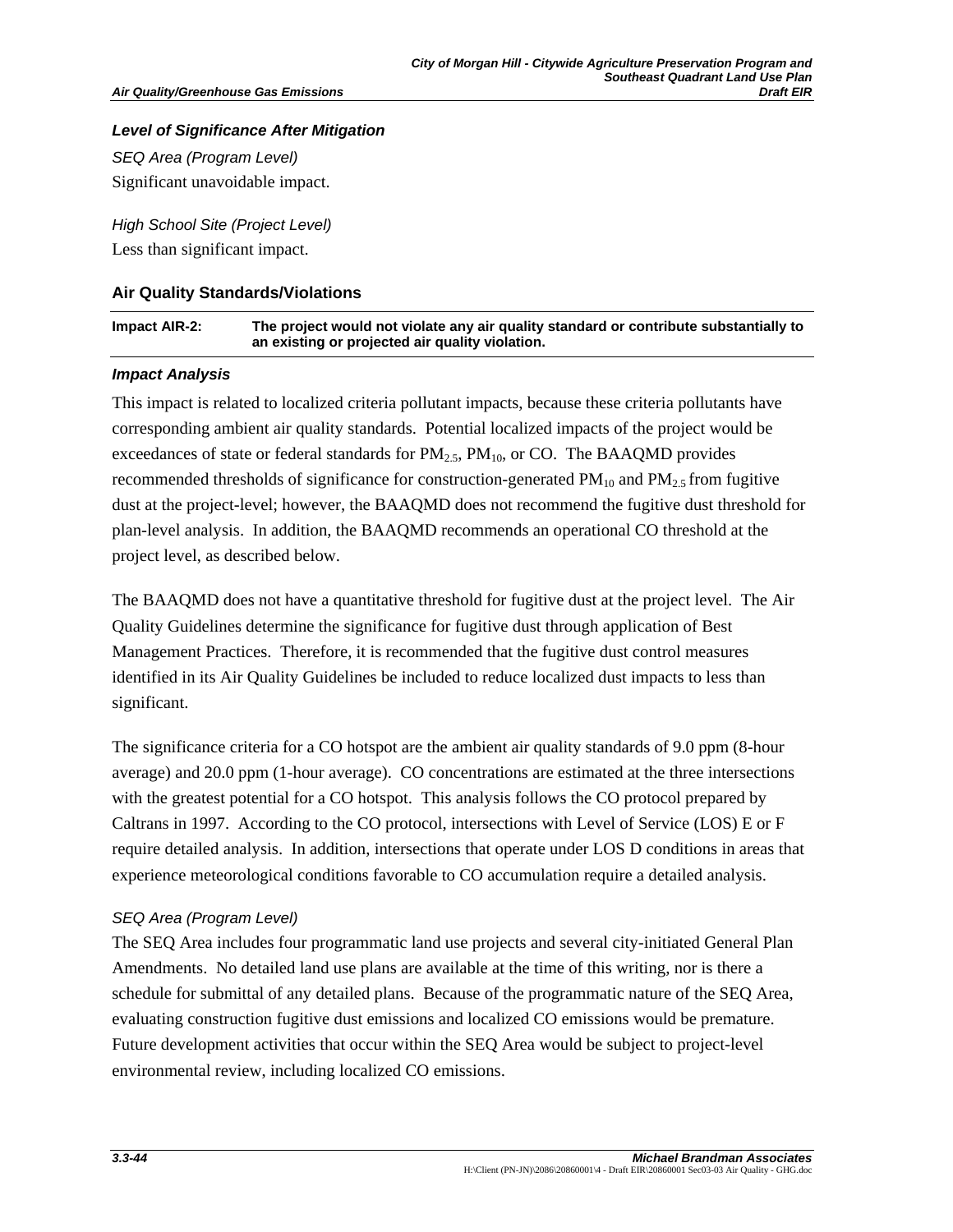## *Level of Significance After Mitigation*

*SEQ Area (Program Level)*  Significant unavoidable impact.

*High School Site (Project Level)*  Less than significant impact.

## **Air Quality Standards/Violations**

| Impact AIR-2: | The project would not violate any air quality standard or contribute substantially to |
|---------------|---------------------------------------------------------------------------------------|
|               | an existing or projected air quality violation.                                       |

## *Impact Analysis*

This impact is related to localized criteria pollutant impacts, because these criteria pollutants have corresponding ambient air quality standards. Potential localized impacts of the project would be exceedances of state or federal standards for  $PM_{2.5}$ ,  $PM_{10}$ , or CO. The BAAQMD provides recommended thresholds of significance for construction-generated  $PM_{10}$  and  $PM_{2.5}$  from fugitive dust at the project-level; however, the BAAQMD does not recommend the fugitive dust threshold for plan-level analysis. In addition, the BAAQMD recommends an operational CO threshold at the project level, as described below.

The BAAQMD does not have a quantitative threshold for fugitive dust at the project level. The Air Quality Guidelines determine the significance for fugitive dust through application of Best Management Practices. Therefore, it is recommended that the fugitive dust control measures identified in its Air Quality Guidelines be included to reduce localized dust impacts to less than significant.

The significance criteria for a CO hotspot are the ambient air quality standards of 9.0 ppm (8-hour average) and 20.0 ppm (1-hour average). CO concentrations are estimated at the three intersections with the greatest potential for a CO hotspot. This analysis follows the CO protocol prepared by Caltrans in 1997. According to the CO protocol, intersections with Level of Service (LOS) E or F require detailed analysis. In addition, intersections that operate under LOS D conditions in areas that experience meteorological conditions favorable to CO accumulation require a detailed analysis.

## *SEQ Area (Program Level)*

The SEQ Area includes four programmatic land use projects and several city-initiated General Plan Amendments. No detailed land use plans are available at the time of this writing, nor is there a schedule for submittal of any detailed plans. Because of the programmatic nature of the SEQ Area, evaluating construction fugitive dust emissions and localized CO emissions would be premature. Future development activities that occur within the SEQ Area would be subject to project-level environmental review, including localized CO emissions.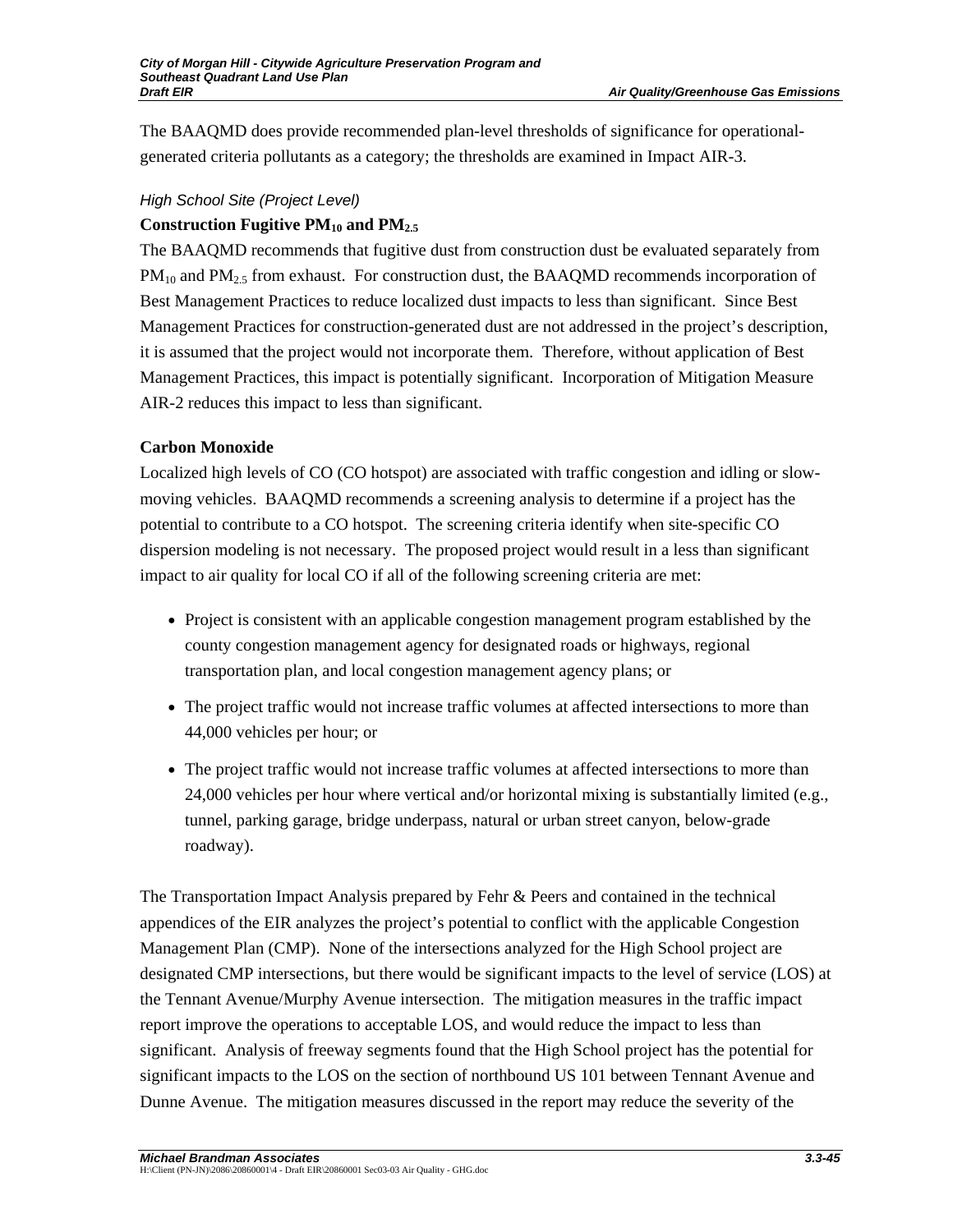The BAAQMD does provide recommended plan-level thresholds of significance for operationalgenerated criteria pollutants as a category; the thresholds are examined in Impact AIR-3.

## *High School Site (Project Level)*

## Construction Fugitive PM<sub>10</sub> and PM<sub>2.5</sub>

The BAAQMD recommends that fugitive dust from construction dust be evaluated separately from  $PM_{10}$  and  $PM_{2.5}$  from exhaust. For construction dust, the BAAQMD recommends incorporation of Best Management Practices to reduce localized dust impacts to less than significant. Since Best Management Practices for construction-generated dust are not addressed in the project's description, it is assumed that the project would not incorporate them. Therefore, without application of Best Management Practices, this impact is potentially significant. Incorporation of Mitigation Measure AIR-2 reduces this impact to less than significant.

## **Carbon Monoxide**

Localized high levels of CO (CO hotspot) are associated with traffic congestion and idling or slowmoving vehicles. BAAQMD recommends a screening analysis to determine if a project has the potential to contribute to a CO hotspot. The screening criteria identify when site-specific CO dispersion modeling is not necessary. The proposed project would result in a less than significant impact to air quality for local CO if all of the following screening criteria are met:

- Project is consistent with an applicable congestion management program established by the county congestion management agency for designated roads or highways, regional transportation plan, and local congestion management agency plans; or
- The project traffic would not increase traffic volumes at affected intersections to more than 44,000 vehicles per hour; or
- The project traffic would not increase traffic volumes at affected intersections to more than 24,000 vehicles per hour where vertical and/or horizontal mixing is substantially limited (e.g., tunnel, parking garage, bridge underpass, natural or urban street canyon, below-grade roadway).

The Transportation Impact Analysis prepared by Fehr & Peers and contained in the technical appendices of the EIR analyzes the project's potential to conflict with the applicable Congestion Management Plan (CMP). None of the intersections analyzed for the High School project are designated CMP intersections, but there would be significant impacts to the level of service (LOS) at the Tennant Avenue/Murphy Avenue intersection. The mitigation measures in the traffic impact report improve the operations to acceptable LOS, and would reduce the impact to less than significant. Analysis of freeway segments found that the High School project has the potential for significant impacts to the LOS on the section of northbound US 101 between Tennant Avenue and Dunne Avenue. The mitigation measures discussed in the report may reduce the severity of the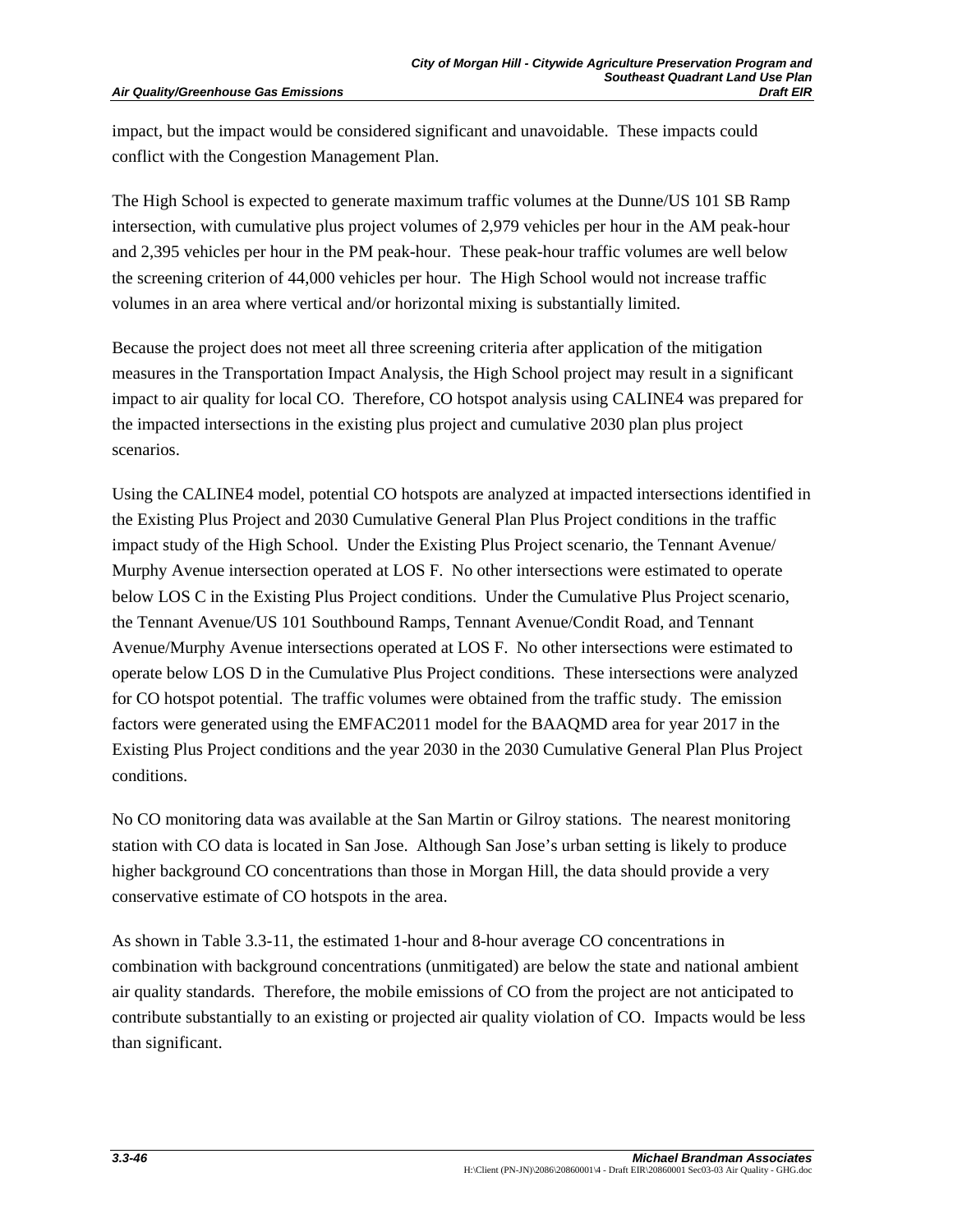impact, but the impact would be considered significant and unavoidable. These impacts could conflict with the Congestion Management Plan.

The High School is expected to generate maximum traffic volumes at the Dunne/US 101 SB Ramp intersection, with cumulative plus project volumes of 2,979 vehicles per hour in the AM peak-hour and 2,395 vehicles per hour in the PM peak-hour. These peak-hour traffic volumes are well below the screening criterion of 44,000 vehicles per hour. The High School would not increase traffic volumes in an area where vertical and/or horizontal mixing is substantially limited.

Because the project does not meet all three screening criteria after application of the mitigation measures in the Transportation Impact Analysis, the High School project may result in a significant impact to air quality for local CO. Therefore, CO hotspot analysis using CALINE4 was prepared for the impacted intersections in the existing plus project and cumulative 2030 plan plus project scenarios.

Using the CALINE4 model, potential CO hotspots are analyzed at impacted intersections identified in the Existing Plus Project and 2030 Cumulative General Plan Plus Project conditions in the traffic impact study of the High School. Under the Existing Plus Project scenario, the Tennant Avenue/ Murphy Avenue intersection operated at LOS F. No other intersections were estimated to operate below LOS C in the Existing Plus Project conditions. Under the Cumulative Plus Project scenario, the Tennant Avenue/US 101 Southbound Ramps, Tennant Avenue/Condit Road, and Tennant Avenue/Murphy Avenue intersections operated at LOS F. No other intersections were estimated to operate below LOS D in the Cumulative Plus Project conditions. These intersections were analyzed for CO hotspot potential. The traffic volumes were obtained from the traffic study. The emission factors were generated using the EMFAC2011 model for the BAAQMD area for year 2017 in the Existing Plus Project conditions and the year 2030 in the 2030 Cumulative General Plan Plus Project conditions.

No CO monitoring data was available at the San Martin or Gilroy stations. The nearest monitoring station with CO data is located in San Jose. Although San Jose's urban setting is likely to produce higher background CO concentrations than those in Morgan Hill, the data should provide a very conservative estimate of CO hotspots in the area.

As shown in Table 3.3-11, the estimated 1-hour and 8-hour average CO concentrations in combination with background concentrations (unmitigated) are below the state and national ambient air quality standards. Therefore, the mobile emissions of CO from the project are not anticipated to contribute substantially to an existing or projected air quality violation of CO. Impacts would be less than significant.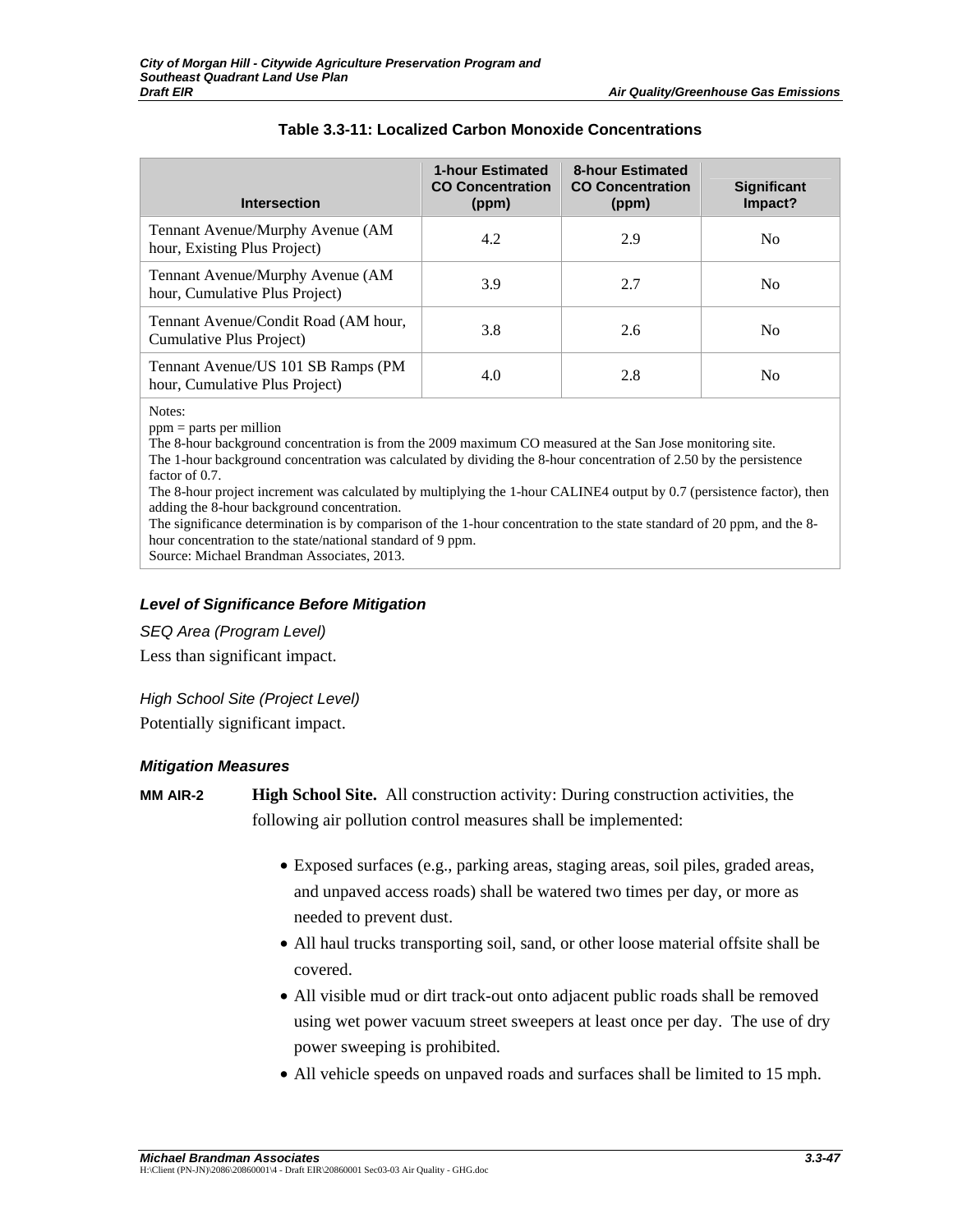| <b>Intersection</b>                                                  | <b>1-hour Estimated</b><br><b>CO Concentration</b><br>(ppm) | <b>8-hour Estimated</b><br><b>CO Concentration</b><br>(ppm) | <b>Significant</b><br>Impact? |
|----------------------------------------------------------------------|-------------------------------------------------------------|-------------------------------------------------------------|-------------------------------|
| Tennant Avenue/Murphy Avenue (AM<br>hour, Existing Plus Project)     | 4.2                                                         | 2.9                                                         | N <sub>0</sub>                |
| Tennant Avenue/Murphy Avenue (AM<br>hour, Cumulative Plus Project)   | 3.9                                                         | 2.7                                                         | N <sub>0</sub>                |
| Tennant Avenue/Condit Road (AM hour,<br>Cumulative Plus Project)     | 3.8                                                         | 2.6                                                         | N <sub>0</sub>                |
| Tennant Avenue/US 101 SB Ramps (PM<br>hour, Cumulative Plus Project) | 4.0                                                         | 2.8                                                         | N <sub>0</sub>                |

## **Table 3.3-11: Localized Carbon Monoxide Concentrations**

Notes:

ppm = parts per million

The 8-hour background concentration is from the 2009 maximum CO measured at the San Jose monitoring site. The 1-hour background concentration was calculated by dividing the 8-hour concentration of 2.50 by the persistence factor of 0.7.

The 8-hour project increment was calculated by multiplying the 1-hour CALINE4 output by 0.7 (persistence factor), then adding the 8-hour background concentration.

The significance determination is by comparison of the 1-hour concentration to the state standard of 20 ppm, and the 8 hour concentration to the state/national standard of 9 ppm.

Source: Michael Brandman Associates, 2013.

## *Level of Significance Before Mitigation*

*SEQ Area (Program Level)* 

Less than significant impact.

*High School Site (Project Level)*  Potentially significant impact.

#### *Mitigation Measures*

**MM AIR-2 High School Site.** All construction activity: During construction activities, the following air pollution control measures shall be implemented:

- Exposed surfaces (e.g., parking areas, staging areas, soil piles, graded areas, and unpaved access roads) shall be watered two times per day, or more as needed to prevent dust.
- All haul trucks transporting soil, sand, or other loose material offsite shall be covered.
- All visible mud or dirt track-out onto adjacent public roads shall be removed using wet power vacuum street sweepers at least once per day. The use of dry power sweeping is prohibited.
- All vehicle speeds on unpaved roads and surfaces shall be limited to 15 mph.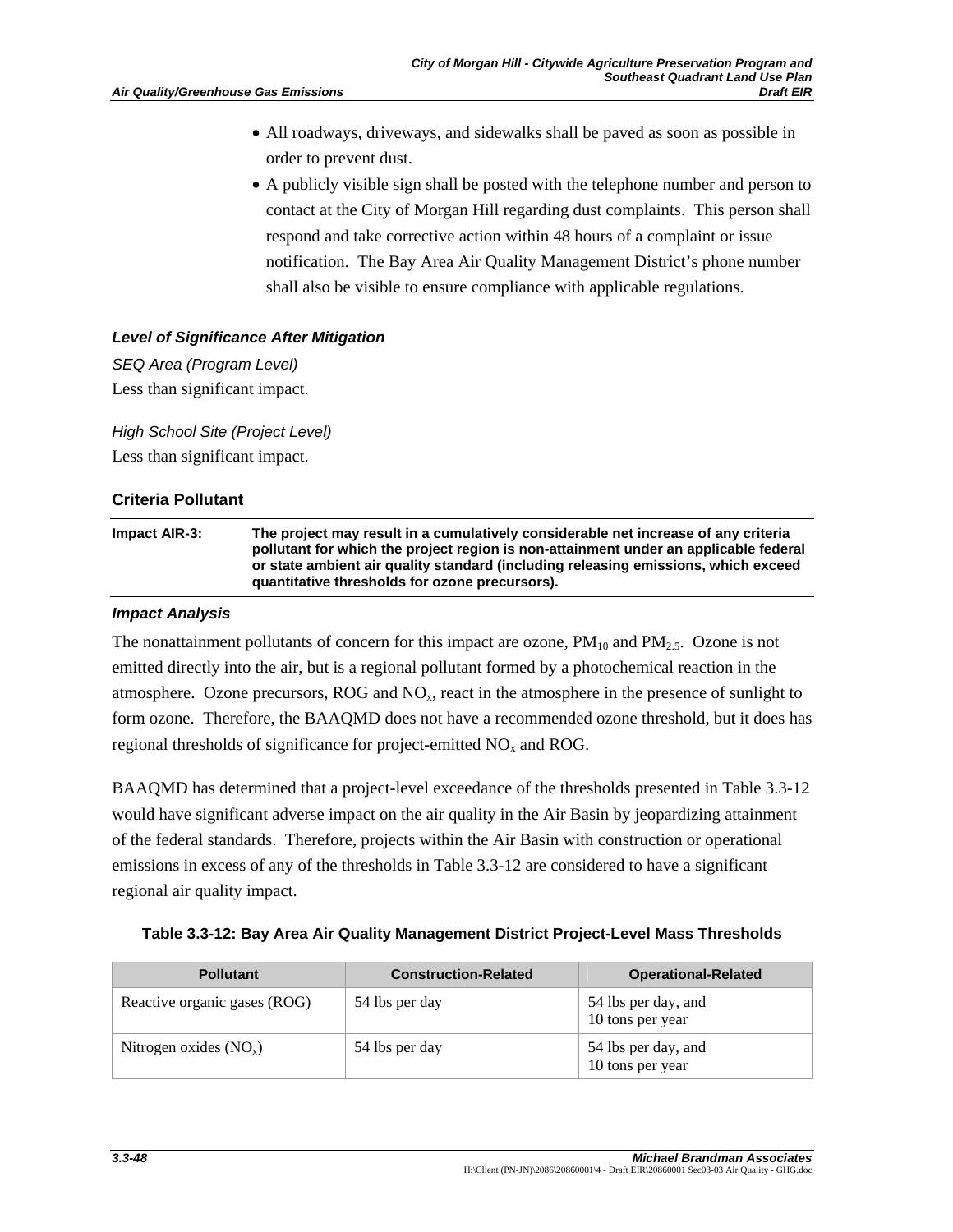- All roadways, driveways, and sidewalks shall be paved as soon as possible in order to prevent dust.
- A publicly visible sign shall be posted with the telephone number and person to contact at the City of Morgan Hill regarding dust complaints. This person shall respond and take corrective action within 48 hours of a complaint or issue notification. The Bay Area Air Quality Management District's phone number shall also be visible to ensure compliance with applicable regulations.

# *Level of Significance After Mitigation*

*SEQ Area (Program Level)*  Less than significant impact.

*High School Site (Project Level)*  Less than significant impact.

# **Criteria Pollutant**

**Impact AIR-3: The project may result in a cumulatively considerable net increase of any criteria pollutant for which the project region is non-attainment under an applicable federal or state ambient air quality standard (including releasing emissions, which exceed quantitative thresholds for ozone precursors).** 

## *Impact Analysis*

The nonattainment pollutants of concern for this impact are ozone,  $PM_{10}$  and  $PM_{2.5}$ . Ozone is not emitted directly into the air, but is a regional pollutant formed by a photochemical reaction in the atmosphere. Ozone precursors, ROG and  $NO<sub>x</sub>$ , react in the atmosphere in the presence of sunlight to form ozone. Therefore, the BAAQMD does not have a recommended ozone threshold, but it does has regional thresholds of significance for project-emitted  $NO<sub>x</sub>$  and ROG.

BAAQMD has determined that a project-level exceedance of the thresholds presented in Table 3.3-12 would have significant adverse impact on the air quality in the Air Basin by jeopardizing attainment of the federal standards. Therefore, projects within the Air Basin with construction or operational emissions in excess of any of the thresholds in Table 3.3-12 are considered to have a significant regional air quality impact.

| Table 3.3-12: Bay Area Air Quality Management District Project-Level Mass Thresholds |
|--------------------------------------------------------------------------------------|
|                                                                                      |

| <b>Pollutant</b>             | <b>Construction-Related</b> | <b>Operational-Related</b>              |
|------------------------------|-----------------------------|-----------------------------------------|
| Reactive organic gases (ROG) | 54 lbs per day              | 54 lbs per day, and<br>10 tons per year |
| Nitrogen oxides $(NO_x)$     | 54 lbs per day              | 54 lbs per day, and<br>10 tons per year |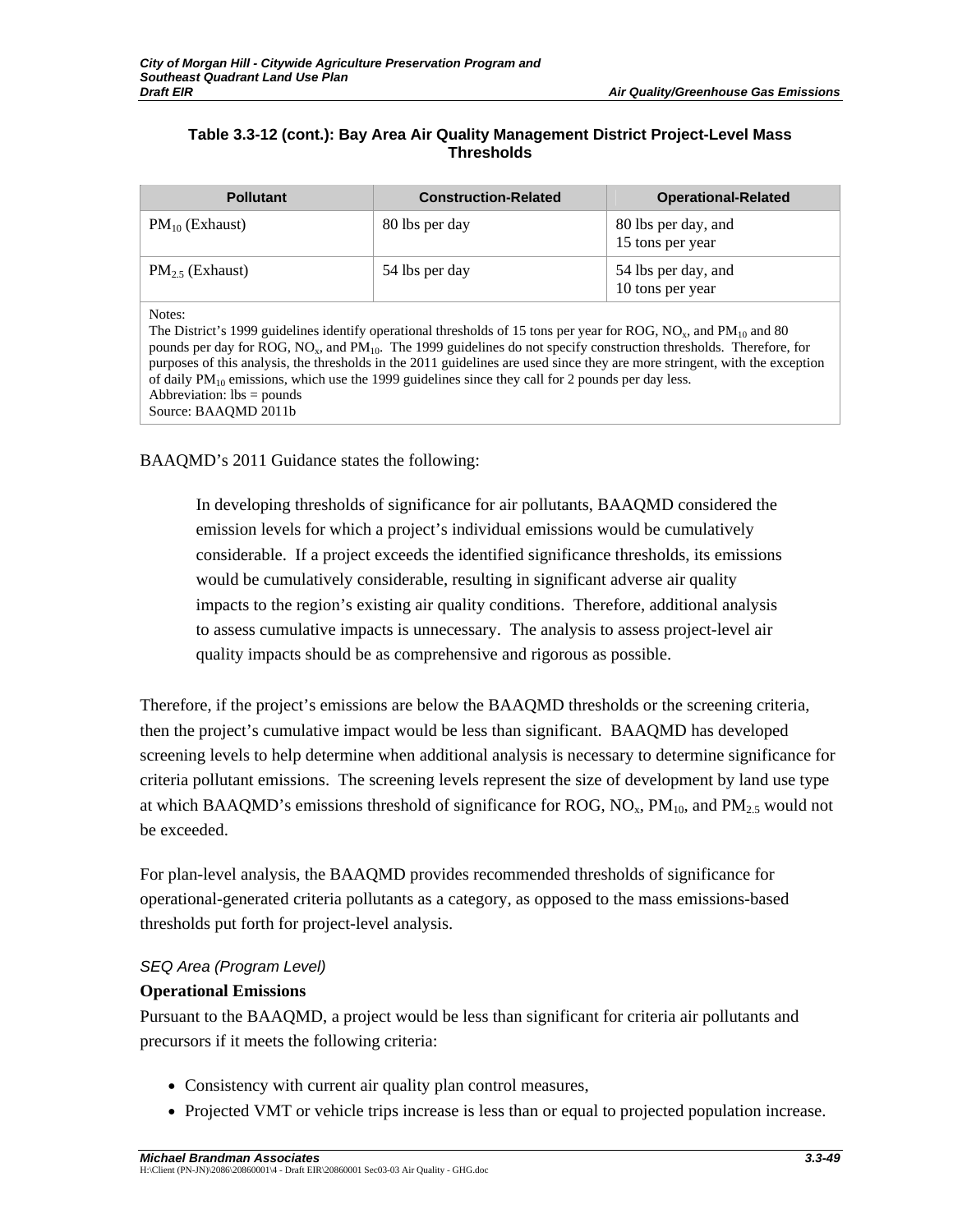## **Table 3.3-12 (cont.): Bay Area Air Quality Management District Project-Level Mass Thresholds**

| <b>Pollutant</b>                                                                                                                                                                                                                                                                                                                                                                                                                                                                                                                                                                                                  | <b>Construction-Related</b> | <b>Operational-Related</b>              |
|-------------------------------------------------------------------------------------------------------------------------------------------------------------------------------------------------------------------------------------------------------------------------------------------------------------------------------------------------------------------------------------------------------------------------------------------------------------------------------------------------------------------------------------------------------------------------------------------------------------------|-----------------------------|-----------------------------------------|
| $PM_{10}$ (Exhaust)                                                                                                                                                                                                                                                                                                                                                                                                                                                                                                                                                                                               | 80 lbs per day              | 80 lbs per day, and<br>15 tons per year |
| $PM_2$ (Exhaust)                                                                                                                                                                                                                                                                                                                                                                                                                                                                                                                                                                                                  | 54 lbs per day              | 54 lbs per day, and<br>10 tons per year |
| Notes:<br>The District's 1999 guidelines identify operational thresholds of 15 tons per year for ROG, NO <sub>x</sub> , and PM <sub>10</sub> and 80<br>pounds per day for ROG, NO <sub>x</sub> , and PM <sub>10</sub> . The 1999 guidelines do not specify construction thresholds. Therefore, for<br>purposes of this analysis, the thresholds in the 2011 guidelines are used since they are more stringent, with the exception<br>of daily $PM_{10}$ emissions, which use the 1999 guidelines since they call for 2 pounds per day less.<br>Abbreviation: $\text{lbs} = \text{pounds}$<br>Source: BAAOMD 2011b |                             |                                         |

## BAAQMD's 2011 Guidance states the following:

In developing thresholds of significance for air pollutants, BAAQMD considered the emission levels for which a project's individual emissions would be cumulatively considerable. If a project exceeds the identified significance thresholds, its emissions would be cumulatively considerable, resulting in significant adverse air quality impacts to the region's existing air quality conditions. Therefore, additional analysis to assess cumulative impacts is unnecessary. The analysis to assess project-level air quality impacts should be as comprehensive and rigorous as possible.

Therefore, if the project's emissions are below the BAAQMD thresholds or the screening criteria, then the project's cumulative impact would be less than significant. BAAQMD has developed screening levels to help determine when additional analysis is necessary to determine significance for criteria pollutant emissions. The screening levels represent the size of development by land use type at which BAAQMD's emissions threshold of significance for ROG,  $N_{\rm Q}$ ,  $PM_{10}$ , and  $PM_{2.5}$  would not be exceeded.

For plan-level analysis, the BAAQMD provides recommended thresholds of significance for operational-generated criteria pollutants as a category, as opposed to the mass emissions-based thresholds put forth for project-level analysis.

## *SEQ Area (Program Level)*

## **Operational Emissions**

Pursuant to the BAAQMD, a project would be less than significant for criteria air pollutants and precursors if it meets the following criteria:

- Consistency with current air quality plan control measures,
- Projected VMT or vehicle trips increase is less than or equal to projected population increase.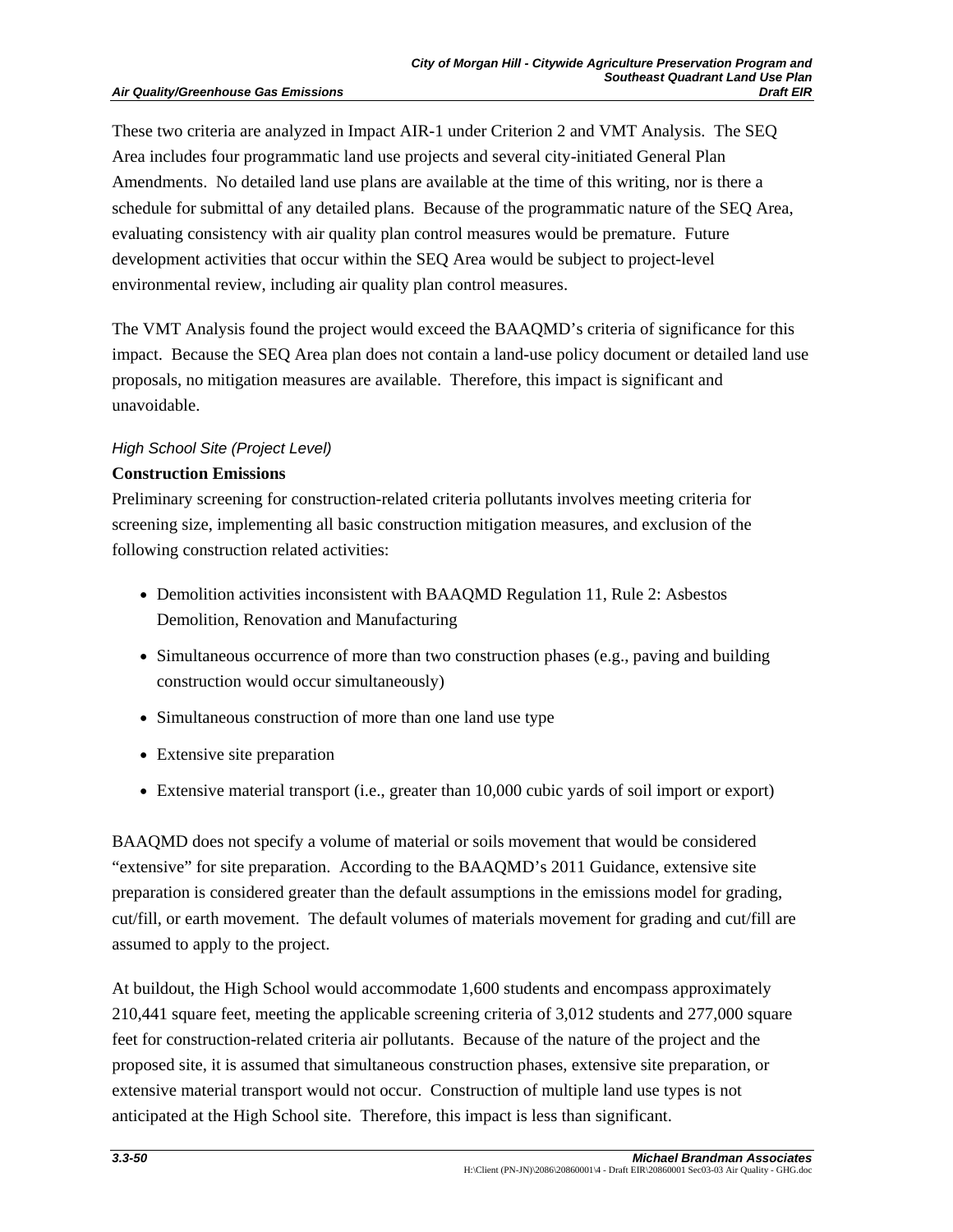These two criteria are analyzed in Impact AIR-1 under Criterion 2 and VMT Analysis. The SEQ Area includes four programmatic land use projects and several city-initiated General Plan Amendments. No detailed land use plans are available at the time of this writing, nor is there a schedule for submittal of any detailed plans. Because of the programmatic nature of the SEQ Area, evaluating consistency with air quality plan control measures would be premature. Future development activities that occur within the SEQ Area would be subject to project-level environmental review, including air quality plan control measures.

The VMT Analysis found the project would exceed the BAAQMD's criteria of significance for this impact. Because the SEQ Area plan does not contain a land-use policy document or detailed land use proposals, no mitigation measures are available. Therefore, this impact is significant and unavoidable.

#### *High School Site (Project Level)*

#### **Construction Emissions**

Preliminary screening for construction-related criteria pollutants involves meeting criteria for screening size, implementing all basic construction mitigation measures, and exclusion of the following construction related activities:

- Demolition activities inconsistent with BAAQMD Regulation 11, Rule 2: Asbestos Demolition, Renovation and Manufacturing
- Simultaneous occurrence of more than two construction phases (e.g., paving and building construction would occur simultaneously)
- Simultaneous construction of more than one land use type
- Extensive site preparation
- Extensive material transport (i.e., greater than 10,000 cubic yards of soil import or export)

BAAQMD does not specify a volume of material or soils movement that would be considered "extensive" for site preparation. According to the BAAQMD's 2011 Guidance, extensive site preparation is considered greater than the default assumptions in the emissions model for grading, cut/fill, or earth movement. The default volumes of materials movement for grading and cut/fill are assumed to apply to the project.

At buildout, the High School would accommodate 1,600 students and encompass approximately 210,441 square feet, meeting the applicable screening criteria of 3,012 students and 277,000 square feet for construction-related criteria air pollutants. Because of the nature of the project and the proposed site, it is assumed that simultaneous construction phases, extensive site preparation, or extensive material transport would not occur. Construction of multiple land use types is not anticipated at the High School site. Therefore, this impact is less than significant.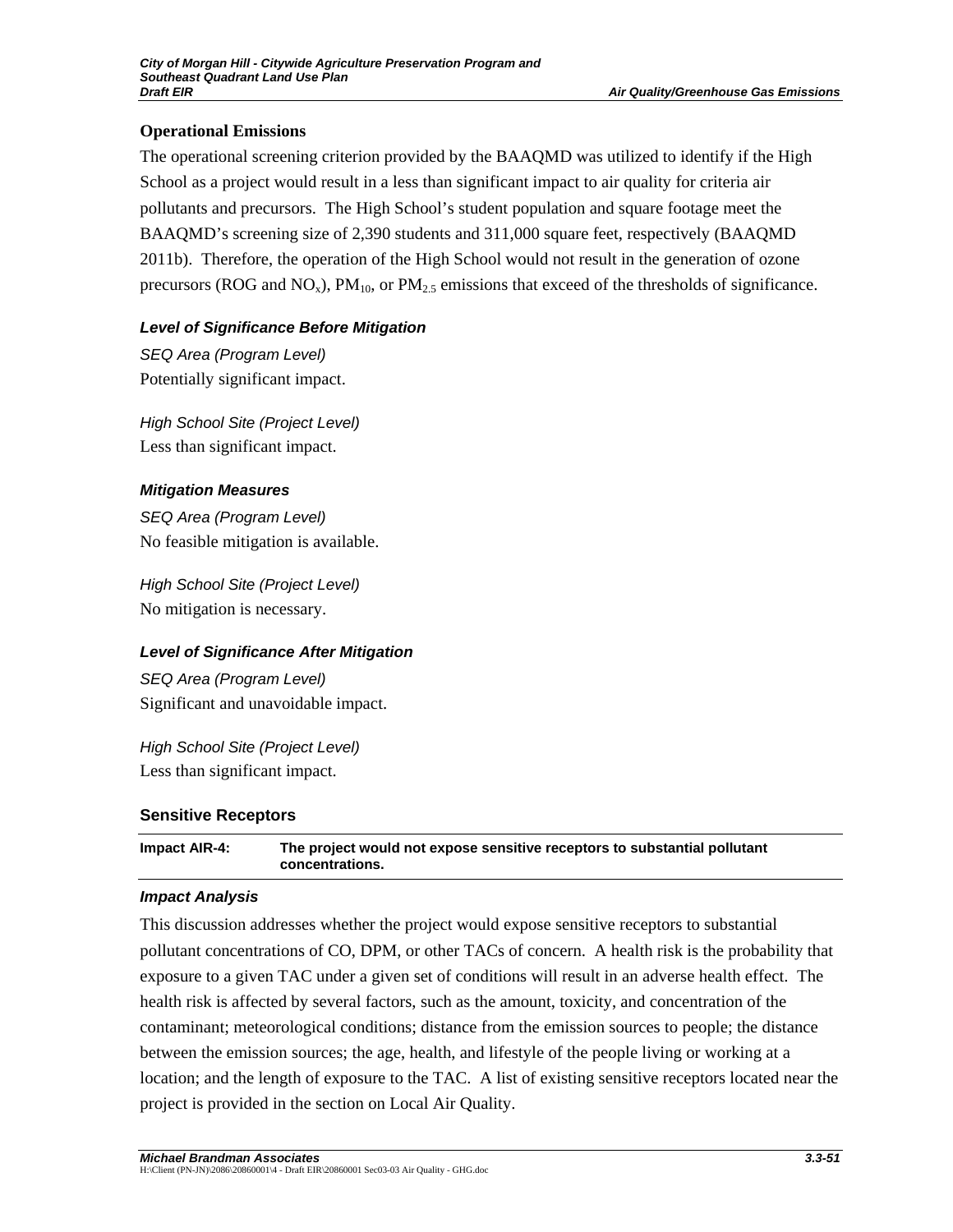## **Operational Emissions**

The operational screening criterion provided by the BAAQMD was utilized to identify if the High School as a project would result in a less than significant impact to air quality for criteria air pollutants and precursors. The High School's student population and square footage meet the BAAQMD's screening size of 2,390 students and 311,000 square feet, respectively (BAAQMD 2011b). Therefore, the operation of the High School would not result in the generation of ozone precursors (ROG and NO<sub>x</sub>),  $PM_{10}$ , or  $PM_{2.5}$  emissions that exceed of the thresholds of significance.

## *Level of Significance Before Mitigation*

*SEQ Area (Program Level)*  Potentially significant impact.

*High School Site (Project Level)*  Less than significant impact.

## *Mitigation Measures*

*SEQ Area (Program Level)*  No feasible mitigation is available.

*High School Site (Project Level)*  No mitigation is necessary.

# *Level of Significance After Mitigation*

*SEQ Area (Program Level)*  Significant and unavoidable impact.

*High School Site (Project Level)*  Less than significant impact.

## **Sensitive Receptors**

**Impact AIR-4: The project would not expose sensitive receptors to substantial pollutant concentrations.** 

## *Impact Analysis*

This discussion addresses whether the project would expose sensitive receptors to substantial pollutant concentrations of CO, DPM, or other TACs of concern. A health risk is the probability that exposure to a given TAC under a given set of conditions will result in an adverse health effect. The health risk is affected by several factors, such as the amount, toxicity, and concentration of the contaminant; meteorological conditions; distance from the emission sources to people; the distance between the emission sources; the age, health, and lifestyle of the people living or working at a location; and the length of exposure to the TAC. A list of existing sensitive receptors located near the project is provided in the section on Local Air Quality.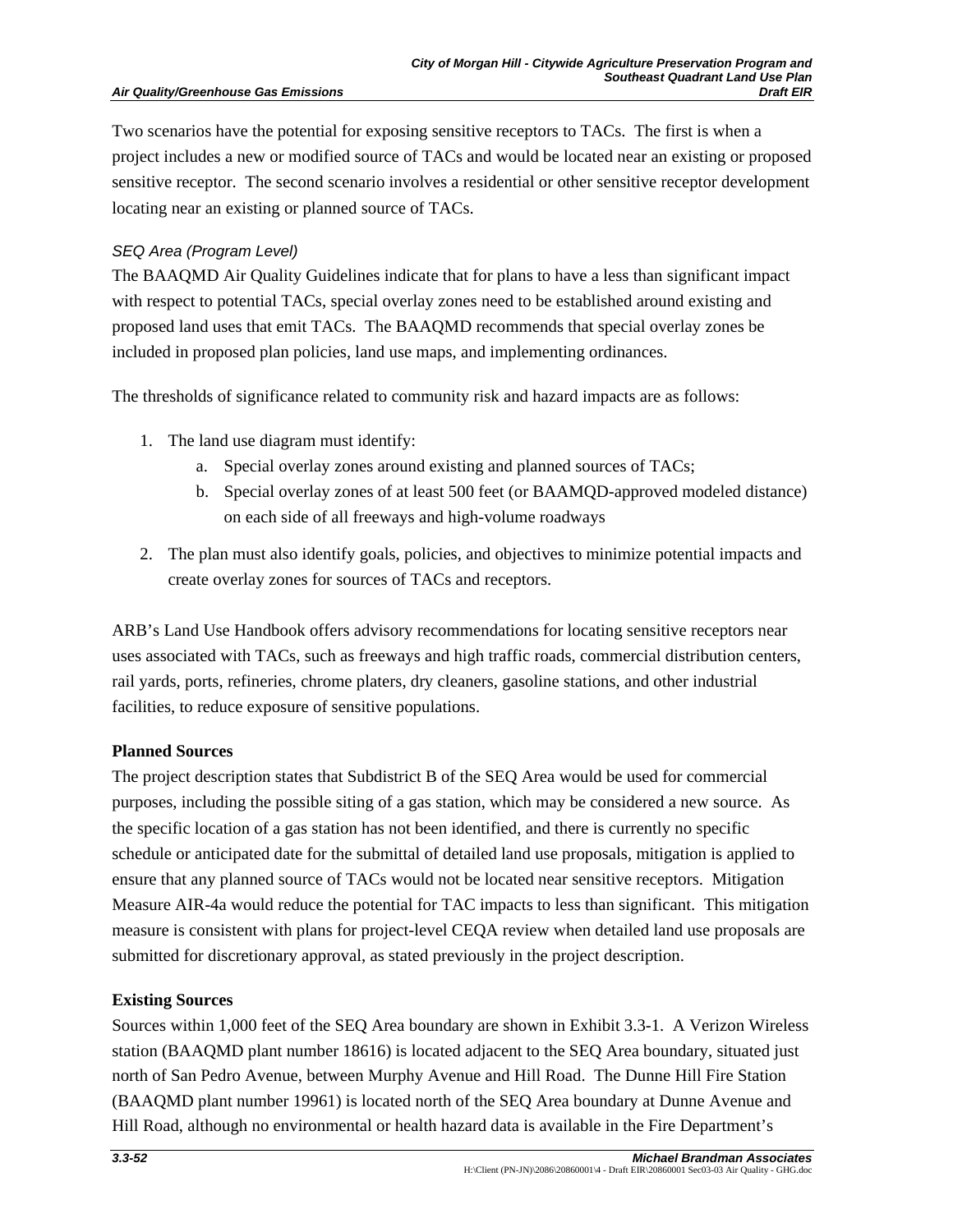#### **Air Quality/Greenhouse Gas Emissions**

Two scenarios have the potential for exposing sensitive receptors to TACs. The first is when a project includes a new or modified source of TACs and would be located near an existing or proposed sensitive receptor. The second scenario involves a residential or other sensitive receptor development locating near an existing or planned source of TACs.

## *SEQ Area (Program Level)*

The BAAQMD Air Quality Guidelines indicate that for plans to have a less than significant impact with respect to potential TACs, special overlay zones need to be established around existing and proposed land uses that emit TACs. The BAAQMD recommends that special overlay zones be included in proposed plan policies, land use maps, and implementing ordinances.

The thresholds of significance related to community risk and hazard impacts are as follows:

- 1. The land use diagram must identify:
	- a. Special overlay zones around existing and planned sources of TACs;
	- b. Special overlay zones of at least 500 feet (or BAAMQD-approved modeled distance) on each side of all freeways and high-volume roadways
- 2. The plan must also identify goals, policies, and objectives to minimize potential impacts and create overlay zones for sources of TACs and receptors.

ARB's Land Use Handbook offers advisory recommendations for locating sensitive receptors near uses associated with TACs, such as freeways and high traffic roads, commercial distribution centers, rail yards, ports, refineries, chrome platers, dry cleaners, gasoline stations, and other industrial facilities, to reduce exposure of sensitive populations.

## **Planned Sources**

The project description states that Subdistrict B of the SEQ Area would be used for commercial purposes, including the possible siting of a gas station, which may be considered a new source. As the specific location of a gas station has not been identified, and there is currently no specific schedule or anticipated date for the submittal of detailed land use proposals, mitigation is applied to ensure that any planned source of TACs would not be located near sensitive receptors. Mitigation Measure AIR-4a would reduce the potential for TAC impacts to less than significant. This mitigation measure is consistent with plans for project-level CEQA review when detailed land use proposals are submitted for discretionary approval, as stated previously in the project description.

## **Existing Sources**

Sources within 1,000 feet of the SEQ Area boundary are shown in Exhibit 3.3-1. A Verizon Wireless station (BAAQMD plant number 18616) is located adjacent to the SEQ Area boundary, situated just north of San Pedro Avenue, between Murphy Avenue and Hill Road. The Dunne Hill Fire Station (BAAQMD plant number 19961) is located north of the SEQ Area boundary at Dunne Avenue and Hill Road, although no environmental or health hazard data is available in the Fire Department's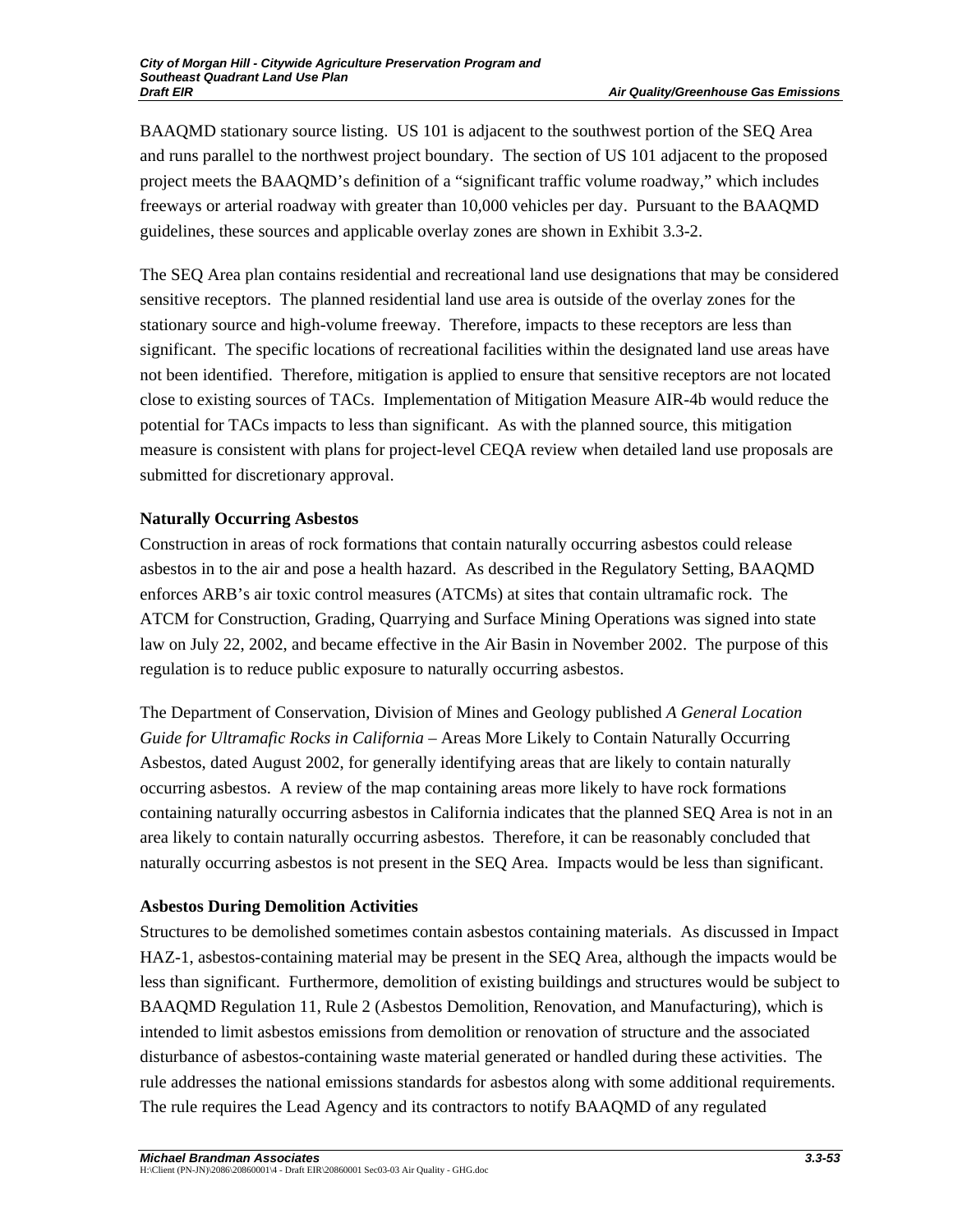BAAQMD stationary source listing. US 101 is adjacent to the southwest portion of the SEQ Area and runs parallel to the northwest project boundary. The section of US 101 adjacent to the proposed project meets the BAAQMD's definition of a "significant traffic volume roadway," which includes freeways or arterial roadway with greater than 10,000 vehicles per day. Pursuant to the BAAQMD guidelines, these sources and applicable overlay zones are shown in Exhibit 3.3-2.

The SEQ Area plan contains residential and recreational land use designations that may be considered sensitive receptors. The planned residential land use area is outside of the overlay zones for the stationary source and high-volume freeway. Therefore, impacts to these receptors are less than significant. The specific locations of recreational facilities within the designated land use areas have not been identified. Therefore, mitigation is applied to ensure that sensitive receptors are not located close to existing sources of TACs. Implementation of Mitigation Measure AIR-4b would reduce the potential for TACs impacts to less than significant. As with the planned source, this mitigation measure is consistent with plans for project-level CEQA review when detailed land use proposals are submitted for discretionary approval.

# **Naturally Occurring Asbestos**

Construction in areas of rock formations that contain naturally occurring asbestos could release asbestos in to the air and pose a health hazard. As described in the Regulatory Setting, BAAQMD enforces ARB's air toxic control measures (ATCMs) at sites that contain ultramafic rock. The ATCM for Construction, Grading, Quarrying and Surface Mining Operations was signed into state law on July 22, 2002, and became effective in the Air Basin in November 2002. The purpose of this regulation is to reduce public exposure to naturally occurring asbestos.

The Department of Conservation, Division of Mines and Geology published *A General Location Guide for Ultramafic Rocks in California* – Areas More Likely to Contain Naturally Occurring Asbestos, dated August 2002, for generally identifying areas that are likely to contain naturally occurring asbestos. A review of the map containing areas more likely to have rock formations containing naturally occurring asbestos in California indicates that the planned SEQ Area is not in an area likely to contain naturally occurring asbestos. Therefore, it can be reasonably concluded that naturally occurring asbestos is not present in the SEQ Area. Impacts would be less than significant.

# **Asbestos During Demolition Activities**

Structures to be demolished sometimes contain asbestos containing materials. As discussed in Impact HAZ-1, asbestos-containing material may be present in the SEQ Area, although the impacts would be less than significant. Furthermore, demolition of existing buildings and structures would be subject to BAAQMD Regulation 11, Rule 2 (Asbestos Demolition, Renovation, and Manufacturing), which is intended to limit asbestos emissions from demolition or renovation of structure and the associated disturbance of asbestos-containing waste material generated or handled during these activities. The rule addresses the national emissions standards for asbestos along with some additional requirements. The rule requires the Lead Agency and its contractors to notify BAAQMD of any regulated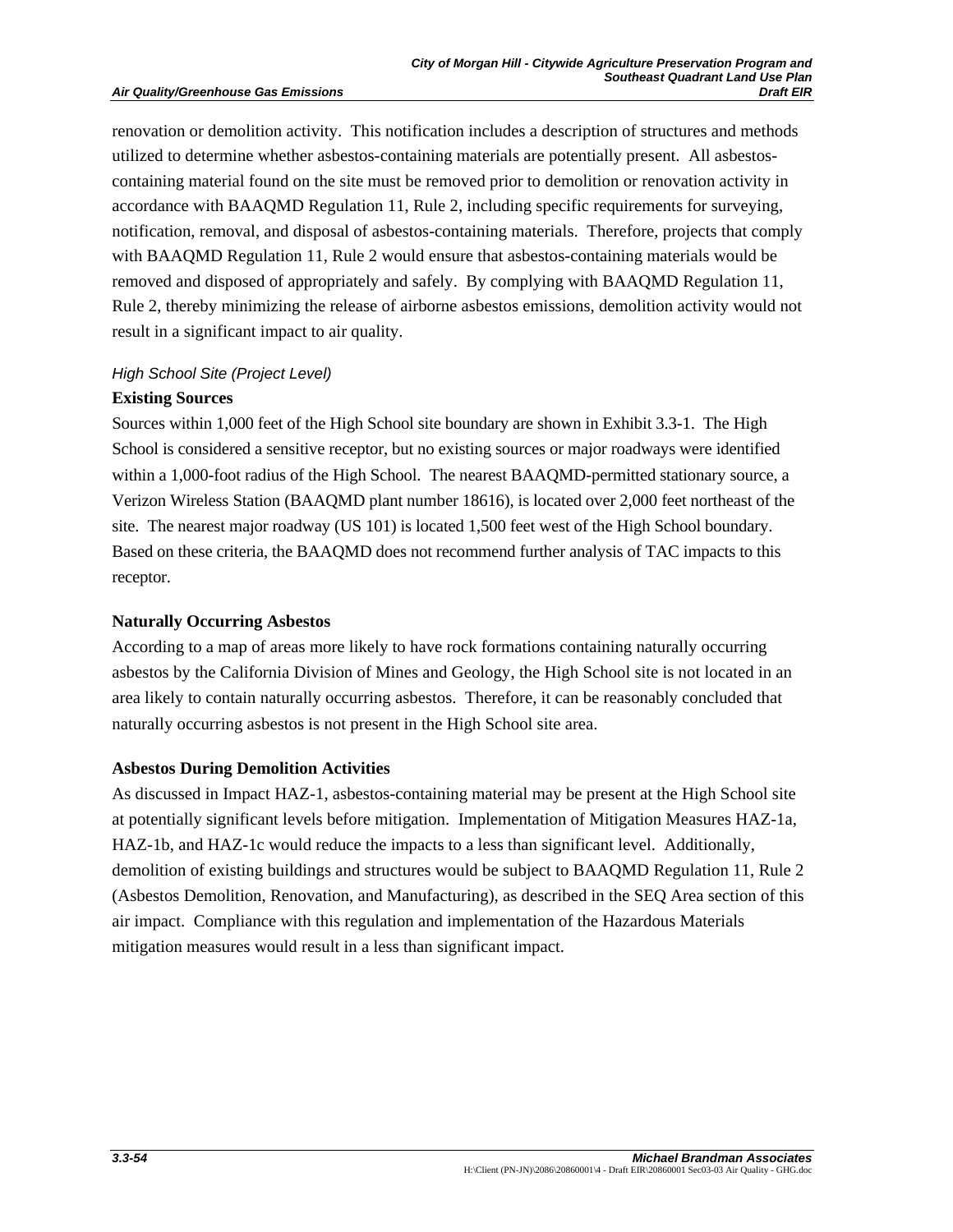renovation or demolition activity. This notification includes a description of structures and methods utilized to determine whether asbestos-containing materials are potentially present. All asbestoscontaining material found on the site must be removed prior to demolition or renovation activity in accordance with BAAQMD Regulation 11, Rule 2, including specific requirements for surveying, notification, removal, and disposal of asbestos-containing materials. Therefore, projects that comply with BAAQMD Regulation 11, Rule 2 would ensure that asbestos-containing materials would be removed and disposed of appropriately and safely. By complying with BAAQMD Regulation 11, Rule 2, thereby minimizing the release of airborne asbestos emissions, demolition activity would not result in a significant impact to air quality.

## *High School Site (Project Level)*

## **Existing Sources**

Sources within 1,000 feet of the High School site boundary are shown in Exhibit 3.3-1. The High School is considered a sensitive receptor, but no existing sources or major roadways were identified within a 1,000-foot radius of the High School. The nearest BAAQMD-permitted stationary source, a Verizon Wireless Station (BAAQMD plant number 18616), is located over 2,000 feet northeast of the site. The nearest major roadway (US 101) is located 1,500 feet west of the High School boundary. Based on these criteria, the BAAQMD does not recommend further analysis of TAC impacts to this receptor.

#### **Naturally Occurring Asbestos**

According to a map of areas more likely to have rock formations containing naturally occurring asbestos by the California Division of Mines and Geology, the High School site is not located in an area likely to contain naturally occurring asbestos. Therefore, it can be reasonably concluded that naturally occurring asbestos is not present in the High School site area.

#### **Asbestos During Demolition Activities**

As discussed in Impact HAZ-1, asbestos-containing material may be present at the High School site at potentially significant levels before mitigation. Implementation of Mitigation Measures HAZ-1a, HAZ-1b, and HAZ-1c would reduce the impacts to a less than significant level. Additionally, demolition of existing buildings and structures would be subject to BAAQMD Regulation 11, Rule 2 (Asbestos Demolition, Renovation, and Manufacturing), as described in the SEQ Area section of this air impact. Compliance with this regulation and implementation of the Hazardous Materials mitigation measures would result in a less than significant impact.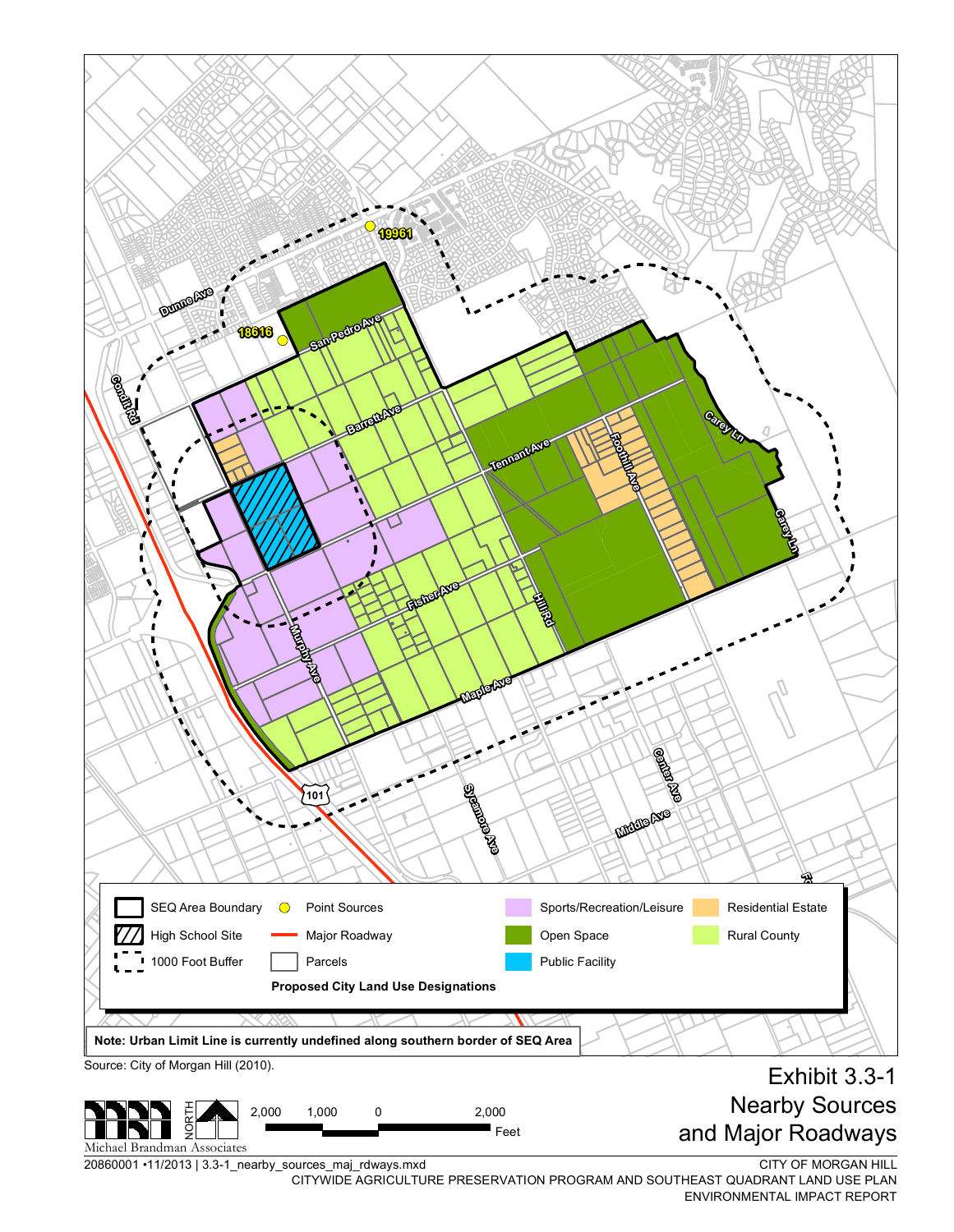

20860001•11/2013|3.3-1\_nearby\_sources\_m aj\_rd ways.m x d

CITYWIDE AGRICULTURE PRESERVATION PROGRAM AND SOUTHEAST QUADRANT LAND USE PLAN ENVIRONMENTAL IMPACT REPORT

CITY OF MORGAN HILL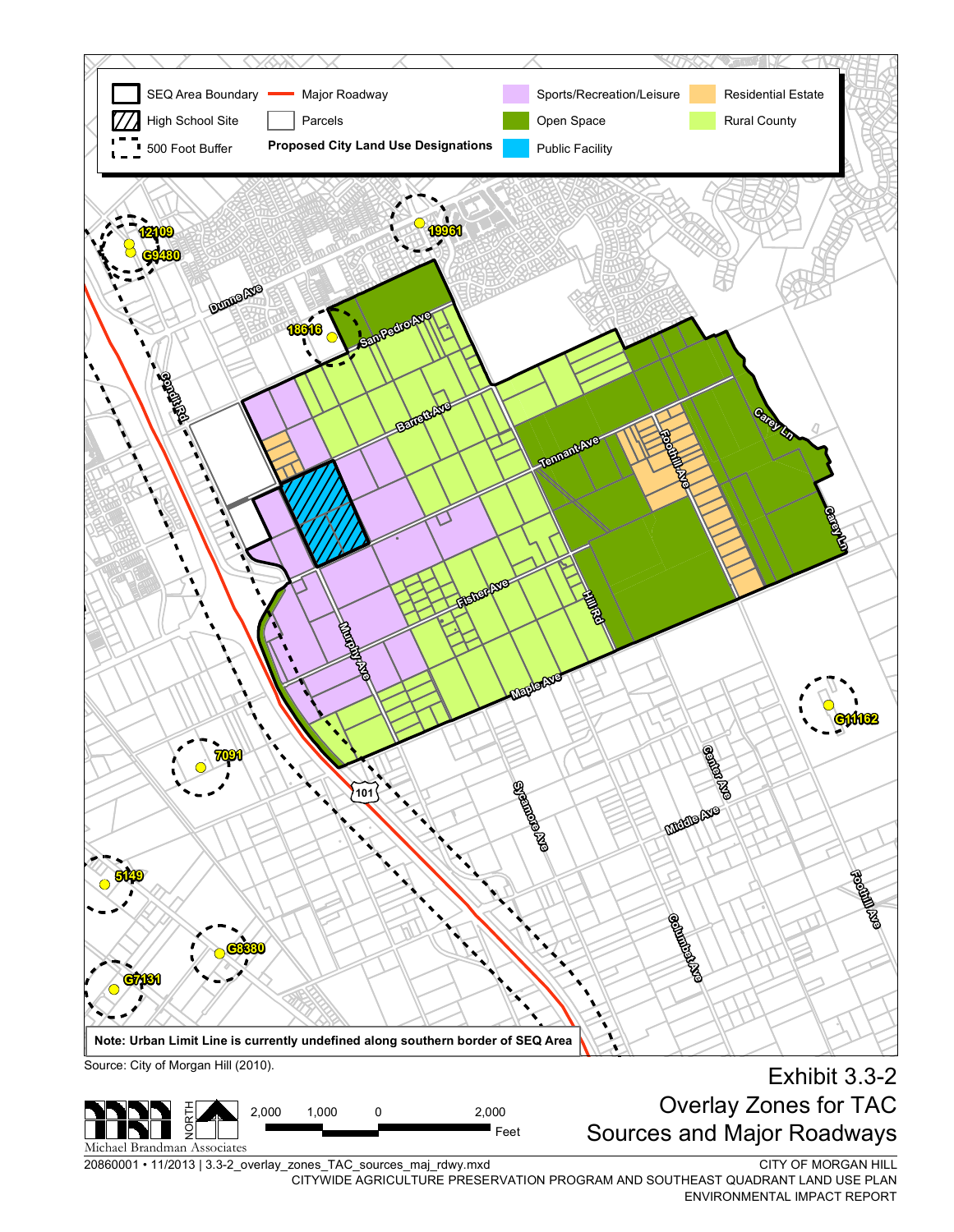

20860001 • 11/2013 | 3.3-2\_overlay\_zones\_TAC\_sources\_maj\_rdwy.mxd

CITY OF MORGAN HILL CITYWIDE AGRICULTURE PRESERVATION PROGRAM AND SOUTHEAST QUADRANT LAND USE PLAN ENVIRONMENTAL IMPACT REPORT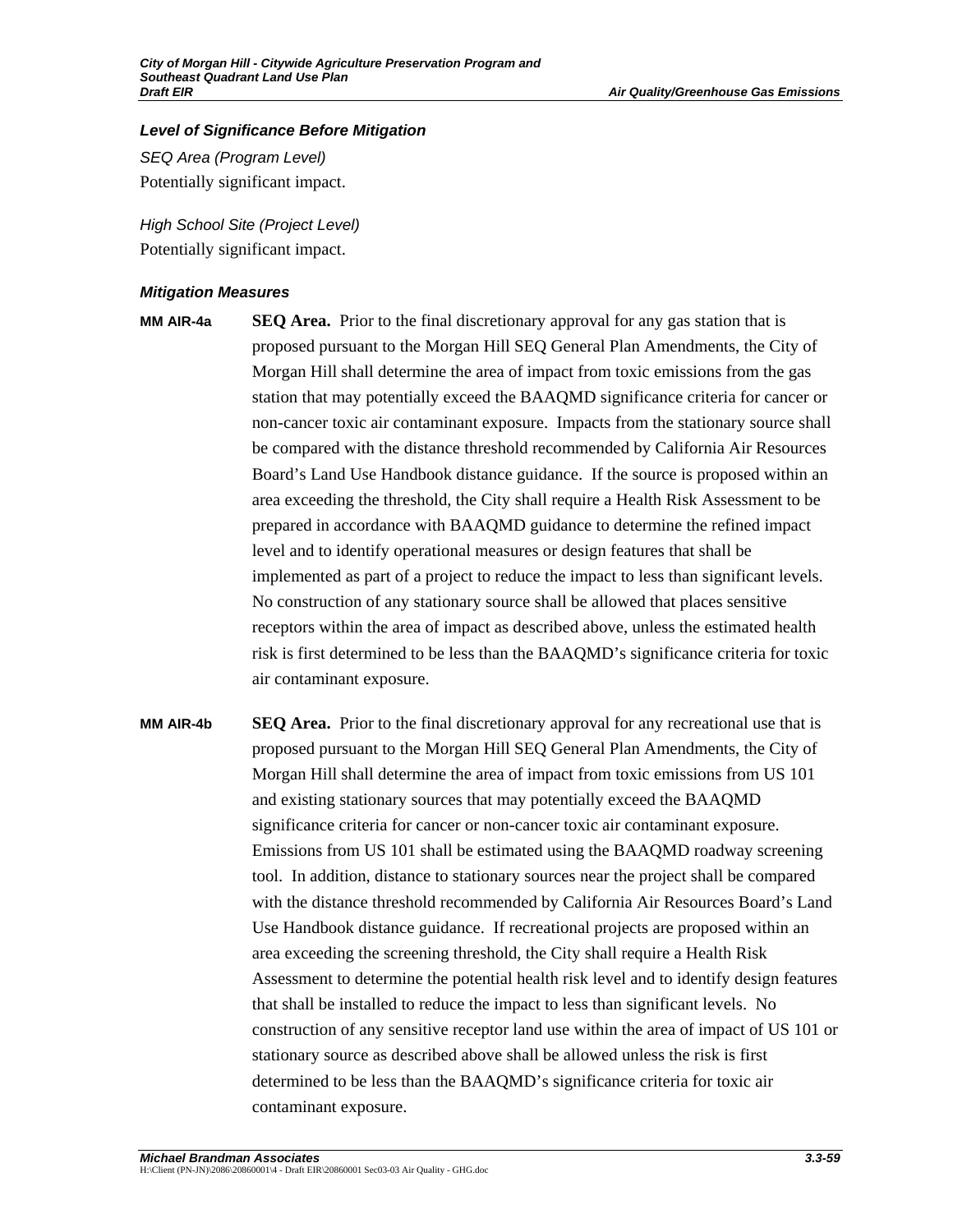#### *Level of Significance Before Mitigation*

*SEQ Area (Program Level)*  Potentially significant impact.

*High School Site (Project Level)*  Potentially significant impact.

## *Mitigation Measures*

- 
- **MM AIR-4a SEQ Area.** Prior to the final discretionary approval for any gas station that is proposed pursuant to the Morgan Hill SEQ General Plan Amendments, the City of Morgan Hill shall determine the area of impact from toxic emissions from the gas station that may potentially exceed the BAAQMD significance criteria for cancer or non-cancer toxic air contaminant exposure. Impacts from the stationary source shall be compared with the distance threshold recommended by California Air Resources Board's Land Use Handbook distance guidance. If the source is proposed within an area exceeding the threshold, the City shall require a Health Risk Assessment to be prepared in accordance with BAAQMD guidance to determine the refined impact level and to identify operational measures or design features that shall be implemented as part of a project to reduce the impact to less than significant levels. No construction of any stationary source shall be allowed that places sensitive receptors within the area of impact as described above, unless the estimated health risk is first determined to be less than the BAAQMD's significance criteria for toxic air contaminant exposure.
- **MM AIR-4b SEQ Area.** Prior to the final discretionary approval for any recreational use that is proposed pursuant to the Morgan Hill SEQ General Plan Amendments, the City of Morgan Hill shall determine the area of impact from toxic emissions from US 101 and existing stationary sources that may potentially exceed the BAAQMD significance criteria for cancer or non-cancer toxic air contaminant exposure. Emissions from US 101 shall be estimated using the BAAQMD roadway screening tool. In addition, distance to stationary sources near the project shall be compared with the distance threshold recommended by California Air Resources Board's Land Use Handbook distance guidance. If recreational projects are proposed within an area exceeding the screening threshold, the City shall require a Health Risk Assessment to determine the potential health risk level and to identify design features that shall be installed to reduce the impact to less than significant levels. No construction of any sensitive receptor land use within the area of impact of US 101 or stationary source as described above shall be allowed unless the risk is first determined to be less than the BAAQMD's significance criteria for toxic air contaminant exposure.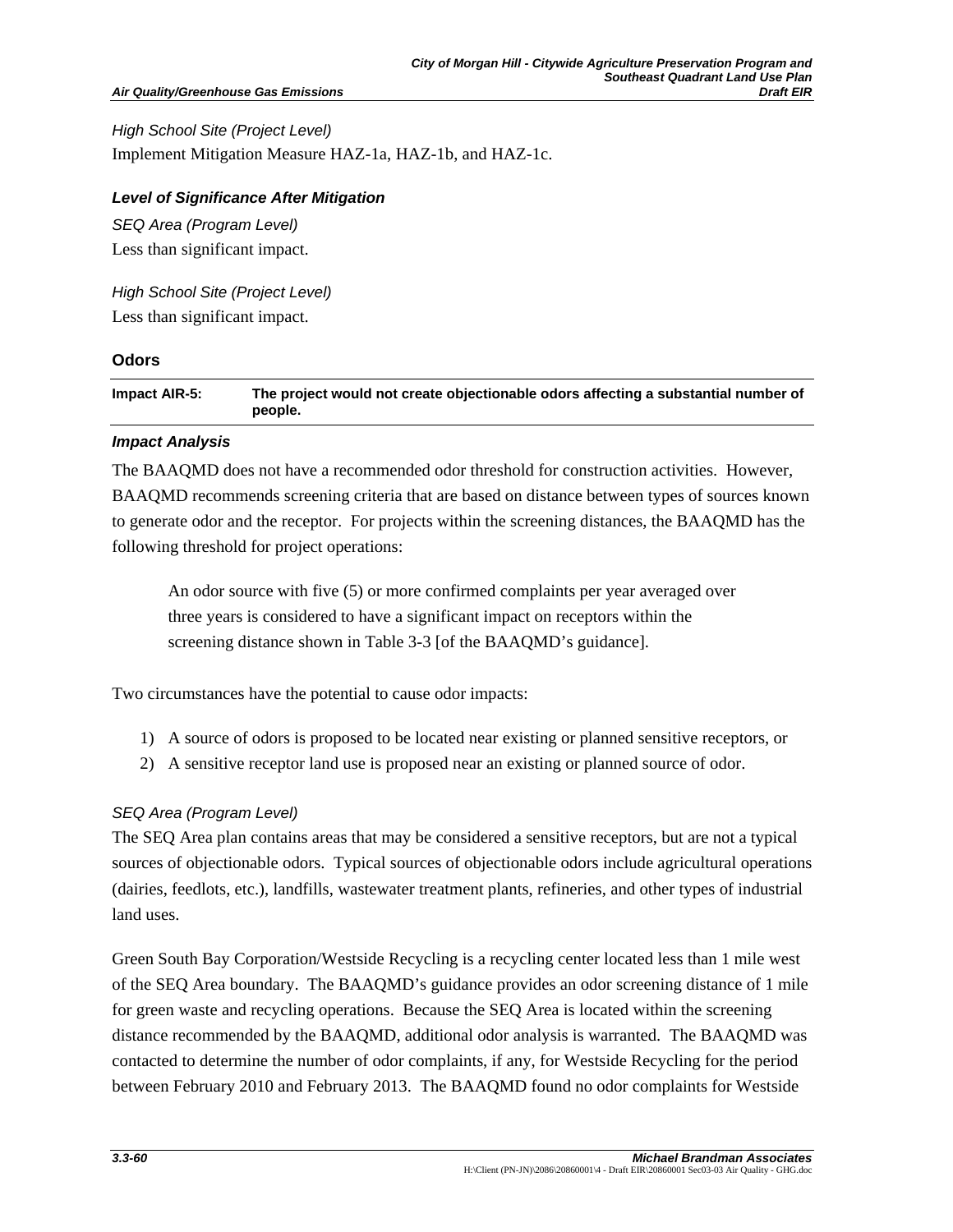#### **Air Quality/Greenhouse Gas Emissions**

*High School Site (Project Level)*  Implement Mitigation Measure HAZ-1a, HAZ-1b, and HAZ-1c.

## *Level of Significance After Mitigation*

*SEQ Area (Program Level)*  Less than significant impact.

*High School Site (Project Level)*  Less than significant impact.

## **Odors**

| Impact AIR-5: | The project would not create objectionable odors affecting a substantial number of |
|---------------|------------------------------------------------------------------------------------|
|               | people.                                                                            |

## *Impact Analysis*

The BAAQMD does not have a recommended odor threshold for construction activities. However, BAAQMD recommends screening criteria that are based on distance between types of sources known to generate odor and the receptor. For projects within the screening distances, the BAAQMD has the following threshold for project operations:

An odor source with five (5) or more confirmed complaints per year averaged over three years is considered to have a significant impact on receptors within the screening distance shown in Table 3-3 [of the BAAQMD's guidance].

Two circumstances have the potential to cause odor impacts:

- 1) A source of odors is proposed to be located near existing or planned sensitive receptors, or
- 2) A sensitive receptor land use is proposed near an existing or planned source of odor.

# *SEQ Area (Program Level)*

The SEQ Area plan contains areas that may be considered a sensitive receptors, but are not a typical sources of objectionable odors. Typical sources of objectionable odors include agricultural operations (dairies, feedlots, etc.), landfills, wastewater treatment plants, refineries, and other types of industrial land uses.

Green South Bay Corporation/Westside Recycling is a recycling center located less than 1 mile west of the SEQ Area boundary. The BAAQMD's guidance provides an odor screening distance of 1 mile for green waste and recycling operations. Because the SEQ Area is located within the screening distance recommended by the BAAQMD, additional odor analysis is warranted. The BAAQMD was contacted to determine the number of odor complaints, if any, for Westside Recycling for the period between February 2010 and February 2013. The BAAQMD found no odor complaints for Westside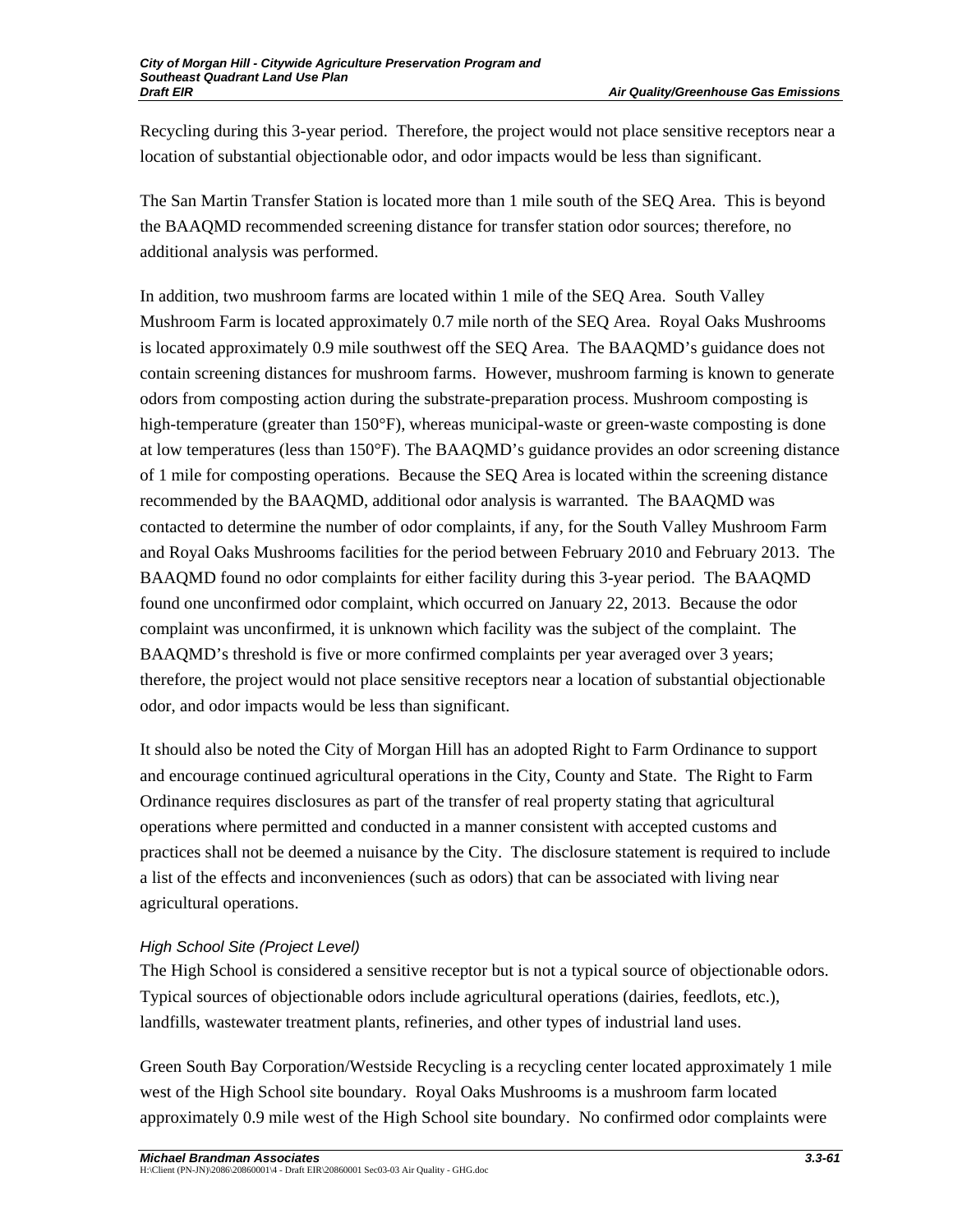Recycling during this 3-year period. Therefore, the project would not place sensitive receptors near a location of substantial objectionable odor, and odor impacts would be less than significant.

The San Martin Transfer Station is located more than 1 mile south of the SEQ Area. This is beyond the BAAQMD recommended screening distance for transfer station odor sources; therefore, no additional analysis was performed.

In addition, two mushroom farms are located within 1 mile of the SEQ Area. South Valley Mushroom Farm is located approximately 0.7 mile north of the SEQ Area. Royal Oaks Mushrooms is located approximately 0.9 mile southwest off the SEQ Area. The BAAQMD's guidance does not contain screening distances for mushroom farms. However, mushroom farming is known to generate odors from composting action during the substrate-preparation process. Mushroom composting is high-temperature (greater than 150°F), whereas municipal-waste or green-waste composting is done at low temperatures (less than 150°F). The BAAQMD's guidance provides an odor screening distance of 1 mile for composting operations. Because the SEQ Area is located within the screening distance recommended by the BAAQMD, additional odor analysis is warranted. The BAAQMD was contacted to determine the number of odor complaints, if any, for the South Valley Mushroom Farm and Royal Oaks Mushrooms facilities for the period between February 2010 and February 2013. The BAAQMD found no odor complaints for either facility during this 3-year period. The BAAQMD found one unconfirmed odor complaint, which occurred on January 22, 2013. Because the odor complaint was unconfirmed, it is unknown which facility was the subject of the complaint. The BAAQMD's threshold is five or more confirmed complaints per year averaged over 3 years; therefore, the project would not place sensitive receptors near a location of substantial objectionable odor, and odor impacts would be less than significant.

It should also be noted the City of Morgan Hill has an adopted Right to Farm Ordinance to support and encourage continued agricultural operations in the City, County and State. The Right to Farm Ordinance requires disclosures as part of the transfer of real property stating that agricultural operations where permitted and conducted in a manner consistent with accepted customs and practices shall not be deemed a nuisance by the City. The disclosure statement is required to include a list of the effects and inconveniences (such as odors) that can be associated with living near agricultural operations.

# *High School Site (Project Level)*

The High School is considered a sensitive receptor but is not a typical source of objectionable odors. Typical sources of objectionable odors include agricultural operations (dairies, feedlots, etc.), landfills, wastewater treatment plants, refineries, and other types of industrial land uses.

Green South Bay Corporation/Westside Recycling is a recycling center located approximately 1 mile west of the High School site boundary. Royal Oaks Mushrooms is a mushroom farm located approximately 0.9 mile west of the High School site boundary. No confirmed odor complaints were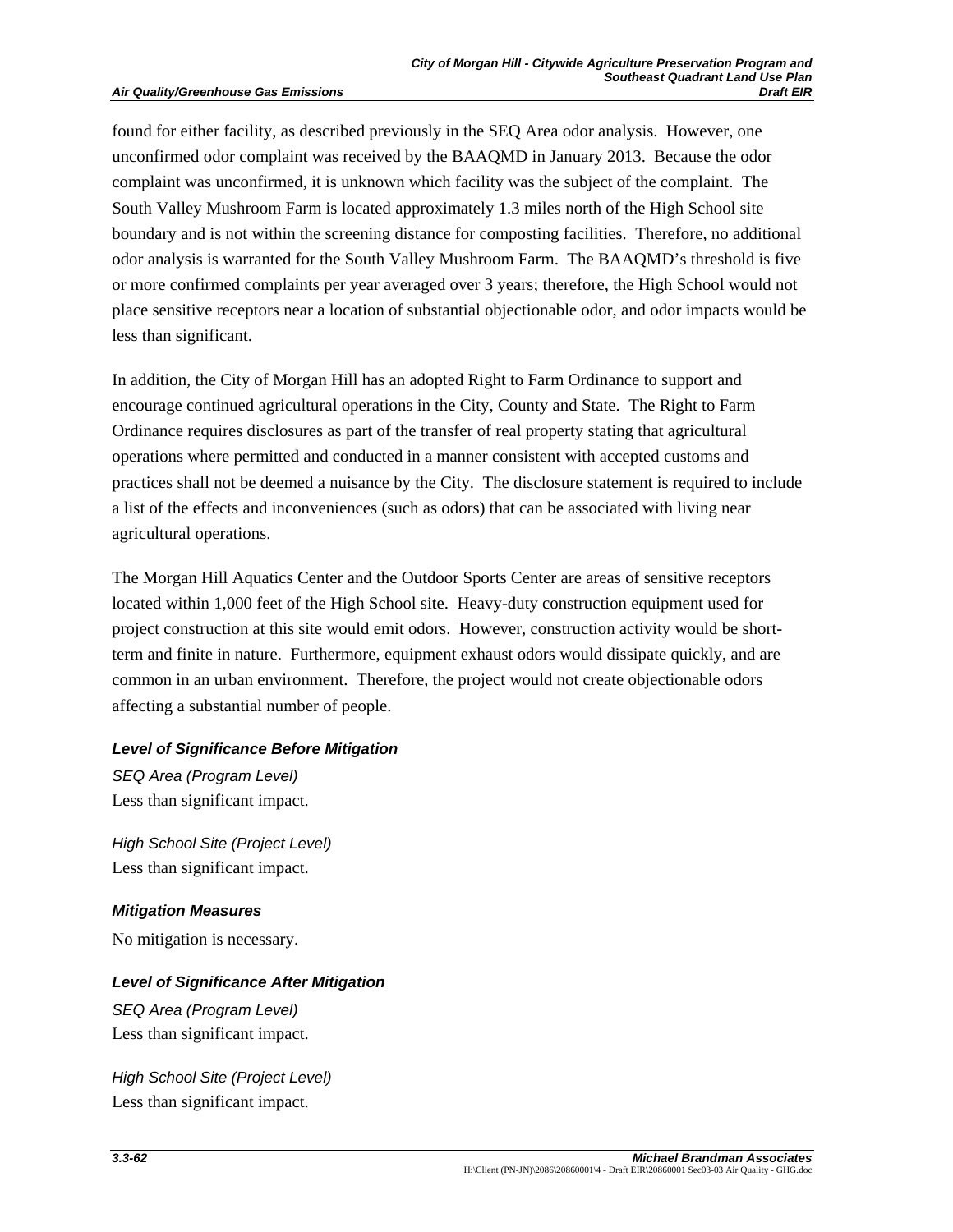found for either facility, as described previously in the SEQ Area odor analysis. However, one unconfirmed odor complaint was received by the BAAQMD in January 2013. Because the odor complaint was unconfirmed, it is unknown which facility was the subject of the complaint. The South Valley Mushroom Farm is located approximately 1.3 miles north of the High School site boundary and is not within the screening distance for composting facilities. Therefore, no additional odor analysis is warranted for the South Valley Mushroom Farm. The BAAQMD's threshold is five or more confirmed complaints per year averaged over 3 years; therefore, the High School would not place sensitive receptors near a location of substantial objectionable odor, and odor impacts would be less than significant.

In addition, the City of Morgan Hill has an adopted Right to Farm Ordinance to support and encourage continued agricultural operations in the City, County and State. The Right to Farm Ordinance requires disclosures as part of the transfer of real property stating that agricultural operations where permitted and conducted in a manner consistent with accepted customs and practices shall not be deemed a nuisance by the City. The disclosure statement is required to include a list of the effects and inconveniences (such as odors) that can be associated with living near agricultural operations.

The Morgan Hill Aquatics Center and the Outdoor Sports Center are areas of sensitive receptors located within 1,000 feet of the High School site. Heavy-duty construction equipment used for project construction at this site would emit odors. However, construction activity would be shortterm and finite in nature. Furthermore, equipment exhaust odors would dissipate quickly, and are common in an urban environment. Therefore, the project would not create objectionable odors affecting a substantial number of people.

#### *Level of Significance Before Mitigation*

*SEQ Area (Program Level)*  Less than significant impact.

*High School Site (Project Level)*  Less than significant impact.

#### *Mitigation Measures*

No mitigation is necessary.

## *Level of Significance After Mitigation*

*SEQ Area (Program Level)*  Less than significant impact.

*High School Site (Project Level)*  Less than significant impact.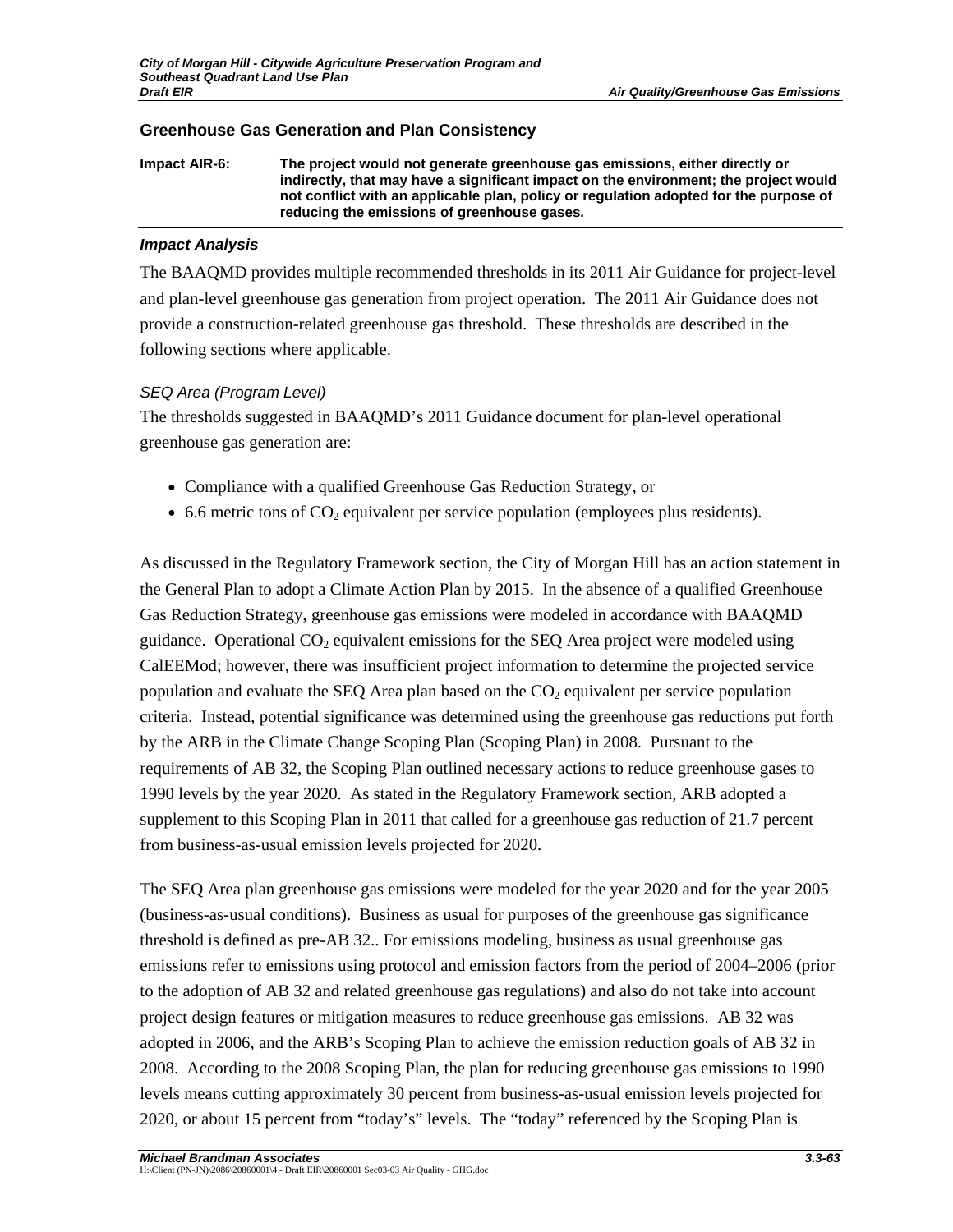| Impact AIR-6: | The project would not generate greenhouse gas emissions, either directly or<br>indirectly, that may have a significant impact on the environment; the project would<br>not conflict with an applicable plan, policy or regulation adopted for the purpose of<br>reducing the emissions of greenhouse gases. |
|---------------|-------------------------------------------------------------------------------------------------------------------------------------------------------------------------------------------------------------------------------------------------------------------------------------------------------------|
|               |                                                                                                                                                                                                                                                                                                             |

#### **Greenhouse Gas Generation and Plan Consistency**

#### *Impact Analysis*

The BAAQMD provides multiple recommended thresholds in its 2011 Air Guidance for project-level and plan-level greenhouse gas generation from project operation. The 2011 Air Guidance does not provide a construction-related greenhouse gas threshold. These thresholds are described in the following sections where applicable.

## *SEQ Area (Program Level)*

The thresholds suggested in BAAQMD's 2011 Guidance document for plan-level operational greenhouse gas generation are:

- Compliance with a qualified Greenhouse Gas Reduction Strategy, or
- $\bullet$  6.6 metric tons of CO<sub>2</sub> equivalent per service population (employees plus residents).

As discussed in the Regulatory Framework section, the City of Morgan Hill has an action statement in the General Plan to adopt a Climate Action Plan by 2015. In the absence of a qualified Greenhouse Gas Reduction Strategy, greenhouse gas emissions were modeled in accordance with BAAQMD guidance. Operational  $CO<sub>2</sub>$  equivalent emissions for the SEQ Area project were modeled using CalEEMod; however, there was insufficient project information to determine the projected service population and evaluate the SEQ Area plan based on the  $CO<sub>2</sub>$  equivalent per service population criteria. Instead, potential significance was determined using the greenhouse gas reductions put forth by the ARB in the Climate Change Scoping Plan (Scoping Plan) in 2008. Pursuant to the requirements of AB 32, the Scoping Plan outlined necessary actions to reduce greenhouse gases to 1990 levels by the year 2020. As stated in the Regulatory Framework section, ARB adopted a supplement to this Scoping Plan in 2011 that called for a greenhouse gas reduction of 21.7 percent from business-as-usual emission levels projected for 2020.

The SEQ Area plan greenhouse gas emissions were modeled for the year 2020 and for the year 2005 (business-as-usual conditions). Business as usual for purposes of the greenhouse gas significance threshold is defined as pre-AB 32.. For emissions modeling, business as usual greenhouse gas emissions refer to emissions using protocol and emission factors from the period of 2004–2006 (prior to the adoption of AB 32 and related greenhouse gas regulations) and also do not take into account project design features or mitigation measures to reduce greenhouse gas emissions. AB 32 was adopted in 2006, and the ARB's Scoping Plan to achieve the emission reduction goals of AB 32 in 2008. According to the 2008 Scoping Plan, the plan for reducing greenhouse gas emissions to 1990 levels means cutting approximately 30 percent from business-as-usual emission levels projected for 2020, or about 15 percent from "today's" levels. The "today" referenced by the Scoping Plan is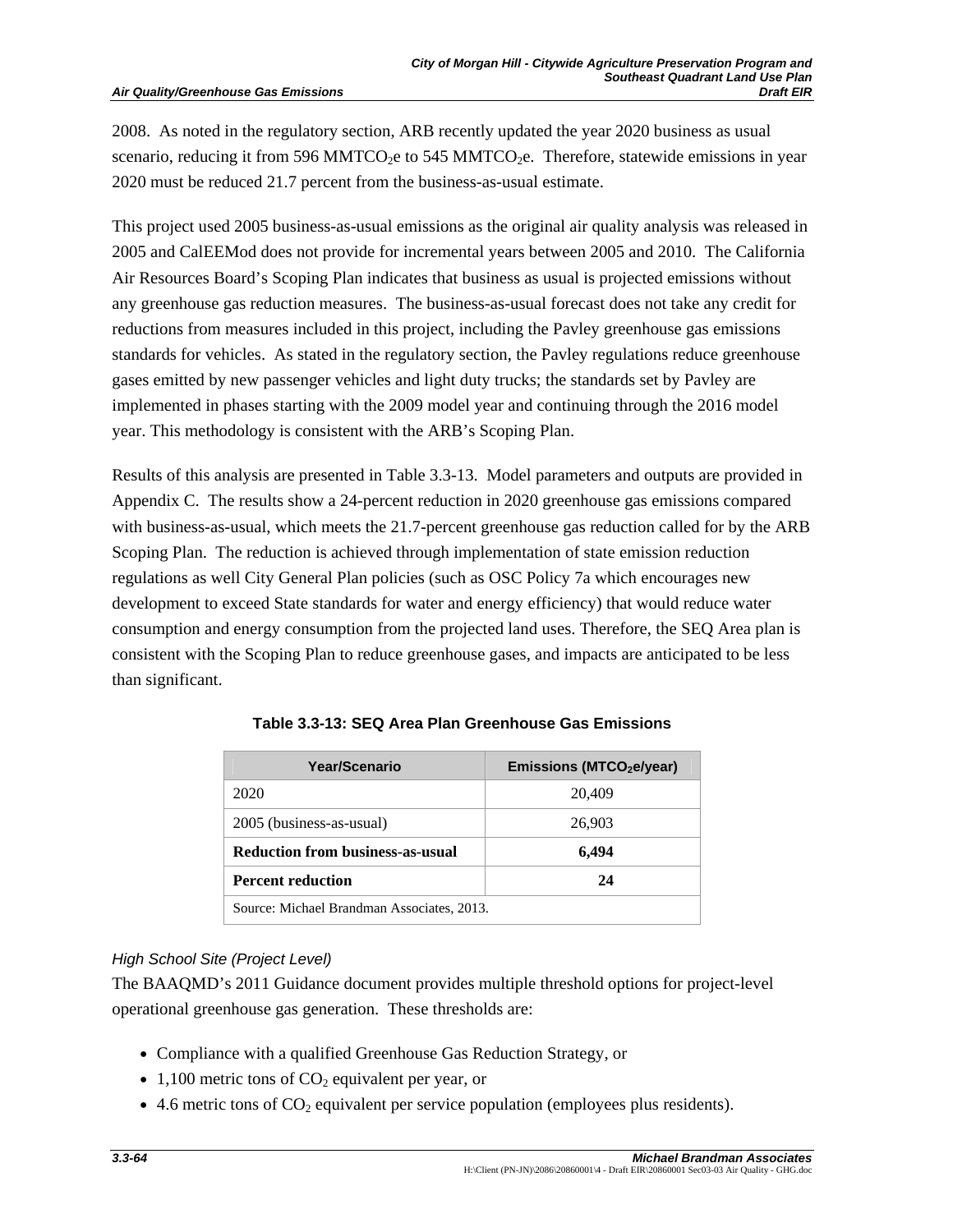#### **Air Quality/Greenhouse Gas Emissions**

2008. As noted in the regulatory section, ARB recently updated the year 2020 business as usual scenario, reducing it from 596 MMTCO<sub>2</sub>e to 545 MMTCO<sub>2</sub>e. Therefore, statewide emissions in year 2020 must be reduced 21.7 percent from the business-as-usual estimate.

This project used 2005 business-as-usual emissions as the original air quality analysis was released in 2005 and CalEEMod does not provide for incremental years between 2005 and 2010. The California Air Resources Board's Scoping Plan indicates that business as usual is projected emissions without any greenhouse gas reduction measures. The business-as-usual forecast does not take any credit for reductions from measures included in this project, including the Pavley greenhouse gas emissions standards for vehicles. As stated in the regulatory section, the Pavley regulations reduce greenhouse gases emitted by new passenger vehicles and light duty trucks; the standards set by Pavley are implemented in phases starting with the 2009 model year and continuing through the 2016 model year. This methodology is consistent with the ARB's Scoping Plan.

Results of this analysis are presented in Table 3.3-13. Model parameters and outputs are provided in Appendix C. The results show a 24-percent reduction in 2020 greenhouse gas emissions compared with business-as-usual, which meets the 21.7-percent greenhouse gas reduction called for by the ARB Scoping Plan. The reduction is achieved through implementation of state emission reduction regulations as well City General Plan policies (such as OSC Policy 7a which encourages new development to exceed State standards for water and energy efficiency) that would reduce water consumption and energy consumption from the projected land uses. Therefore, the SEQ Area plan is consistent with the Scoping Plan to reduce greenhouse gases, and impacts are anticipated to be less than significant.

| Year/Scenario                              | Emissions (MTCO <sub>2</sub> e/year) |
|--------------------------------------------|--------------------------------------|
| 2020                                       | 20,409                               |
| 2005 (business-as-usual)                   | 26,903                               |
| <b>Reduction from business-as-usual</b>    | 6.494                                |
| <b>Percent reduction</b>                   | 24                                   |
| Source: Michael Brandman Associates, 2013. |                                      |

**Table 3.3-13: SEQ Area Plan Greenhouse Gas Emissions** 

# *High School Site (Project Level)*

The BAAQMD's 2011 Guidance document provides multiple threshold options for project-level operational greenhouse gas generation. These thresholds are:

- Compliance with a qualified Greenhouse Gas Reduction Strategy, or
- 1,100 metric tons of  $CO<sub>2</sub>$  equivalent per year, or
- $\bullet$  4.6 metric tons of  $CO<sub>2</sub>$  equivalent per service population (employees plus residents).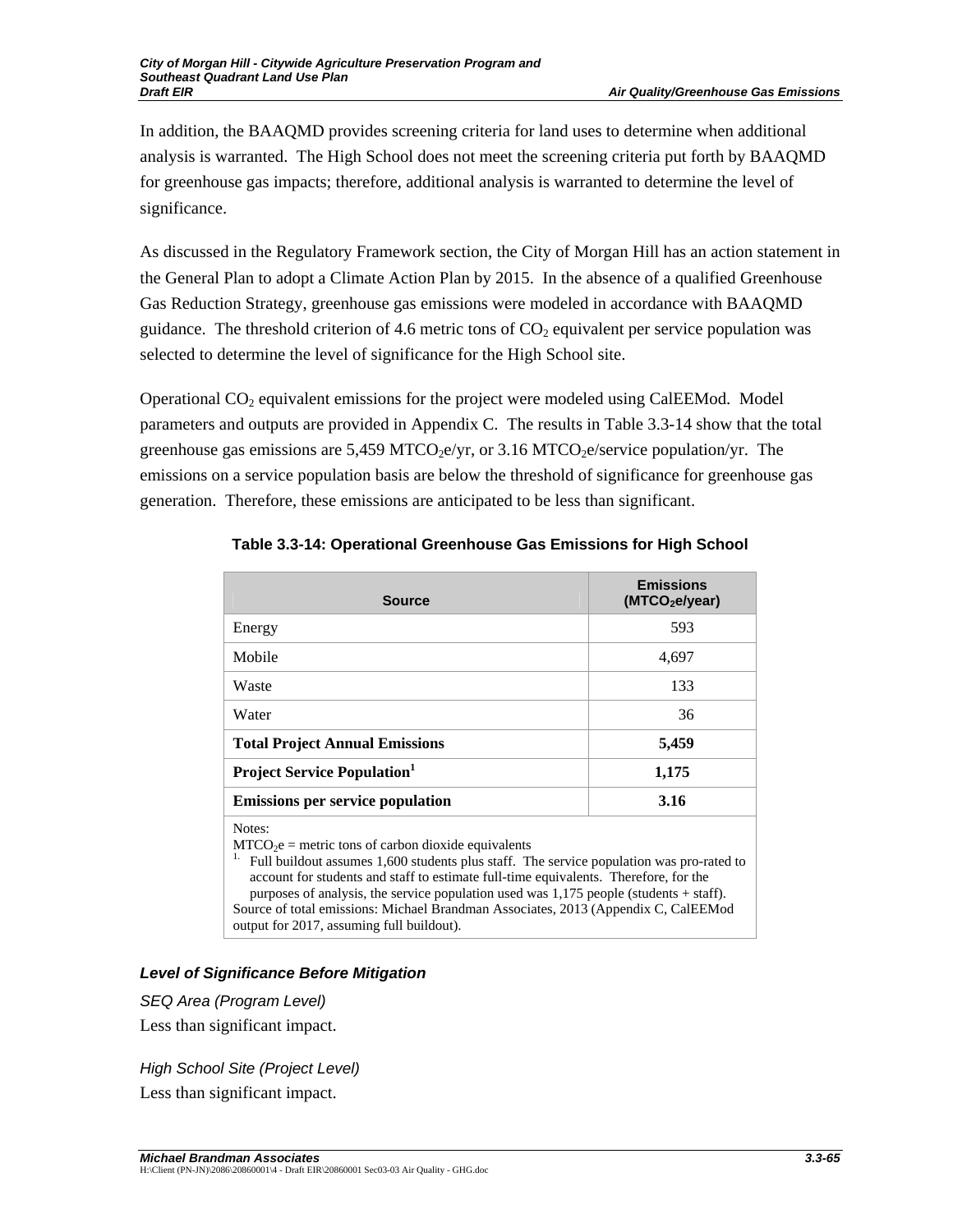In addition, the BAAQMD provides screening criteria for land uses to determine when additional analysis is warranted. The High School does not meet the screening criteria put forth by BAAQMD for greenhouse gas impacts; therefore, additional analysis is warranted to determine the level of significance.

As discussed in the Regulatory Framework section, the City of Morgan Hill has an action statement in the General Plan to adopt a Climate Action Plan by 2015. In the absence of a qualified Greenhouse Gas Reduction Strategy, greenhouse gas emissions were modeled in accordance with BAAQMD guidance. The threshold criterion of 4.6 metric tons of  $CO<sub>2</sub>$  equivalent per service population was selected to determine the level of significance for the High School site.

Operational  $CO<sub>2</sub>$  equivalent emissions for the project were modeled using CalEEMod. Model parameters and outputs are provided in Appendix C. The results in Table 3.3-14 show that the total greenhouse gas emissions are 5.459 MTCO<sub>2</sub>e/yr, or 3.16 MTCO<sub>2</sub>e/service population/yr. The emissions on a service population basis are below the threshold of significance for greenhouse gas generation. Therefore, these emissions are anticipated to be less than significant.

| <b>Source</b>                                                                                                                                                                                                                                                                                                                                                                                                                              | <b>Emissions</b><br>(MTCO <sub>2</sub> e/year) |
|--------------------------------------------------------------------------------------------------------------------------------------------------------------------------------------------------------------------------------------------------------------------------------------------------------------------------------------------------------------------------------------------------------------------------------------------|------------------------------------------------|
| Energy                                                                                                                                                                                                                                                                                                                                                                                                                                     | 593                                            |
| Mobile                                                                                                                                                                                                                                                                                                                                                                                                                                     | 4,697                                          |
| Waste                                                                                                                                                                                                                                                                                                                                                                                                                                      | 133                                            |
| Water                                                                                                                                                                                                                                                                                                                                                                                                                                      | 36                                             |
| <b>Total Project Annual Emissions</b>                                                                                                                                                                                                                                                                                                                                                                                                      | 5,459                                          |
| <b>Project Service Population</b> <sup>1</sup>                                                                                                                                                                                                                                                                                                                                                                                             | 1,175                                          |
| <b>Emissions per service population</b>                                                                                                                                                                                                                                                                                                                                                                                                    | 3.16                                           |
| Notes:<br>$MTCO2e$ = metric tons of carbon dioxide equivalents<br>1.<br>Full buildout assumes 1,600 students plus staff. The service population was pro-rated to<br>account for students and staff to estimate full-time equivalents. Therefore, for the<br>purposes of analysis, the service population used was $1,175$ people (students + staff).<br>Source of total emissions: Michael Brandman Associates, 2013 (Appendix C, CalEEMod |                                                |

**Table 3.3-14: Operational Greenhouse Gas Emissions for High School** 

*Level of Significance Before Mitigation* 

output for 2017, assuming full buildout).

*SEQ Area (Program Level)* 

Less than significant impact.

*High School Site (Project Level)*  Less than significant impact.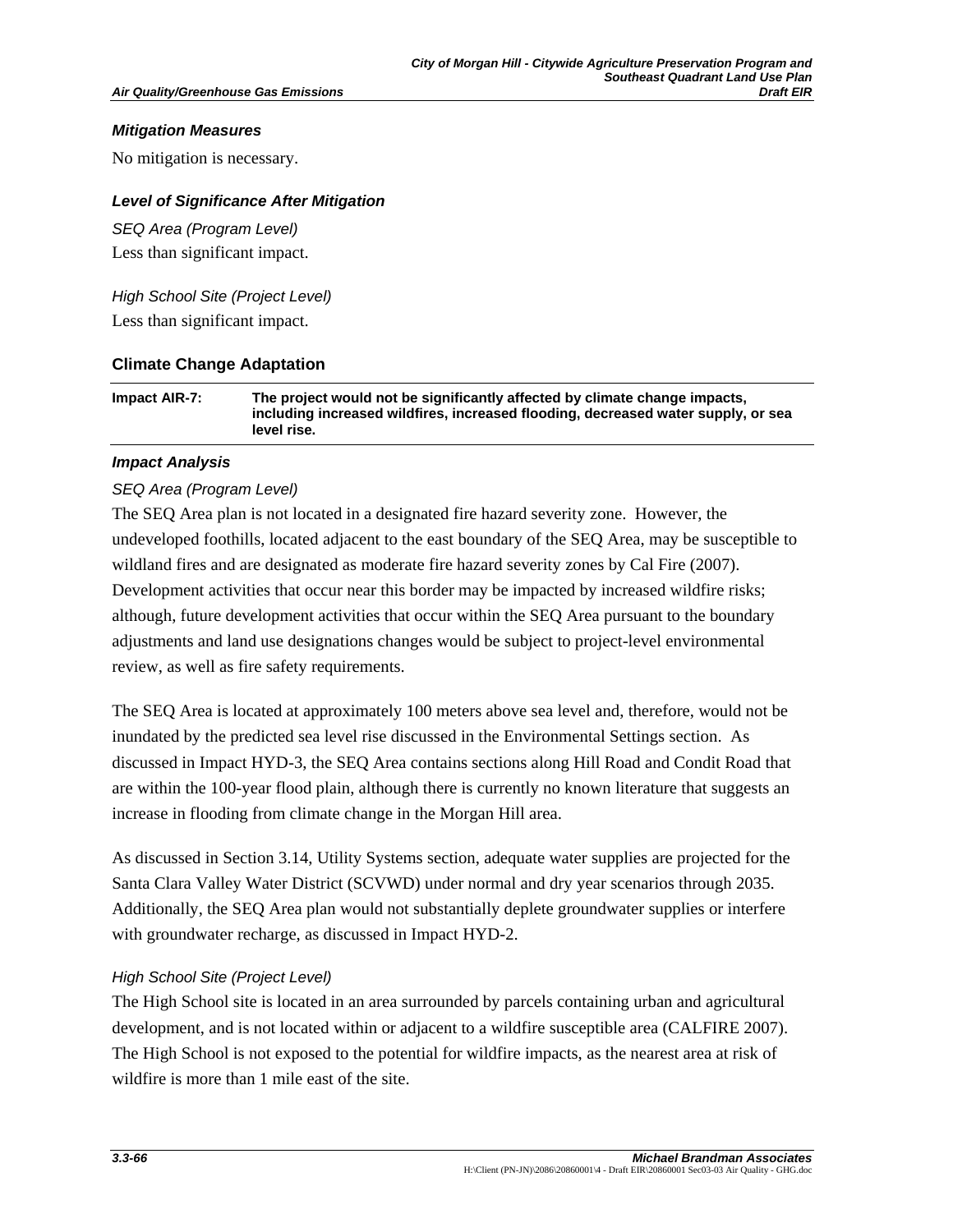#### *Mitigation Measures*

No mitigation is necessary.

## *Level of Significance After Mitigation*

*SEQ Area (Program Level)*  Less than significant impact.

*High School Site (Project Level)*  Less than significant impact.

## **Climate Change Adaptation**

| Impact AIR-7: | The project would not be significantly affected by climate change impacts,        |
|---------------|-----------------------------------------------------------------------------------|
|               | including increased wildfires, increased flooding, decreased water supply, or sea |
|               | level rise.                                                                       |

## *Impact Analysis*

## *SEQ Area (Program Level)*

The SEQ Area plan is not located in a designated fire hazard severity zone. However, the undeveloped foothills, located adjacent to the east boundary of the SEQ Area, may be susceptible to wildland fires and are designated as moderate fire hazard severity zones by Cal Fire (2007). Development activities that occur near this border may be impacted by increased wildfire risks; although, future development activities that occur within the SEQ Area pursuant to the boundary adjustments and land use designations changes would be subject to project-level environmental review, as well as fire safety requirements.

The SEQ Area is located at approximately 100 meters above sea level and, therefore, would not be inundated by the predicted sea level rise discussed in the Environmental Settings section. As discussed in Impact HYD-3, the SEQ Area contains sections along Hill Road and Condit Road that are within the 100-year flood plain, although there is currently no known literature that suggests an increase in flooding from climate change in the Morgan Hill area.

As discussed in Section 3.14, Utility Systems section, adequate water supplies are projected for the Santa Clara Valley Water District (SCVWD) under normal and dry year scenarios through 2035. Additionally, the SEQ Area plan would not substantially deplete groundwater supplies or interfere with groundwater recharge, as discussed in Impact HYD-2.

#### *High School Site (Project Level)*

The High School site is located in an area surrounded by parcels containing urban and agricultural development, and is not located within or adjacent to a wildfire susceptible area (CALFIRE 2007). The High School is not exposed to the potential for wildfire impacts, as the nearest area at risk of wildfire is more than 1 mile east of the site.